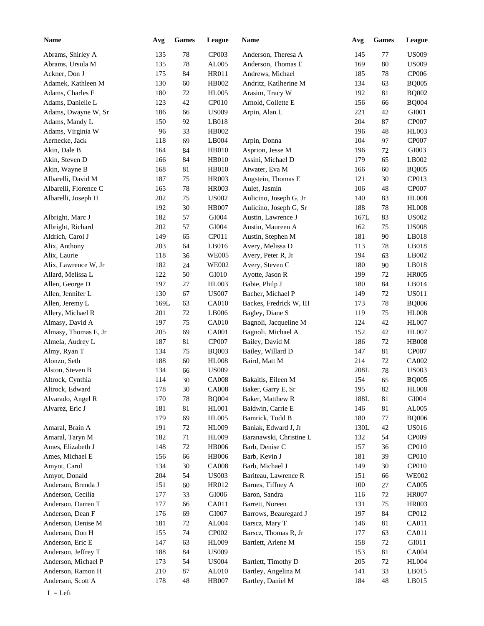| Name                  | Avg  | <b>Games</b> | League       | Name                    | Avg  | <b>Games</b> | <b>League</b> |
|-----------------------|------|--------------|--------------|-------------------------|------|--------------|---------------|
| Abrams, Shirley A     | 135  | 78           | CP003        | Anderson, Theresa A     | 145  | 77           | <b>US009</b>  |
| Abrams, Ursula M      | 135  | 78           | AL005        | Anderson, Thomas E      | 169  | $80\,$       | <b>US009</b>  |
| Ackner, Don J         | 175  | 84           | <b>HR011</b> | Andrews, Michael        | 185  | 78           | CP006         |
| Adamek, Kathleen M    | 130  | 60           | HB002        | Andritz, Katlherine M   | 134  | 63           | <b>BQ005</b>  |
| Adams, Charles F      | 180  | $72\,$       | <b>HL005</b> | Arasim, Tracy W         | 192  | 81           | <b>BQ002</b>  |
| Adams, Danielle L     | 123  | 42           | CP010        | Arnold, Collette E      | 156  | 66           | <b>BQ004</b>  |
| Adams, Dwayne W, Sr   | 186  | 66           | <b>US009</b> | Arpin, Alan L           | 221  | 42           | GI001         |
| Adams, Mandy L        | 150  | 92           | LB018        |                         | 204  | $87\,$       | CP007         |
| Adams, Virginia W     | 96   | 33           | HB002        |                         | 196  | 48           | <b>HL003</b>  |
| Aernecke, Jack        | 118  | 69           | LB004        | Arpin, Donna            | 104  | 97           | CP007         |
| Akin, Dale B          | 164  | 84           | <b>HB010</b> | Asprion, Jesse M        | 196  | 72           | GI003         |
| Akin, Steven D        | 166  | 84           | HB010        | Assini, Michael D       | 179  | 65           | LB002         |
| Akin, Wayne B         | 168  | 81           | HB010        | Atwater, Eva M          | 166  | 60           | <b>BQ005</b>  |
| Albarelli, David M    | 187  | $75\,$       | HR003        | Augstein, Thomas E      | 121  | 30           | CP013         |
| Albarelli, Florence C | 165  | 78           | HR003        | Aulet, Jasmin           | 106  | 48           | CP007         |
| Albarelli, Joseph H   | 202  | 75           | <b>US002</b> | Aulicino, Joseph G, Jr  | 140  | 83           | <b>HL008</b>  |
|                       | 192  | 30           | <b>HB007</b> | Aulicino, Joseph G, Sr  | 188  | 78           | <b>HL008</b>  |
| Albright, Marc J      | 182  | 57           | GI004        | Austin, Lawrence J      | 167L | 83           | <b>US002</b>  |
| Albright, Richard     | 202  | 57           | GI004        | Austin, Maureen A       | 162  | 75           | <b>US008</b>  |
| Aldrich, Carol J      | 149  | 65           | CP011        | Austin, Stephen M       | 181  | 90           | LB018         |
| Alix, Anthony         | 203  | 64           | LB016        | Avery, Melissa D        | 113  | 78           | LB018         |
| Alix, Laurie          | 118  | 36           | <b>WE005</b> | Avery, Peter R, Jr      | 194  | 63           | LB002         |
| Alix, Lawrence W, Jr  | 182  | 24           | <b>WE002</b> | Avery, Steven C         | 180  | 90           | LB018         |
| Allard, Melissa L     | 122  | 50           | GI010        | Ayotte, Jason R         | 199  | 72           | <b>HR005</b>  |
| Allen, George D       | 197  | 27           | HL003        | Babie, Philp J          | 180  | 84           | LB014         |
| Allen, Jennifer L     | 130  | 67           | <b>US007</b> | Bacher, Michael P       | 149  | 72           | <b>US011</b>  |
|                       |      |              |              |                         |      |              |               |
| Allen, Jeremy L       | 169L | 63           | CA010        | Backes, Fredrick W, III | 173  | 78           | <b>BQ006</b>  |
| Allery, Michael R     | 201  | $72\,$       | LB006        | Bagley, Diane S         | 119  | 75           | <b>HL008</b>  |
| Almasy, David A       | 197  | $75\,$       | CA010        | Bagnoli, Jacqueline M   | 124  | 42           | <b>HL007</b>  |
| Almasy, Thomas E, Jr  | 205  | 69           | CA001        | Bagnoli, Michael A      | 152  | 42           | <b>HL007</b>  |
| Almela, Audrey L      | 187  | $81\,$       | CP007        | Bailey, David M         | 186  | 72           | <b>HB008</b>  |
| Almy, Ryan T          | 134  | 75           | <b>BQ003</b> | Bailey, Willard D       | 147  | $81\,$       | CP007         |
| Alonzo, Seth          | 188  | 60           | <b>HL008</b> | Baird, Matt M           | 214  | 72           | CA002         |
| Alston, Steven B      | 134  | 66           | <b>US009</b> |                         | 208L | $78\,$       | <b>US003</b>  |
| Altrock, Cynthia      | 114  | 30           | <b>CA008</b> | Bakaitis, Eileen M      | 154  | 65           | <b>BQ005</b>  |
| Altrock, Edward       | 178  | $30\,$       | CA008        | Baker, Garry E, Sr      | 195  | 82           | <b>HL008</b>  |
| Alvarado, Angel R     | 170  | 78           | <b>BQ004</b> | Baker, Matthew R        | 188L | $81\,$       | GI004         |
| Alvarez, Eric J       | 181  | $81\,$       | HL001        | Baldwin, Carrie E       | 146  | $81\,$       | AL005         |
|                       | 179  | 69           | <b>HL005</b> | Bamrick, Todd B         | 180  | 77           | <b>BQ006</b>  |
| Amaral, Brain A       | 191  | $72\,$       | HL009        | Baniak, Edward J, Jr    | 130L | $42\,$       | <b>US016</b>  |
| Amaral, Taryn M       | 182  | 71           | HL009        | Baranawski, Christine L | 132  | 54           | CP009         |
| Ames, Elizabeth J     | 148  | $72\,$       | HB006        | Barb, Denise C          | 157  | 36           | CP010         |
| Ames, Michael E       | 156  | 66           | HB006        | Barb, Kevin J           | 181  | 39           | CP010         |
| Amyot, Carol          | 134  | $30\,$       | <b>CA008</b> | Barb, Michael J         | 149  | $30\,$       | CP010         |
| Amyot, Donald         | 204  | 54           | <b>US003</b> | Bariteau, Lawrence R    | 151  | 66           | <b>WE002</b>  |
| Anderson, Brenda J    | 151  | 60           | HR012        | Barnes, Tiffney A       | 100  | $27\,$       | CA005         |
| Anderson, Cecilia     | 177  | 33           | GI006        | Baron, Sandra           | 116  | $72\,$       | <b>HR007</b>  |
| Anderson, Darren T    | 177  | 66           | CA011        | Barrett, Noreen         | 131  | 75           | HR003         |
| Anderson, Dean F      | 176  | 69           | GI007        | Barrows, Beauregard J   | 197  | 84           | CP012         |
| Anderson, Denise M    | 181  | $72\,$       | AL004        | Barscz, Mary T          | 146  | 81           | CA011         |
| Anderson, Don H       | 155  | 74           | CP002        | Barscz, Thomas R, Jr    | 177  | 63           | CA011         |
| Anderson, Eric E      | 147  | 63           | HL009        | Bartlett, Arlene M      | 158  | $72\,$       | GI011         |
| Anderson, Jeffrey T   | 188  | 84           | <b>US009</b> |                         | 153  | 81           | <b>CA004</b>  |
| Anderson, Michael P   | 173  | 54           | <b>US004</b> | Bartlett, Timothy D     | 205  | $72\,$       | <b>HL004</b>  |
| Anderson, Ramon H     | 210  | $87\,$       | AL010        | Bartley, Angelina M     | 141  | 33           | LB015         |
| Anderson, Scott A     | 178  | 48           | HB007        | Bartley, Daniel M       | 184  | 48           | LB015         |
|                       |      |              |              |                         |      |              |               |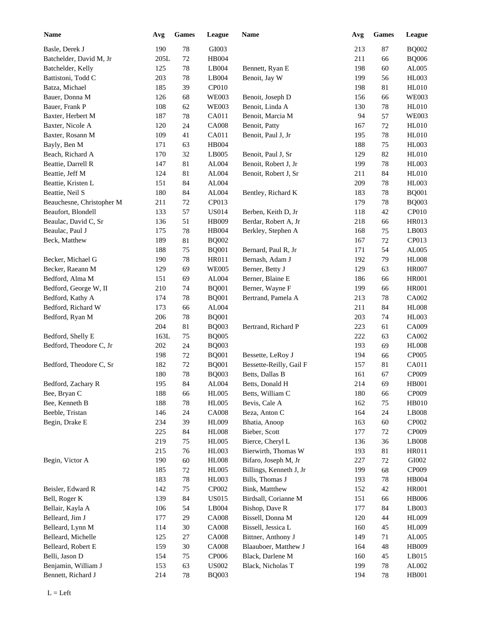| <b>Name</b>               | Avg  | <b>Games</b> | League        | <b>Name</b>             | Avg | <b>Games</b> | League        |
|---------------------------|------|--------------|---------------|-------------------------|-----|--------------|---------------|
| Basle, Derek J            | 190  | $78\,$       | GI003         |                         | 213 | 87           | <b>BQ002</b>  |
| Batchelder, David M, Jr   | 205L | $72\,$       | HB004         |                         | 211 | 66           | <b>BQ006</b>  |
| Batchelder, Kelly         | 125  | $78\,$       | LB004         | Bennett, Ryan E         | 198 | 60           | AL005         |
| Battistoni, Todd C        | 203  | $78\,$       | LB004         | Benoit, Jay W           | 199 | 56           | <b>HL003</b>  |
| Batza, Michael            | 185  | 39           | CP010         |                         | 198 | 81           | <b>HL010</b>  |
| Bauer, Donna M            | 126  | 68           | <b>WE003</b>  | Benoit, Joseph D        | 156 | 66           | <b>WE003</b>  |
| Bauer, Frank P            | 108  | 62           | <b>WE003</b>  | Benoit, Linda A         | 130 | 78           | <b>HL010</b>  |
| Baxter, Herbert M         | 187  | 78           | CA011         | Benoit, Marcia M        | 94  | 57           | <b>WE003</b>  |
| Baxter, Nicole A          | 120  | 24           | <b>CA008</b>  | Benoit, Patty           | 167 | 72           | <b>HL010</b>  |
| Baxter, Rosann M          | 109  | 41           | CA011         | Benoit, Paul J, Jr      | 195 | 78           | <b>HL010</b>  |
| Bayly, Ben M              | 171  | 63           | <b>HB004</b>  |                         | 188 | 75           | <b>HL003</b>  |
| Beach, Richard A          | 170  | 32           | LB005         | Benoit, Paul J, Sr      | 129 | 82           | <b>HL010</b>  |
| Beattie, Darrell R        | 147  | 81           | ${\rm AL004}$ | Benoit, Robert J, Jr    | 199 | 78           | <b>HL003</b>  |
| Beattie, Jeff M           | 124  | 81           | ${\rm AL004}$ | Benoit, Robert J, Sr    | 211 | 84           | <b>HL010</b>  |
| Beattie, Kristen L        | 151  | 84           | ${\rm AL004}$ |                         | 209 | 78           | <b>HL003</b>  |
| Beattie, Neil S           | 180  | 84           | ${\rm AL004}$ | Bentley, Richard K      | 183 | 78           | <b>BQ001</b>  |
| Beauchesne, Christopher M | 211  | 72           | CP013         |                         | 179 | 78           | <b>BQ003</b>  |
| Beaufort, Blondell        | 133  | 57           | <b>US014</b>  | Berben, Keith D, Jr     | 118 | 42           | CP010         |
| Beaulac, David C, Sr      | 136  | 51           | HB009         | Berdar, Robert A, Jr    | 218 | 66           | <b>HR013</b>  |
| Beaulac, Paul J           | 175  | 78           | HB004         | Berkley, Stephen A      | 168 | 75           | LB003         |
| Beck, Matthew             | 189  | 81           | <b>BQ002</b>  |                         | 167 | 72           | CP013         |
|                           | 188  | 75           | <b>BQ001</b>  | Bernard, Paul R, Jr     | 171 | 54           | AL005         |
| Becker, Michael G         | 190  | 78           | <b>HR011</b>  | Bernash, Adam J         | 192 | 79           | <b>HL008</b>  |
| Becker, Raeann M          | 129  | 69           | <b>WE005</b>  | Berner, Betty J         | 129 | 63           | <b>HR007</b>  |
| Bedford, Alma M           | 151  | 69           | AL004         | Berner, Blaine E        | 186 | 66           | <b>HR001</b>  |
| Bedford, George W, II     | 210  | 74           | <b>BQ001</b>  | Berner, Wayne F         | 199 | 66           | <b>HR001</b>  |
| Bedford, Kathy A          | 174  | 78           | <b>BQ001</b>  | Bertrand, Pamela A      | 213 | 78           | CA002         |
| Bedford, Richard W        | 173  | 66           | AL004         |                         | 211 | 84           | <b>HL008</b>  |
|                           | 206  |              |               |                         | 203 |              | <b>HL003</b>  |
| Bedford, Ryan M           | 204  | 78           | <b>BQ001</b>  |                         |     | 74           | CA009         |
|                           |      | $81\,$       | <b>BQ003</b>  | Bertrand, Richard P     | 223 | 61           | CA002         |
| Bedford, Shelly E         | 163L | $75\,$       | <b>BQ005</b>  |                         | 222 | 63           |               |
| Bedford, Theodore C, Jr   | 202  | 24           | <b>BQ003</b>  |                         | 193 | 69           | <b>HL008</b>  |
|                           | 198  | 72           | <b>BQ001</b>  | Bessette, LeRoy J       | 194 | 66           | CP005         |
| Bedford, Theodore C, Sr   | 182  | $72\,$       | <b>BQ001</b>  | Bessette-Reilly, Gail F | 157 | 81           | CA011         |
|                           | 180  | 78           | <b>BQ003</b>  | Betts, Dallas B         | 161 | 67           | CP009         |
| Bedford, Zachary R        | 195  | 84           | AL004         | Betts, Donald H         | 214 | 69           | <b>HB001</b>  |
| Bee, Bryan C              | 188  | 66           | <b>HL005</b>  | Betts, William C        | 180 | 66           | CP009         |
| Bee, Kenneth B            | 188  | $78\,$       | <b>HL005</b>  | Bevis, Cale A           | 162 | $75\,$       | <b>HB010</b>  |
| Beeble, Tristan           | 146  | 24           | <b>CA008</b>  | Beza, Anton C           | 164 | 24           | LB008         |
| Begin, Drake E            | 234  | 39           | HL009         | Bhatia, Anoop           | 163 | 60           | CP002         |
|                           | 225  | 84           | <b>HL008</b>  | Bieber, Scott           | 177 | 72           | CP009         |
|                           | 219  | 75           | <b>HL005</b>  | Bierce, Cheryl L        | 136 | 36           | LB008         |
|                           | 215  | 76           | HL003         | Bierwirth, Thomas W     | 193 | 81           | HR011         |
| Begin, Victor A           | 190  | 60           | <b>HL008</b>  | Bifaro, Joseph M, Jr    | 227 | 72           | ${\rm GIO}02$ |
|                           | 185  | $72\,$       | <b>HL005</b>  | Billings, Kenneth J, Jr | 199 | 68           | CP009         |
|                           | 183  | $78\,$       | HL003         | Bills, Thomas J         | 193 | 78           | HB004         |
| Beisler, Edward R         | 142  | 75           | CP002         | Bink, Mattthew          | 152 | 42           | <b>HR001</b>  |
| Bell, Roger K             | 139  | $\bf 84$     | <b>US015</b>  | Birdsall, Corianne M    | 151 | 66           | <b>HB006</b>  |
| Bellair, Kayla A          | 106  | 54           | LB004         | Bishop, Dave R          | 177 | 84           | LB003         |
| Belleard, Jim J           | 177  | 29           | <b>CA008</b>  | Bissell, Donna M        | 120 | 44           | <b>HL009</b>  |
| Belleard, Lynn M          | 114  | $30\,$       | <b>CA008</b>  | Bissell, Jessica L      | 160 | 45           | HL009         |
| Belleard, Michelle        | 125  | $27\,$       | <b>CA008</b>  | Bittner, Anthony J      | 149 | 71           | AL005         |
| Belleard, Robert E        | 159  | $30\,$       | <b>CA008</b>  | Blaauboer, Matthew J    | 164 | 48           | <b>HB009</b>  |
| Belli, Jason D            | 154  | 75           | CP006         | Black, Darlene M        | 160 | 45           | LB015         |
| Benjamin, William J       | 153  | 63           | <b>US002</b>  | Black, Nicholas T       | 199 | $78\,$       | AL002         |
| Bennett, Richard J        | 214  | $78\,$       | <b>BQ003</b>  |                         | 194 | 78           | <b>HB001</b>  |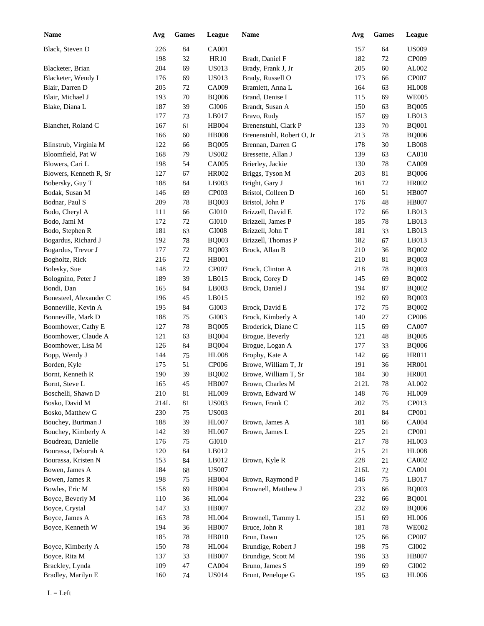| <b>Name</b>                        | Avg         | <b>Games</b> | League                       | <b>Name</b>               | Avg        | <b>Games</b> | League                |
|------------------------------------|-------------|--------------|------------------------------|---------------------------|------------|--------------|-----------------------|
| Black, Steven D                    | 226         | 84           | CA001                        |                           | 157        | 64           | <b>US009</b>          |
|                                    | 198         | 32           | HR10                         | Bradt, Daniel F           | 182        | 72           | CP009                 |
| Blacketer, Brian                   | 204         | 69           | <b>US013</b>                 | Brady, Frank J, Jr        | 205        | 60           | AL002                 |
| Blacketer, Wendy L                 | 176         | 69           | <b>US013</b>                 | Brady, Russell O          | 173        | 66           | CP007                 |
| Blair, Darren D                    | 205         | 72           | CA009                        | Bramlett, Anna L          | 164        | 63           | <b>HL008</b>          |
| Blair, Michael J                   | 193         | 70           | <b>BQ006</b>                 | Brand, Denise I           | 115        | 69           | <b>WE005</b>          |
| Blake, Diana L                     | 187         | 39           | GI006                        | Brandt, Susan A           | 150        | 63           | <b>BQ005</b>          |
|                                    | 177         | 73           | LB017                        | Bravo, Rudy               | 157        | 69           | LB013                 |
| Blanchet, Roland C                 | 167         | 61           | HB004                        | Brenenstuhl, Clark P      | 133        | 70           | <b>BQ001</b>          |
|                                    | 166         | 60           | <b>HB008</b>                 | Brenenstuhl, Robert O, Jr | 213        | 78           | <b>BQ006</b>          |
| Blinstrub, Virginia M              | 122         | 66           | <b>BQ005</b>                 | Brennan, Darren G         | 178        | 30           | LB008                 |
| Bloomfield, Pat W                  | 168         | 79           | <b>US002</b>                 | Bressette, Allan J        | 139        | 63           | CA010                 |
| Blowers, Cari L                    | 198         | 54           | CA005                        | Brierley, Jackie          | 130        | 78           | CA009                 |
| Blowers, Kenneth R, Sr             | 127         | 67           | HR002                        | Briggs, Tyson M           | 203        | 81           | <b>BQ006</b>          |
| Bobersky, Guy T                    | 188         | 84           | LB003                        | Bright, Gary J            | 161        | 72           | HR002                 |
| Bodak, Susan M                     | 146         | 69           | CP003                        | Bristol, Colleen D        | 160        | 51           | <b>HB007</b>          |
| Bodnar, Paul S                     | 209         | 78           | <b>BQ003</b>                 | Bristol, John P           | 176        | 48           | <b>HB007</b>          |
| Bodo, Cheryl A                     | 111         | 66           | GI010                        | Brizzell, David E         | 172        | 66           | LB013                 |
| Bodo, Jami M                       | 172         | 72           | GI010                        | Brizzell, James P         | 185        | 78           | LB013                 |
| Bodo, Stephen R                    | 181         | 63           | GI008                        | Brizzell, John T          | 181        | 33           | LB013                 |
| Bogardus, Richard J                | 192         | 78           | <b>BQ003</b>                 | Brizzell, Thomas P        | 182        | 67           | LB013                 |
| Bogardus, Trevor J                 | 177         | 72           | <b>BQ003</b>                 | Brock, Allan B            | 210        | 36           | <b>BQ002</b>          |
| Bogholtz, Rick                     | 216         | 72           | <b>HB001</b>                 |                           | 210        | 81           | <b>BQ003</b>          |
| Bolesky, Sue                       | 148         | 72           | <b>CP007</b>                 | Brock, Clinton A          | 218        | 78           | <b>BQ003</b>          |
| Bolognino, Peter J                 | 189         | 39           | LB015                        | Brock, Corey D            | 145        | 69           | <b>BQ002</b>          |
| Bondi, Dan                         | 165         | 84           | LB003                        | Brock, Daniel J           | 194        | 87           | <b>BQ002</b>          |
| Bonesteel, Alexander C             | 196         | 45           | LB015                        |                           | 192        | 69           | <b>BQ003</b>          |
| Bonneville, Kevin A                | 195         | 84           | GI003                        | Brock, David E            | 172        | 75           | <b>BQ002</b>          |
| Bonneville, Mark D                 | 188         | 75           | GI003                        | Brock, Kimberly A         | 140        | 27           | CP006                 |
| Boomhower, Cathy E                 | 127         | 78           | <b>BQ005</b>                 | Broderick, Diane C        | 115        | 69           | CA007                 |
| Boomhower, Claude A                | 121         | 63           | <b>BQ004</b>                 | Brogue, Beverly           | 121        | 48           | <b>BQ005</b>          |
| Boomhower, Lisa M                  | 126         | 84           | <b>BQ004</b>                 | Brogue, Logan A           | 177        | 33           | <b>BQ006</b>          |
|                                    | 144         | 75           | <b>HL008</b>                 | Brophy, Kate A            | 142        | 66           | HR011                 |
| Bopp, Wendy J<br>Borden, Kyle      | 175         | 51           | <b>CP006</b>                 | Browe, William T, Jr      | 191        | 36           | <b>HR001</b>          |
| Bornt, Kenneth R                   | 190         | 39           | <b>BQ002</b>                 | Browe, William T, Sr      | 184        | 30           | <b>HR001</b>          |
| Bornt, Steve L                     | 165         | 45           | <b>HB007</b>                 | Brown, Charles M          | 212L       | $78\,$       | AL002                 |
|                                    |             |              |                              |                           |            |              |                       |
| Boschelli, Shawn D                 | 210         | $81\,$       | <b>HL009</b>                 | Brown, Edward W           | 148        | 76           | <b>HL009</b><br>CP013 |
| Bosko, David M<br>Bosko, Matthew G | 214L<br>230 | $81\,$<br>75 | <b>US003</b><br><b>US003</b> | Brown, Frank C            | 202<br>201 | 75<br>84     | CP001                 |
| Bouchey, Burtman J                 | 188         |              | HL007                        | Brown, James A            | 181        |              | CA004                 |
| Bouchey, Kimberly A                | 142         | 39<br>39     | HL007                        | Brown, James L            | 225        | 66<br>21     | CP001                 |
| Boudreau, Danielle                 | 176         | 75           | GI010                        |                           | 217        | 78           | HL003                 |
| Bourassa, Deborah A                | 120         | 84           | LB012                        |                           | 215        | 21           | <b>HL008</b>          |
| Bourassa, Kristen N                | 153         |              | LB012                        | Brown, Kyle R             | 228        |              | CA002                 |
|                                    |             | 84           | <b>US007</b>                 |                           |            | 21           | <b>CA001</b>          |
| Bowen, James A<br>Bowen, James R   | 184<br>198  | 68           | HB004                        | Brown, Raymond P          | 216L       | 72<br>$75\,$ | LB017                 |
| Bowles, Eric M                     | 158         | 75<br>69     | HB004                        | Brownell, Matthew J       | 146<br>233 |              | <b>BQ003</b>          |
|                                    |             |              |                              |                           |            | 66           |                       |
| Boyce, Beverly M                   | 110         | 36           | <b>HL004</b>                 |                           | 232        | 66           | <b>BQ001</b>          |
| Boyce, Crystal                     | 147         | 33           | <b>HB007</b>                 |                           | 232        | 69           | <b>BQ006</b>          |
| Boyce, James A                     | 163         | 78           | <b>HL004</b>                 | Brownell, Tammy L         | 151        | 69           | <b>HL006</b>          |
| Boyce, Kenneth W                   | 194         | 36           | <b>HB007</b>                 | Bruce, John R             | 181        | 78           | <b>WE002</b>          |
|                                    | 185         | 78           | <b>HB010</b>                 | Brun, Dawn                | 125        | 66           | CP007                 |
| Boyce, Kimberly A                  | 150         | 78           | <b>HL004</b>                 | Brundige, Robert J        | 198        | $75\,$       | GI002                 |
| Boyce, Rita M                      | 137         | 33           | <b>HB007</b>                 | Brundige, Scott M         | 196        | 33           | <b>HB007</b>          |
| Brackley, Lynda                    | 109         | $47\,$       | CA004                        | Bruno, James S            | 199        | 69           | GI002                 |
| Bradley, Marilyn E                 | 160         | 74           | <b>US014</b>                 | Brunt, Penelope G         | 195        | 63           | <b>HL006</b>          |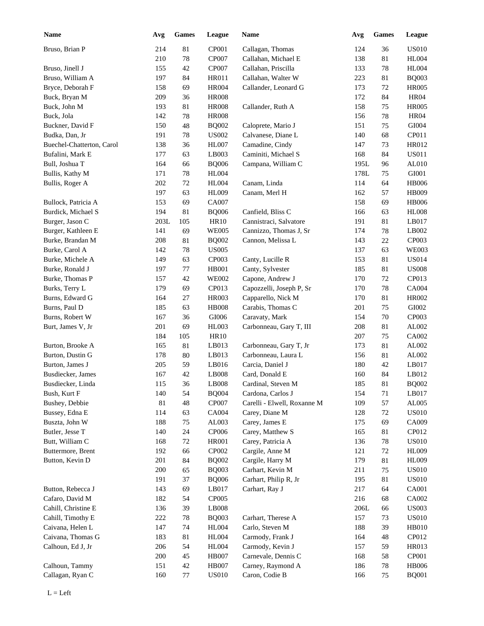| <b>Name</b>               | Avg    | <b>Games</b> | League                      | Name                        | Avg  | Games       | <b>League</b>  |
|---------------------------|--------|--------------|-----------------------------|-----------------------------|------|-------------|----------------|
| Bruso, Brian P            | 214    | 81           | CP001                       | Callagan, Thomas            | 124  | 36          | <b>US010</b>   |
|                           | 210    | $78\,$       | CP007                       | Callahan, Michael E         | 138  | 81          | <b>HL004</b>   |
| Bruso, Jinell J           | 155    | 42           | CP007                       | Callahan, Priscilla         | 133  | 78          | <b>HL004</b>   |
| Bruso, William A          | 197    | 84           | <b>HR011</b>                | Callahan, Walter W          | 223  | 81          | <b>BQ003</b>   |
| Bryce, Deborah F          | 158    | 69           | <b>HR004</b>                | Callander, Leonard G        | 173  | 72          | <b>HR005</b>   |
| Buck, Bryan M             | 209    | 36           | <b>HR008</b>                |                             | 172  | 84          | <b>HR04</b>    |
| Buck, John M              | 193    | 81           | <b>HR008</b>                | Callander, Ruth A           | 158  | 75          | <b>HR005</b>   |
| Buck, Jola                | 142    | 78           | <b>HR008</b>                |                             | 156  | 78          | <b>HR04</b>    |
| Buckner, David F          | 150    | 48           | <b>BQ002</b>                | Caloprete, Mario J          | 151  | 75          | GI004          |
| Budka, Dan, Jr            | 191    | 78           | <b>US002</b>                | Calvanese, Diane L          | 140  | 68          | CP011          |
| Buechel-Chatterton, Carol | 138    | 36           | <b>HL007</b>                | Camadine, Cindy             | 147  | 73          | HR012          |
| Bufalini, Mark E          | 177    | 63           | LB003                       | Caminiti, Michael S         | 168  | 84          | <b>US011</b>   |
| Bull, Joshua T            | 164    | 66           | <b>BQ006</b>                | Campana, William C          | 195L | 96          | AL010          |
| Bullis, Kathy M           | 171    | 78           | <b>HL004</b>                |                             | 178L | 75          | GI001          |
| Bullis, Roger A           | 202    | 72           | <b>HL004</b>                | Canam, Linda                | 114  | 64          | <b>HB006</b>   |
|                           | 197    | 63           | <b>HL009</b>                | Canam, Merl H               | 162  | 57          | <b>HB009</b>   |
| Bullock, Patricia A       | 153    | 69           | CA007                       |                             | 158  | 69          | <b>HB006</b>   |
| Burdick, Michael S        | 194    | 81           |                             | Canfield, Bliss C           | 166  | 63          | <b>HL008</b>   |
|                           |        |              | <b>BQ006</b><br><b>HR10</b> |                             |      |             |                |
| Burger, Jason C           | 203L   | 105          |                             | Cannistraci, Salvatore      | 191  | 81          | LB017          |
| Burger, Kathleen E        | 141    | 69           | <b>WE005</b>                | Cannizzo, Thomas J, Sr      | 174  | 78          | LB002<br>CP003 |
| Burke, Brandan M          | 208    | 81           | <b>BQ002</b>                | Cannon, Melissa L           | 143  | $22\,$      |                |
| Burke, Carol A            | 142    | 78           | <b>US005</b>                |                             | 137  | 63          | <b>WE003</b>   |
| Burke, Michele A          | 149    | 63           | CP003                       | Canty, Lucille R            | 153  | 81          | <b>US014</b>   |
| Burke, Ronald J           | 197    | 77           | <b>HB001</b>                | Canty, Sylvester            | 185  | 81          | <b>US008</b>   |
| Burke, Thomas P           | 157    | 42           | <b>WE002</b>                | Capone, Andrew J            | 170  | 72          | CP013          |
| Burks, Terry L            | 179    | 69           | CP013                       | Capozzelli, Joseph P, Sr    | 170  | 78          | CA004          |
| Burns, Edward G           | 164    | 27           | <b>HR003</b>                | Capparello, Nick M          | 170  | 81          | <b>HR002</b>   |
| Burns, Paul D             | 185    | 63           | <b>HB008</b>                | Carabis, Thomas C           | 201  | 75          | GI002          |
| Burns, Robert W           | 167    | 36           | GI006                       | Caravaty, Mark              | 154  | 70          | CP003          |
| Burt, James V, Jr         | 201    | 69           | <b>HL003</b>                | Carbonneau, Gary T, III     | 208  | 81          | AL002          |
|                           | 184    | 105          | <b>HR10</b>                 |                             | 207  | 75          | CA002          |
| Burton, Brooke A          | 165    | 81           | LB013                       | Carbonneau, Gary T, Jr      | 173  | 81          | AL002          |
| Burton, Dustin G          | 178    | 80           | LB013                       | Carbonneau, Laura L         | 156  | 81          | AL002          |
| Burton, James J           | 205    | 59           | LB016                       | Carcia, Daniel J            | 180  | 42          | LB017          |
| Busdiecker, James         | 167    | 42           | LB008                       | Card, Donald E              | 160  | 84          | LB012          |
| Busdiecker, Linda         | 115    | 36           | LB008                       | Cardinal, Steven M          | 185  | $81\,$      | <b>BQ002</b>   |
| Bush, Kurt F              | 140    | 54           | <b>BQ004</b>                | Cardona, Carlos J           | 154  | 71          | LB017          |
| Bushey, Debbie            | $81\,$ | $\sqrt{48}$  | CP007                       | Carelli - Elwell, Roxanne M | 109  | 57          | ${\rm AL005}$  |
| Bussey, Edna E            | 114    | 63           | CA004                       | Carey, Diane M              | 128  | $72\,$      | <b>US010</b>   |
| Buszta, John W            | 188    | 75           | AL003                       | Carey, James E              | 175  | 69          | CA009          |
| Butler, Jesse T           | 140    | $24\,$       | CP006                       | Carey, Matthew S            | 165  | 81          | CP012          |
| Butt, William C           | 168    | 72           | <b>HR001</b>                | Carey, Patricia A           | 136  | $78\,$      | <b>US010</b>   |
| Buttermore, Brent         | 192    | 66           | CP002                       | Cargile, Anne M             | 121  | 72          | <b>HL009</b>   |
| Button, Kevin D           | 201    | $84\,$       | <b>BQ002</b>                | Cargile, Harry M            | 179  | $81\,$      | <b>HL009</b>   |
|                           | 200    | 65           | <b>BQ003</b>                | Carhart, Kevin M            | 211  | $75\,$      | <b>US010</b>   |
|                           | 191    | 37           | <b>BQ006</b>                | Carhart, Philip R, Jr       | 195  | 81          | <b>US010</b>   |
| Button, Rebecca J         | 143    | 69           | LB017                       | Carhart, Ray J              | 217  | 64          | CA001          |
| Cafaro, David M           | 182    | 54           | CP005                       |                             | 216  | 68          | CA002          |
| Cahill, Christine E       | 136    | 39           | LB008                       |                             | 206L | 66          | <b>US003</b>   |
| Cahill, Timothy E         | 222    | $78\,$       | <b>BQ003</b>                | Carhart, Therese A          | 157  | 73          | <b>US010</b>   |
| Caivana, Helen L          | 147    | $74\,$       | <b>HL004</b>                | Carlo, Steven M             | 188  | 39          | HB010          |
| Caivana, Thomas G         | 183    | 81           | <b>HL004</b>                | Carmody, Frank J            | 164  | $\sqrt{48}$ | CP012          |
| Calhoun, Ed J, Jr         | 206    | 54           | <b>HL004</b>                | Carmody, Kevin J            | 157  | 59          | HR013          |
|                           | 200    | 45           | <b>HB007</b>                | Carnevale, Dennis C         | 168  | 58          | CP001          |
| Calhoun, Tammy            | 151    | $42\,$       | <b>HB007</b>                | Carney, Raymond A           | 186  | $78\,$      | <b>HB006</b>   |
| Callagan, Ryan C          | 160    | $77\,$       | <b>US010</b>                | Caron, Codie B              | 166  | 75          | <b>BQ001</b>   |
|                           |        |              |                             |                             |      |             |                |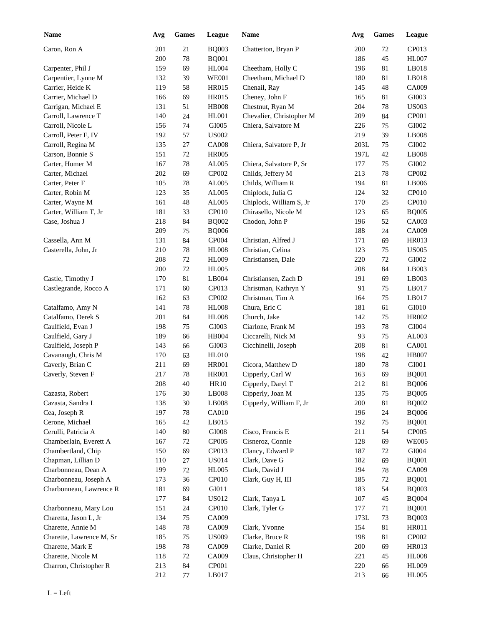| <b>Name</b>              | Avg     | <b>Games</b> | League            | Name                     | Avg  | Games | League        |
|--------------------------|---------|--------------|-------------------|--------------------------|------|-------|---------------|
| Caron, Ron A             | 201     | 21           | <b>BQ003</b>      | Chatterton, Bryan P      | 200  | 72    | CP013         |
|                          | 200     | 78           | <b>BQ001</b>      |                          | 186  | 45    | <b>HL007</b>  |
| Carpenter, Phil J        | 159     | 69           | <b>HL004</b>      | Cheetham, Holly C        | 196  | 81    | LB018         |
| Carpentier, Lynne M      | 132     | 39           | <b>WE001</b>      | Cheetham, Michael D      | 180  | 81    | LB018         |
| Carrier, Heide K         | 119     | 58           | <b>HR015</b>      | Chenail, Ray             | 145  | 48    | CA009         |
| Carrier, Michael D       | 166     | 69           | HR015             | Cheney, John F           | 165  | 81    | GI003         |
| Carrigan, Michael E      | 131     | 51           | <b>HB008</b>      | Chestnut, Ryan M         | 204  | 78    | <b>US003</b>  |
| Carroll, Lawrence T      | 140     | 24           | <b>HL001</b>      | Chevalier, Christopher M | 209  | 84    | CP001         |
| Carroll, Nicole L        | 156     | 74           | GI005             | Chiera, Salvatore M      | 226  | 75    | GI002         |
| Carroll, Peter F, IV     | 192     | 57           | <b>US002</b>      |                          | 219  | 39    | LB008         |
| Carroll, Regina M        | 135     | $27\,$       | <b>CA008</b>      | Chiera, Salvatore P, Jr  | 203L | 75    | GI002         |
| Carson, Bonnie S         | 151     | $72\,$       | <b>HR005</b>      |                          | 197L | 42    | LB008         |
| Carter, Homer M          | 167     | $78\,$       | AL005             | Chiera, Salvatore P, Sr  | 177  | 75    | ${\rm GIO}02$ |
| Carter, Michael          | 202     | 69           | CP002             | Childs, Jeffery M        | 213  | 78    | CP002         |
| Carter, Peter F          | 105     | 78           | AL005             | Childs, William R        | 194  | 81    | LB006         |
| Carter, Robin M          | 123     | 35           | AL005             | Chiplock, Julia G        | 124  | 32    | CP010         |
| Carter, Wayne M          | 161     | 48           | AL005             | Chiplock, William S, Jr  | 170  | 25    | CP010         |
| Carter, William T, Jr    | 181     | 33           | CP010             | Chirasello, Nicole M     | 123  | 65    | <b>BQ005</b>  |
| Case, Joshua J           | 218     | 84           | <b>BQ002</b>      | Chodon, John P           | 196  | 52    | CA003         |
|                          | 209     | 75           | <b>BQ006</b>      |                          | 188  | 24    | CA009         |
| Cassella, Ann M          | 131     | 84           | CP004             | Christian, Alfred J      | 171  | 69    | <b>HR013</b>  |
| Casterella, John, Jr     | 210     | 78           | <b>HL008</b>      | Christian, Celina        | 123  | 75    | <b>US005</b>  |
|                          | 208     | 72           | HL009             | Christiansen, Dale       | 220  | 72    | GI002         |
|                          | 200     | 72           | <b>HL005</b>      |                          | 208  | 84    | LB003         |
| Castle, Timothy J        | 170     | 81           | LB004             | Christiansen, Zach D     | 191  | 69    | LB003         |
|                          |         |              |                   |                          |      |       |               |
| Castlegrande, Rocco A    | 171     | 60           | CP013             | Christman, Kathryn Y     | 91   | 75    | LB017         |
|                          | 162     | 63           | CP002             | Christman, Tim A         | 164  | 75    | LB017         |
| Catalfamo, Amy N         | 141     | 78           | <b>HL008</b>      | Chura, Eric C            | 181  | 61    | GI010         |
| Catalfamo, Derek S       | 201     | 84           | <b>HL008</b>      | Church, Jake             | 142  | 75    | <b>HR002</b>  |
| Caulfield, Evan J        | 198     | 75           | GI003             | Ciarlone, Frank M        | 193  | 78    | GI004         |
| Caulfield, Gary J        | 189     | 66           | HB004             | Ciccarelli, Nick M       | 93   | 75    | AL003         |
| Caulfield, Joseph P      | 143     | 66           | GI003             | Cicchinelli, Joseph      | 208  | 81    | <b>CA001</b>  |
| Cavanaugh, Chris M       | 170     | 63           | <b>HL010</b>      |                          | 198  | 42    | <b>HB007</b>  |
| Caverly, Brian C         | 211     | 69           | <b>HR001</b>      | Cicora, Matthew D        | 180  | 78    | GI001         |
| Caverly, Steven F        | 217     | 78           | <b>HR001</b>      | Cipperly, Carl W         | 163  | 69    | <b>BQ001</b>  |
|                          | $208\,$ | $40\,$       | <b>HR10</b>       | Cipperly, Daryl T        | 212  | 81    | <b>BQ006</b>  |
| Cazasta, Robert          | 176     | 30           | LB008             | Cipperly, Joan M         | 135  | 75    | <b>BQ005</b>  |
| Cazasta, Sandra L        | 138     | $30\,$       | LB008             | Cipperly, William F, Jr  | 200  | 81    | <b>BQ002</b>  |
| Cea, Joseph R            | 197     | 78           | CA010             |                          | 196  | 24    | <b>BQ006</b>  |
| Cerone, Michael          | 165     | $42\,$       | LB015             |                          | 192  | 75    | <b>BQ001</b>  |
| Cerulli, Patricia A      | 140     | $80\,$       | $\rm GIO08$       | Cisco, Francis E         | 211  | 54    | CP005         |
| Chamberlain, Everett A   | 167     | 72           | CP005             | Cisneroz, Connie         | 128  | 69    | <b>WE005</b>  |
| Chambertland, Chip       | 150     | 69           | CP013             | Clancy, Edward P         | 187  | 72    | ${\rm GIO}04$ |
| Chapman, Lillian D       | 110     | 27           | <b>US014</b>      | Clark, Dave G            | 182  | 69    | <b>BQ001</b>  |
| Charbonneau, Dean A      | 199     | 72           | <b>HL005</b>      | Clark, David J           | 194  | 78    | CA009         |
| Charbonneau, Joseph A    | 173     | 36           | CP <sub>010</sub> | Clark, Guy H, III        | 185  | 72    | <b>BQ001</b>  |
| Charbonneau, Lawrence R  | 181     | 69           | GI011             |                          | 183  | 54    | <b>BQ003</b>  |
|                          | 177     | 84           | <b>US012</b>      | Clark, Tanya L           | 107  | 45    | <b>BQ004</b>  |
| Charbonneau, Mary Lou    | 151     | 24           | CP010             | Clark, Tyler G           | 177  | 71    | <b>BQ001</b>  |
| Charetta, Jason L, Jr    | 134     | 75           | CA009             |                          | 173L | 73    | <b>BQ003</b>  |
| Charette, Annie M        | 148     | $78\,$       | CA009             | Clark, Yvonne            | 154  | 81    | HR011         |
| Charette, Lawrence M, Sr | 185     | 75           | <b>US009</b>      | Clarke, Bruce R          | 198  | 81    | CP002         |
| Charette, Mark E         | 198     | $78\,$       | CA009             | Clarke, Daniel R         | 200  | 69    | HR013         |
| Charette, Nicole M       | 118     | $72\,$       | CA009             | Claus, Christopher H     | 221  | 45    | <b>HL008</b>  |
| Charron, Christopher R   | 213     | $84\,$       | CP001             |                          | 220  | 66    | HL009         |
|                          | 212     | 77           | LB017             |                          | 213  | 66    | <b>HL005</b>  |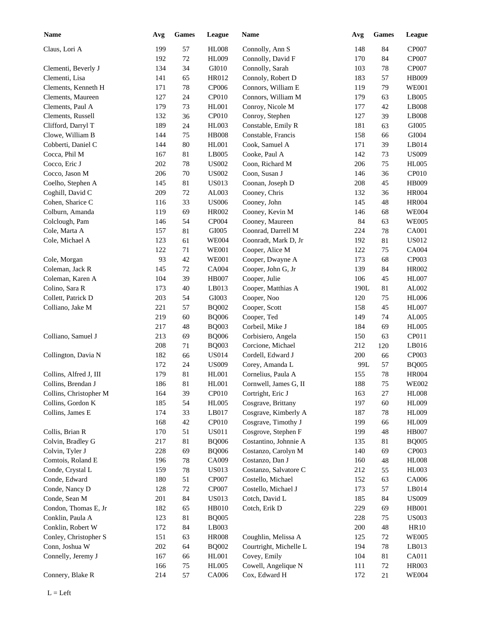| <b>Name</b>            | Avg | <b>Games</b> | League            | Name                   | Avg  | <b>Games</b> | League       |
|------------------------|-----|--------------|-------------------|------------------------|------|--------------|--------------|
| Claus, Lori A          | 199 | 57           | <b>HL008</b>      | Connolly, Ann S        | 148  | 84           | CP007        |
|                        | 192 | $72\,$       | <b>HL009</b>      | Connolly, David F      | 170  | 84           | CP007        |
| Clementi, Beverly J    | 134 | 34           | GI010             | Connolly, Sarah        | 103  | 78           | CP007        |
| Clementi, Lisa         | 141 | 65           | HR012             | Connoly, Robert D      | 183  | 57           | <b>HB009</b> |
| Clements, Kenneth H    | 171 | 78           | CP006             | Connors, William E     | 119  | 79           | <b>WE001</b> |
| Clements, Maureen      | 127 | 24           | CP010             | Connors, William M     | 179  | 63           | LB005        |
| Clements, Paul A       | 179 | 73           | HL001             | Conroy, Nicole M       | 177  | 42           | LB008        |
| Clements, Russell      | 132 | 36           | CP010             | Conroy, Stephen        | 127  | 39           | LB008        |
| Clifford, Darryl T     | 189 | 24           | <b>HL003</b>      | Constable, Emily R     | 181  | 63           | GI005        |
| Clowe, William B       | 144 | 75           | <b>HB008</b>      | Constable, Francis     | 158  | 66           | GI004        |
| Cobberti, Daniel C     | 144 | 80           | HL001             | Cook, Samuel A         | 171  | 39           | LB014        |
| Cocca, Phil M          | 167 | 81           | LB005             | Cooke, Paul A          | 142  | 73           | <b>US009</b> |
| Cocco, Eric J          | 202 | 78           | <b>US002</b>      | Coon, Richard M        | 206  | 75           | <b>HL005</b> |
| Cocco, Jason M         | 206 | 70           | <b>US002</b>      | Coon, Susan J          | 146  | 36           | CP010        |
| Coelho, Stephen A      | 145 | 81           | <b>US013</b>      | Coonan, Joseph D       | 208  | 45           | <b>HB009</b> |
| Coghill, David C       | 209 | $72\,$       | AL003             | Cooney, Chris          | 132  | 36           | <b>HR004</b> |
| Cohen, Sharice C       | 116 | 33           | <b>US006</b>      | Cooney, John           | 145  | 48           | <b>HR004</b> |
| Colburn, Amanda        | 119 | 69           | <b>HR002</b>      | Cooney, Kevin M        | 146  | 68           | <b>WE004</b> |
| Colclough, Pam         | 146 | 54           | CP004             | Cooney, Maureen        | 84   | 63           | <b>WE005</b> |
| Cole, Marta A          | 157 | 81           | GI005             | Coonrad, Darrell M     | 224  | 78           | <b>CA001</b> |
| Cole, Michael A        | 123 | 61           | <b>WE004</b>      | Coonradt, Mark D, Jr   | 192  | 81           | <b>US012</b> |
|                        | 122 | 71           | <b>WE001</b>      | Cooper, Alice M        | 122  | 75           | CA004        |
| Cole, Morgan           | 93  | 42           | <b>WE001</b>      | Cooper, Dwayne A       | 173  | 68           | CP003        |
| Coleman, Jack R        | 145 | 72           | <b>CA004</b>      | Cooper, John G, Jr     | 139  | 84           | <b>HR002</b> |
| Coleman, Karen A       | 104 | 39           | <b>HB007</b>      | Cooper, Julie          | 106  | 45           | <b>HL007</b> |
| Colino, Sara R         | 173 | 40           | LB013             | Cooper, Matthias A     | 190L | 81           | AL002        |
| Collett, Patrick D     | 203 | 54           | GI003             | Cooper, Noo            | 120  | 75           | <b>HL006</b> |
| Colliano, Jake M       | 221 | 57           | <b>BQ002</b>      | Cooper, Scott          | 158  | 45           | <b>HL007</b> |
|                        | 219 | 60           | <b>BQ006</b>      | Cooper, Ted            | 149  | 74           | AL005        |
|                        | 217 | 48           | <b>BQ003</b>      | Corbeil, Mike J        | 184  | 69           | <b>HL005</b> |
| Colliano, Samuel J     | 213 | 69           | <b>BQ006</b>      | Corbisiero, Angela     | 150  | 63           | CP011        |
|                        | 208 | 71           | <b>BQ003</b>      | Corcione, Michael      | 212  | 120          | LB016        |
| Collington, Davia N    | 182 | 66           | <b>US014</b>      | Cordell, Edward J      | 200  | 66           | CP003        |
|                        | 172 | 24           | <b>US009</b>      | Corey, Amanda L        | 99L  | 57           | <b>BQ005</b> |
| Collins, Alfred J, III | 179 | 81           | HL001             | Cornelius, Paula A     | 155  | 78           | <b>HR004</b> |
| Collins, Brendan J     | 186 | $81\,$       | HL001             | Cornwell, James G, II  | 188  | $75\,$       | <b>WE002</b> |
| Collins, Christopher M | 164 | 39           | CP010             | Cortright, Eric J      | 163  | 27           | <b>HL008</b> |
| Collins, Gordon K      | 185 | 54           | <b>HL005</b>      | Cosgrave, Brittany     | 197  | 60           | <b>HL009</b> |
| Collins, James E       | 174 | 33           | LB017             | Cosgrave, Kimberly A   | 187  | $78\,$       | <b>HL009</b> |
|                        | 168 | $42\,$       | CP <sub>010</sub> | Cosgrave, Timothy J    | 199  | 66           | <b>HL009</b> |
| Collis, Brian R        | 170 | 51           | <b>US011</b>      | Cosgrove, Stephen F    | 199  | 48           | <b>HB007</b> |
| Colvin, Bradley G      | 217 | 81           | <b>BQ006</b>      | Costantino, Johnnie A  | 135  | 81           | <b>BQ005</b> |
| Colvin, Tyler J        | 228 | 69           | <b>BQ006</b>      | Costanzo, Carolyn M    | 140  | 69           | CP003        |
| Comtois, Roland E      | 196 | $78\,$       | CA009             | Costanzo, Dan J        | 160  | 48           | $\rm{H}L008$ |
| Conde, Crystal L       | 159 | $78\,$       | <b>US013</b>      | Costanzo, Salvatore C  | 212  | 55           | <b>HL003</b> |
| Conde, Edward          | 180 | 51           | CP007             | Costello, Michael      | 152  | 63           | CA006        |
| Conde, Nancy D         | 128 | $72\,$       | CP007             | Costello, Michael J    | 173  | 57           | LB014        |
| Conde, Sean M          | 201 | $\bf 84$     | <b>US013</b>      | Cotch, David L         | 185  | 84           | <b>US009</b> |
| Condon, Thomas E, Jr   | 182 | 65           | <b>HB010</b>      | Cotch, Erik D          | 229  | 69           | <b>HB001</b> |
|                        | 123 | 81           |                   |                        |      |              | <b>US003</b> |
| Conklin, Paula A       |     |              | <b>BQ005</b>      |                        | 228  | 75           |              |
| Conklin, Robert W      | 172 | 84           | LB003             |                        | 200  | 48           | HR10         |
| Conley, Christopher S  | 151 | 63           | <b>HR008</b>      | Coughlin, Melissa A    | 125  | $72\,$       | <b>WE005</b> |
| Conn, Joshua W         | 202 | 64           | <b>BQ002</b>      | Courtright, Michelle L | 194  | $78\,$       | LB013        |
| Connelly, Jeremy J     | 167 | 66           | <b>HL001</b>      | Covey, Emily           | 104  | 81           | CA011        |
|                        | 166 | 75           | <b>HL005</b>      | Cowell, Angelique N    | 111  | $72\,$       | <b>HR003</b> |
| Connery, Blake R       | 214 | 57           | CA006             | Cox, Edward H          | 172  | 21           | <b>WE004</b> |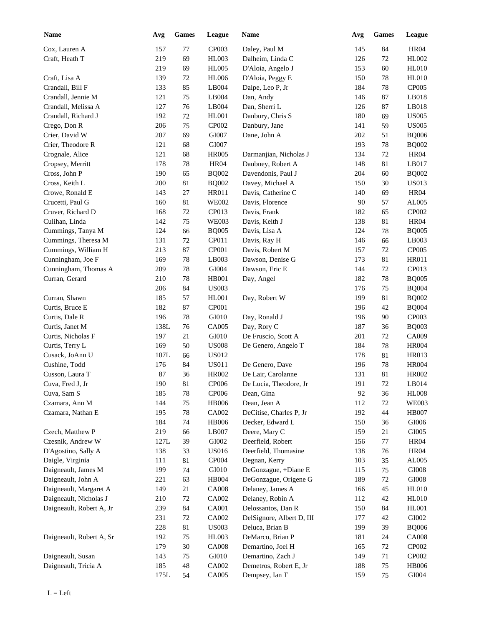| <b>Name</b>              | Avg  | <b>Games</b> | League        | Name                      | Avg | <b>Games</b> | League                |
|--------------------------|------|--------------|---------------|---------------------------|-----|--------------|-----------------------|
| Cox, Lauren A            | 157  | 77           | CP003         | Daley, Paul M             | 145 | 84           | <b>HR04</b>           |
| Craft, Heath T           | 219  | 69           | <b>HL003</b>  | Dalheim, Linda C          | 126 | 72           | HL002                 |
|                          | 219  | 69           | <b>HL005</b>  | D'Aloia, Angelo J         | 153 | 60           | <b>HL010</b>          |
| Craft, Lisa A            | 139  | $72\,$       | <b>HL006</b>  | D'Aloia, Peggy E          | 150 | 78           | <b>HL010</b>          |
| Crandall, Bill F         | 133  | 85           | LB004         | Dalpe, Leo P, Jr          | 184 | 78           | CP005                 |
| Crandall, Jennie M       | 121  | 75           | LB004         | Dan, Andy                 | 146 | 87           | LB018                 |
| Crandall, Melissa A      | 127  | 76           | LB004         | Dan, Sherri L             | 126 | 87           | LB018                 |
| Crandall, Richard J      | 192  | $72\,$       | HL001         | Danbury, Chris S          | 180 | 69           | <b>US005</b>          |
| Crego, Don R             | 206  | 75           | CP002         | Danbury, Jane             | 141 | 59           | <b>US005</b>          |
| Crier, David W           | 207  | 69           | GI007         | Dane, John A              | 202 | 51           | <b>BQ006</b>          |
| Crier, Theodore R        | 121  | 68           | GI007         |                           | 193 | 78           | <b>BQ002</b>          |
| Crognale, Alice          | 121  | 68           | <b>HR005</b>  | Darmanjian, Nicholas J    | 134 | 72           | <b>HR04</b>           |
| Cropsey, Merritt         | 178  | 78           | <b>HR04</b>   | Daubney, Robert A         | 148 | 81           | LB017                 |
| Cross, John P            | 190  | 65           | <b>BQ002</b>  | Davendonis, Paul J        | 204 | 60           | <b>BQ002</b>          |
| Cross, Keith L           | 200  | 81           | <b>BQ002</b>  | Davey, Michael A          | 150 | 30           | <b>US013</b>          |
| Crowe, Ronald E          | 143  | 27           | HR011         | Davis, Catherine C        | 140 | 69           | <b>HR04</b>           |
| Crucetti, Paul G         | 160  | 81           | <b>WE002</b>  | Davis, Florence           | 90  | 57           | AL005                 |
| Cruver, Richard D        | 168  | 72           | CP013         | Davis, Frank              | 182 | 65           | CP002                 |
| Culihan, Linda           | 142  | 75           | <b>WE003</b>  | Davis, Keith J            | 138 | 81           | <b>HR04</b>           |
| Cummings, Tanya M        | 124  | 66           | <b>BQ005</b>  | Davis, Lisa A             | 124 | 78           | <b>BQ005</b>          |
| Cummings, Theresa M      | 131  | 72           | CP011         | Davis, Ray H              | 146 | 66           | LB003                 |
| Cummings, William H      | 213  | 87           | CP001         | Davis, Robert M           | 157 | 72           | CP005                 |
|                          | 169  | $78\,$       |               |                           |     |              |                       |
| Cunningham, Joe F        | 209  |              | LB003         | Dawson, Denise G          | 173 | 81           | <b>HR011</b><br>CP013 |
| Cunningham, Thomas A     |      | 78           | GI004         | Dawson, Eric E            | 144 | 72           |                       |
| Curran, Gerard           | 210  | 78           | <b>HB001</b>  | Day, Angel                | 182 | 78           | <b>BQ005</b>          |
|                          | 206  | 84           | <b>US003</b>  |                           | 176 | 75           | <b>BQ004</b>          |
| Curran, Shawn            | 185  | 57           | HL001         | Day, Robert W             | 199 | 81           | <b>BQ002</b>          |
| Curtis, Bruce E          | 182  | 87           | CP001         |                           | 196 | 42           | <b>BQ004</b>          |
| Curtis, Dale R           | 196  | $78\,$       | GI010         | Day, Ronald J             | 196 | 90           | CP003                 |
| Curtis, Janet M          | 138L | 76           | <b>CA005</b>  | Day, Rory C               | 187 | 36           | <b>BQ003</b>          |
| Curtis, Nicholas F       | 197  | 21           | GI010         | De Fruscio, Scott A       | 201 | 72           | CA009                 |
| Curtis, Terry L          | 169  | 50           | <b>US008</b>  | De Genero, Angelo T       | 184 | $78\,$       | <b>HR004</b>          |
| Cusack, JoAnn U          | 107L | 66           | <b>US012</b>  |                           | 178 | 81           | HR013                 |
| Cushine, Todd            | 176  | 84           | <b>US011</b>  | De Genero, Dave           | 196 | $78\,$       | <b>HR004</b>          |
| Cusson, Laura T          | 87   | 36           | <b>HR002</b>  | De Lair, Carolanne        | 131 | $81\,$       | <b>HR002</b>          |
| Cuva, Fred J, Jr         | 190  | $8\sqrt{1}$  | CP006         | De Lucia, Theodore, Jr    | 191 | $72\,$       | LB014                 |
| Cuva, Sam S              | 185  | $78\,$       | CP006         | Dean, Gina                | 92  | 36           | <b>HL008</b>          |
| Czamara, Ann M           | 144  | $75\,$       | <b>HB006</b>  | Dean, Jean A              | 112 | 72           | <b>WE003</b>          |
| Czamara, Nathan E        | 195  | $78\,$       | CA002         | DeCitise, Charles P, Jr   | 192 | 44           | <b>HB007</b>          |
|                          | 184  | 74           | <b>HB006</b>  | Decker, Edward L          | 150 | 36           | $\rm GIO06$           |
| Czech, Matthew P         | 219  | 66           | LB007         | Deere, Mary C             | 159 | 21           | GI005                 |
| Czesnik, Andrew W        | 127L | 39           | ${\rm GIO}02$ | Deerfield, Robert         | 156 | 77           | <b>HR04</b>           |
| D'Agostino, Sally A      | 138  | 33           | <b>US016</b>  | Deerfield, Thomasine      | 138 | 76           | <b>HR04</b>           |
| Daigle, Virginia         | 111  | 81           | CP004         | Degnan, Kerry             | 103 | 35           | AL005                 |
| Daigneault, James M      | 199  | $74\,$       | GI010         | DeGonzague, +Diane E      | 115 | $75\,$       | $\rm GIO08$           |
| Daigneault, John A       | 221  | 63           | HB004         | DeGonzague, Origene G     | 189 | $72\,$       | $\rm GIO08$           |
| Daigneault, Margaret A   | 149  | $21\,$       | <b>CA008</b>  | Delaney, James A          | 166 | 45           | HL010                 |
| Daigneault, Nicholas J   | 210  | $72\,$       | CA002         | Delaney, Robin A          | 112 | $42\,$       | <b>HL010</b>          |
| Daigneault, Robert A, Jr | 239  | $\bf 84$     | CA001         | Delossantos, Dan R        | 150 | 84           | <b>HL001</b>          |
|                          | 231  | $72\,$       | CA002         | DelSignore, Albert D, III | 177 | $42\,$       | ${\rm GIO}02$         |
|                          | 228  | 81           | <b>US003</b>  | Deluca, Brian B           | 199 | 39           | <b>BQ006</b>          |
| Daigneault, Robert A, Sr | 192  | 75           | HL003         | DeMarco, Brian P          | 181 | 24           | <b>CA008</b>          |
|                          | 179  | $30\,$       | <b>CA008</b>  | Demartino, Joel H         | 165 | 72           | CP002                 |
| Daigneault, Susan        | 143  | 75           | GI010         | Demartino, Zach J         | 149 | 71           | CP002                 |
| Daigneault, Tricia A     | 185  | 48           | CA002         | Demetros, Robert E, Jr    | 188 | 75           | <b>HB006</b>          |
|                          | 175L | 54           | CA005         | Dempsey, Ian T            | 159 | 75           | GI004                 |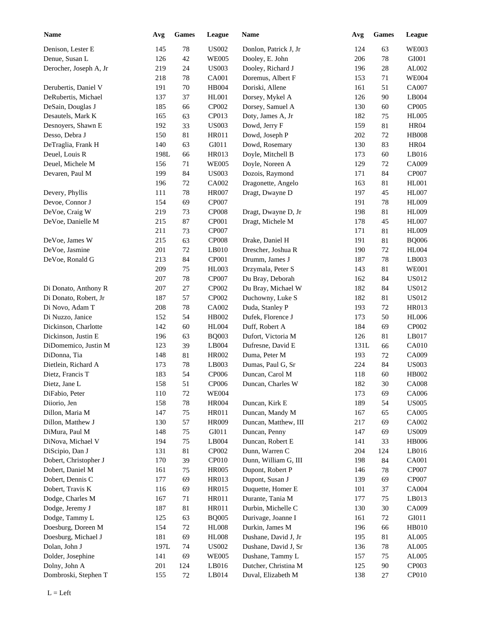| <b>Name</b>            | Avg  | <b>Games</b> | League       | Name                  | Avg  | <b>Games</b> | League       |
|------------------------|------|--------------|--------------|-----------------------|------|--------------|--------------|
| Denison, Lester E      | 145  | $78\,$       | <b>US002</b> | Donlon, Patrick J, Jr | 124  | 63           | <b>WE003</b> |
| Denue, Susan L         | 126  | $42\,$       | <b>WE005</b> | Dooley, E. John       | 206  | 78           | GI001        |
| Derocher, Joseph A, Jr | 219  | 24           | <b>US003</b> | Dooley, Richard J     | 196  | 28           | AL002        |
|                        | 218  | $78\,$       | CA001        | Doremus, Albert F     | 153  | 71           | <b>WE004</b> |
| Derubertis, Daniel V   | 191  | $70\,$       | <b>HB004</b> | Doriski, Allene       | 161  | 51           | CA007        |
| DeRubertis, Michael    | 137  | 37           | HL001        | Dorsey, Mykel A       | 126  | 90           | LB004        |
| DeSain, Douglas J      | 185  | 66           | CP002        | Dorsey, Samuel A      | 130  | 60           | CP005        |
| Desautels, Mark K      | 165  | 63           | CP013        | Doty, James A, Jr     | 182  | 75           | <b>HL005</b> |
| Desnoyers, Shawn E     | 192  | 33           | <b>US003</b> | Dowd, Jerry F         | 159  | 81           | <b>HR04</b>  |
| Desso, Debra J         | 150  | $81\,$       | HR011        | Dowd, Joseph P        | 202  | 72           | <b>HB008</b> |
| DeTraglia, Frank H     | 140  | 63           | GI011        | Dowd, Rosemary        | 130  | 83           | <b>HR04</b>  |
| Deuel, Louis R         | 198L | 66           | <b>HR013</b> | Doyle, Mitchell B     | 173  | 60           | LB016        |
| Deuel, Michele M       | 156  | 71           | <b>WE005</b> | Doyle, Noreen A       | 129  | 72           | CA009        |
| Devaren, Paul M        | 199  | 84           | <b>US003</b> | Dozois, Raymond       | 171  | 84           | CP007        |
|                        | 196  | 72           | CA002        | Dragonette, Angelo    | 163  | 81           | <b>HL001</b> |
| Devery, Phyllis        | 111  | 78           | <b>HR007</b> | Dragt, Dwayne D       | 197  | 45           | <b>HL007</b> |
| Devoe, Connor J        | 154  | 69           | <b>CP007</b> |                       | 191  | 78           | <b>HL009</b> |
| DeVoe, Craig W         | 219  | 73           | <b>CP008</b> | Dragt, Dwayne D, Jr   | 198  | 81           | <b>HL009</b> |
| DeVoe, Danielle M      | 215  | 87           | CP001        | Dragt, Michele M      | 178  | 45           | <b>HL007</b> |
|                        | 211  | 73           | <b>CP007</b> |                       | 171  | 81           | <b>HL009</b> |
| DeVoe, James W         | 215  | 63           | <b>CP008</b> | Drake, Daniel H       | 191  | 81           | <b>BQ006</b> |
| DeVoe, Jasmine         | 201  | 72           | LB010        | Drescher, Joshua R    | 190  | 72           | <b>HL004</b> |
| DeVoe, Ronald G        | 213  | 84           | CP001        | Drumm, James J        | 187  | 78           | LB003        |
|                        | 209  | 75           | HL003        | Drzymala, Peter S     | 143  | 81           | <b>WE001</b> |
|                        | 207  | 78           | CP007        | Du Bray, Deborah      | 162  | 84           | <b>US012</b> |
| Di Donato, Anthony R   | 207  | 27           | CP002        | Du Bray, Michael W    | 182  | 84           | <b>US012</b> |
| Di Donato, Robert, Jr  | 187  | 57           | CP002        | Duchowny, Luke S      | 182  | 81           | <b>US012</b> |
| Di Novo, Adam T        | 208  | 78           | CA002        | Duda, Stanley P       | 193  | 72           | HR013        |
| Di Nuzzo, Janice       | 152  | 54           | HB002        | Dufek, Florence J     | 173  | 50           | <b>HL006</b> |
| Dickinson, Charlotte   | 142  | 60           | <b>HL004</b> | Duff, Robert A        | 184  | 69           | CP002        |
| Dickinson, Justin E    | 196  | 63           | <b>BQ003</b> | Dufort, Victoria M    | 126  | 81           | LB017        |
| DiDomemico, Justin M   | 123  | 39           | LB004        | Dufresne, David E     | 131L | 66           | CA010        |
| DiDonna, Tia           | 148  | 81           | <b>HR002</b> | Duma, Peter M         | 193  | 72           | CA009        |
| Dietlein, Richard A    | 173  | $78\,$       | LB003        | Dumas, Paul G, Sr     | 224  | 84           | <b>US003</b> |
| Dietz, Francis T       | 183  | 54           | CP006        | Duncan, Carol M       | 118  | 60           | HB002        |
| Dietz, Jane L          | 158  | 51           | CP006        | Duncan, Charles W     | 182  | $30\,$       | <b>CA008</b> |
| DiFabio, Peter         | 110  | 72           | <b>WE004</b> |                       | 173  | 69           | CA006        |
| Diiorio, Jen           | 158  | $78\,$       | <b>HR004</b> | Duncan, Kirk E        | 189  | 54           | <b>US005</b> |
| Dillon, Maria M        | 147  | 75           | HR011        | Duncan, Mandy M       | 167  | 65           | CA005        |
| Dillon, Matthew J      | 130  | 57           | HR009        | Duncan, Matthew, III  | 217  | 69           | CA002        |
| DiMura, Paul M         | 148  | 75           | GI011        | Duncan, Penny         | 147  | 69           | <b>US009</b> |
| DiNova, Michael V      | 194  | 75           | LB004        | Duncan, Robert E      | 141  | 33           | <b>HB006</b> |
| DiScipio, Dan J        | 131  | 81           | CP002        | Dunn, Warren C        | 204  | 124          | LB016        |
| Dobert, Christopher J  | 170  | 39           | CP010        | Dunn, William G, III  | 198  | 84           | <b>CA001</b> |
| Dobert, Daniel M       | 161  | 75           | <b>HR005</b> | Dupont, Robert P      | 146  | 78           | CP007        |
| Dobert, Dennis C       | 177  | 69           | HR013        | Dupont, Susan J       | 139  | 69           | CP007        |
| Dobert, Travis K       | 116  | 69           | HR015        | Duquette, Homer E     | 101  | 37           | CA004        |
| Dodge, Charles M       | 167  | 71           | HR011        | Durante, Tania M      | 177  | 75           | LB013        |
| Dodge, Jeremy J        | 187  | 81           | HR011        | Durbin, Michelle C    | 130  | 30           | CA009        |
| Dodge, Tammy L         | 125  | 63           | <b>BQ005</b> | Durivage, Joanne I    | 161  | $72\,$       | GI011        |
| Doesburg, Doreen M     | 154  | 72           | <b>HL008</b> | Durkin, James M       | 196  | 66           | HB010        |
| Doesburg, Michael J    | 181  | 69           | <b>HL008</b> | Dushane, David J, Jr  | 195  | 81           | AL005        |
| Dolan, John J          | 197L | 74           | <b>US002</b> | Dushane, David J, Sr  | 136  | 78           | AL005        |
| Dolder, Josephine      | 141  | 69           | <b>WE005</b> | Dushane, Tammy L      | 157  | 75           | AL005        |
| Dolny, John A          | 201  | 124          | LB016        | Dutcher, Christina M  | 125  | 90           | CP003        |
| Dombroski, Stephen T   | 155  | 72           | LB014        | Duval, Elizabeth M    | 138  | 27           | CP010        |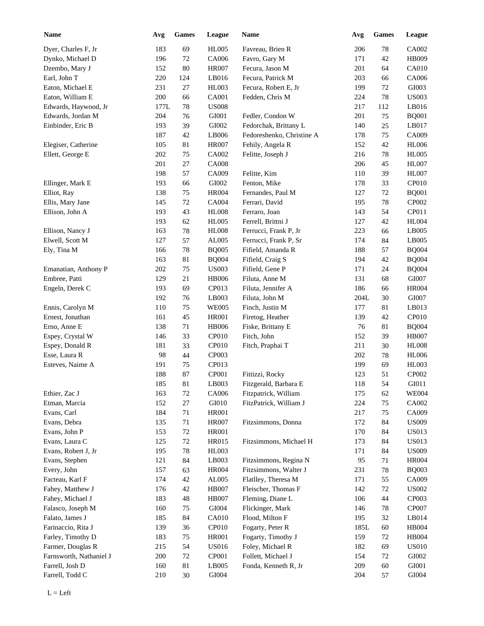| <b>Name</b>                    | Avg  | Games       | League        | Name                      | Avg     | <b>Games</b> | League                |
|--------------------------------|------|-------------|---------------|---------------------------|---------|--------------|-----------------------|
| Dyer, Charles F, Jr            | 183  | 69          | <b>HL005</b>  | Favreau, Brien R          | 206     | 78           | CA002                 |
| Dynko, Michael D               | 196  | 72          | CA006         | Favro, Gary M             | 171     | 42           | HB009                 |
| Dzembo, Mary J                 | 152  | 80          | <b>HR007</b>  | Fecura, Jason M           | 201     | 64           | <b>CA010</b>          |
| Earl, John T                   | 220  | 124         | LB016         | Fecura, Patrick M         | 203     | 66           | CA006                 |
| Eaton, Michael E               | 231  | 27          | HL003         | Fecura, Robert E, Jr      | 199     | 72           | GI003                 |
| Eaton, William E               | 200  | 66          | CA001         | Fedden, Chris M           | 224     | 78           | <b>US003</b>          |
| Edwards, Haywood, Jr           | 177L | 78          | <b>US008</b>  |                           | 217     | 112          | LB016                 |
| Edwards, Jordan M              | 204  | 76          | ${\rm GIO}01$ | Fedler, Condon W          | 201     | 75           | <b>BQ001</b>          |
| Einbinder, Eric B              | 193  | 39          | GI002         | Fedorchak, Brittany L     | 140     | 25           | LB017                 |
|                                | 187  | 42          | LB006         | Fedoreshenko, Christine A | 178     | 75           | CA009                 |
| Elegiser, Catherine            | 105  | 81          | <b>HR007</b>  | Fehily, Angela R          | 152     | 42           | <b>HL006</b>          |
| Ellett, George E               | 202  | 75          | CA002         | Felitte, Joseph J         | 216     | 78           | <b>HL005</b>          |
|                                | 201  | 27          | <b>CA008</b>  |                           | 206     | 45           | <b>HL007</b>          |
|                                | 198  | 57          | CA009         | Felitte, Kim              | 110     | 39           | <b>HL007</b>          |
| Ellinger, Mark E               | 193  | 66          | GI002         | Fenton, Mike              | 178     | 33           | CP010                 |
| Elliot, Ray                    | 138  | 75          | <b>HR004</b>  | Fernandes, Paul M         | 127     | 72           | <b>BQ001</b>          |
| Ellis, Mary Jane               | 145  | 72          | <b>CA004</b>  | Ferrari, David            | 195     | 78           | CP002                 |
| Ellison, John A                | 193  | 43          | <b>HL008</b>  | Ferraro, Joan             | 143     | 54           | CP011                 |
|                                | 193  | 62          | <b>HL005</b>  | Ferrell, Brittni J        | 127     | 42           | <b>HL004</b>          |
| Ellison, Nancy J               | 163  | 78          | <b>HL008</b>  | Ferrucci, Frank P, Jr     | 223     | 66           | LB005                 |
| Elwell, Scott M                | 127  | 57          | AL005         | Ferrucci, Frank P, Sr     | 174     | 84           | LB005                 |
| Ely, Tina M                    | 166  | 78          | <b>BQ005</b>  | Fifield, Amanda R         | 188     | 57           | <b>BQ004</b>          |
|                                | 163  | 81          | <b>BQ004</b>  | Fifield, Craig S          | 194     | 42           | <b>BQ004</b>          |
| Emanatian, Anthony P           | 202  | 75          | <b>US003</b>  | Fifield, Gene P           | 171     | 24           | <b>BQ004</b>          |
| Embree, Patti                  | 129  | 21          | <b>HB006</b>  | Filuta, Anne M            | 131     | 68           | GI007                 |
| Engeln, Derek C                | 193  | 69          | CP013         | Filuta, Jennifer A        | 186     | 66           | <b>HR004</b>          |
|                                | 192  | 76          | LB003         | Filuta, John M            | 204L    | 30           | GI007                 |
| Ennis, Carolyn M               | 110  | 75          | <b>WE005</b>  | Finch, Justin M           | 177     | 81           | LB013                 |
| Ernest, Jonathan               | 161  | 45          | <b>HR001</b>  | Firetog, Heather          | 139     | 42           | CP010                 |
| Erno, Anne E                   | 138  | $71\,$      | <b>HB006</b>  | Fiske, Brittany E         | 76      | 81           | <b>BQ004</b>          |
| Espey, Crystal W               | 146  | 33          | CP010         | Fitch, John               | 152     | 39           | <b>HB007</b>          |
| Espey, Donald R                | 181  | 33          | CP010         | Fitch, Praphai T          | 211     | 30           | <b>HL008</b>          |
| Esse, Laura R                  | 98   | $44$        | CP003         |                           | 202     | 78           | <b>HL006</b>          |
| Esteves, Naime A               | 191  | 75          | CP013         |                           | 199     | 69           | HL003                 |
|                                | 188  | 87          | CP001         | Fittizzi, Rocky           | 123     | 51           | CP002                 |
|                                | 185  | $81\,$      | LB003         | Fitzgerald, Barbara E     | $118\,$ | 54           | GI011                 |
|                                |      |             |               |                           |         |              |                       |
| Ethier, Zac J<br>Etman, Marcia | 163  | $72\,$      | CA006         | Fitzpatrick, William      | 175     | 62           | <b>WE004</b>          |
|                                | 152  | $27\,$      | GI010         | FitzPatrick, William J    | 224     | 75           | CA002                 |
| Evans, Carl                    | 184  | 71          | HR001         |                           | 217     | 75           | CA009<br><b>US009</b> |
| Evans, Debra<br>Evans, John P  | 135  | 71          | <b>HR007</b>  | Fitzsimmons, Donna        | 172     | 84           |                       |
|                                | 153  | $72\,$      | HR001         |                           | 170     | 84           | <b>US013</b>          |
| Evans, Laura C                 | 125  | $72\,$      | HR015         | Fitzsimmons, Michael H    | 173     | 84           | <b>US013</b>          |
| Evans, Robert J, Jr            | 195  | $78\,$      | HL003         |                           | 171     | 84           | <b>US009</b>          |
| Evans, Stephen                 | 121  | $84\,$      | LB003         | Fitzsimmons, Regina N     | 95      | 71           | <b>HR004</b>          |
| Every, John                    | 157  | 63          | <b>HR004</b>  | Fitzsimmons, Walter J     | 231     | 78           | <b>BQ003</b>          |
| Facteau, Karl F                | 174  | 42          | AL005         | Flatlley, Theresa M       | 171     | 55           | CA009                 |
| Fahey, Matthew J               | 176  | 42          | <b>HB007</b>  | Fleischer, Thomas F       | 142     | 72           | <b>US002</b>          |
| Fahey, Michael J               | 183  | $\sqrt{48}$ | <b>HB007</b>  | Fleming, Diane L          | 106     | 44           | CP003                 |
| Falasco, Joseph M              | 160  | 75          | GI004         | Flickinger, Mark          | 146     | 78           | CP007                 |
| Falato, James J                | 185  | 84          | <b>CA010</b>  | Flood, Milton F           | 195     | 32           | LB014                 |
| Farinaccio, Rita J             | 139  | 36          | CP010         | Fogarty, Peter R          | 185L    | 60           | HB004                 |
| Farley, Timothy D              | 183  | 75          | HR001         | Fogarty, Timothy J        | 159     | 72           | HB004                 |
| Farmer, Douglas R              | 215  | 54          | <b>US016</b>  | Foley, Michael R          | 182     | 69           | <b>US010</b>          |
| Farnsworth, Nathaniel J        | 200  | $72\,$      | CP001         | Follett, Michael J        | 154     | 72           | GI002                 |
| Farrell, Josh D                | 160  | 81          | LB005         | Fonda, Kenneth R, Jr      | 209     | 60           | GI001                 |
| Farrell, Todd C                | 210  | 30          | GI004         |                           | 204     | 57           | GI004                 |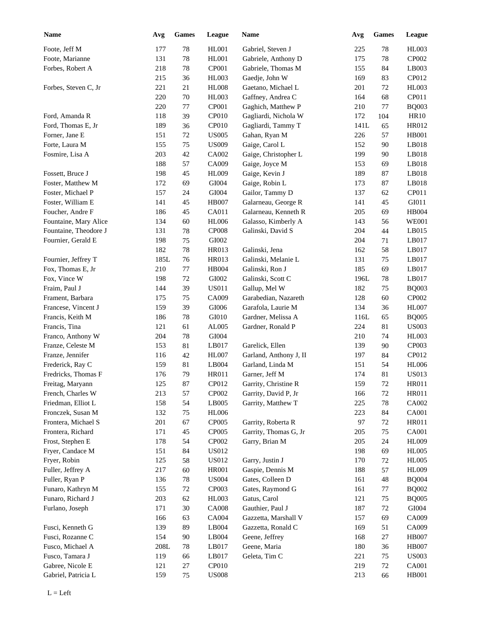| <b>Name</b>           | Avg             | <b>Games</b> | League       | Name                   | Avg        | Games    | League       |
|-----------------------|-----------------|--------------|--------------|------------------------|------------|----------|--------------|
| Foote, Jeff M         | 177             | 78           | <b>HL001</b> | Gabriel, Steven J      | 225        | 78       | <b>HL003</b> |
| Foote, Marianne       | 131             | 78           | <b>HL001</b> | Gabriele, Anthony D    | 175        | 78       | CP002        |
| Forbes, Robert A      | 218             | 78           | CP001        | Gabriele, Thomas M     | 155        | 84       | LB003        |
|                       | 215             | 36           | <b>HL003</b> | Gaedje, John W         | 169        | 83       | CP012        |
| Forbes, Steven C, Jr  | 221             | 21           | <b>HL008</b> | Gaetano, Michael L     | 201        | 72       | <b>HL003</b> |
|                       | 220             | 70           | HL003        | Gaffney, Andrea C      | 164        | 68       | CP011        |
|                       | 220             | 77           | CP001        | Gaghich, Matthew P     | 210        | 77       | <b>BQ003</b> |
| Ford, Amanda R        | 118             | 39           | CP010        | Gagliardi, Nichola W   | 172        | 104      | <b>HR10</b>  |
| Ford, Thomas E, Jr    | 189             | 36           | CP010        | Gagliardi, Tammy T     | 141L       | 65       | HR012        |
| Forner, Jane E        | 151             | $72\,$       | <b>US005</b> | Gahan, Ryan M          | 226        | 57       | <b>HB001</b> |
| Forte, Laura M        | 155             | 75           | <b>US009</b> | Gaige, Carol L         | 152        | 90       | LB018        |
| Fosmire, Lisa A       | 203             | 42           | CA002        | Gaige, Christopher L   | 199        | 90       | LB018        |
|                       | 188             | 57           | CA009        | Gaige, Joyce M         | 153        | 69       | LB018        |
| Fossett, Bruce J      | 198             | 45           | <b>HL009</b> | Gaige, Kevin J         | 189        | 87       | LB018        |
| Foster, Matthew M     | 172             | 69           | GI004        | Gaige, Robin L         | 173        | 87       | LB018        |
| Foster, Michael P     | 157             | 24           | GI004        | Gailor, Tammy D        | 137        | 62       | CP011        |
| Foster, William E     | 141             | 45           | <b>HB007</b> | Galarneau, George R    | 141        | 45       | GI011        |
| Foucher, Andre F      | 186             | 45           | CA011        | Galarneau, Kenneth R   | 205        | 69       | <b>HB004</b> |
| Fountaine, Mary Alice | 134             | 60           | <b>HL006</b> | Galasso, Kimberly A    | 143        | 56       | <b>WE001</b> |
| Fountaine, Theodore J | 131             | 78           | CP008        | Galinski, David S      | 204        | 44       | LB015        |
| Fournier, Gerald E    | 198             | 75           | GI002        |                        | 204        | 71       | LB017        |
|                       | 182             | 78           | <b>HR013</b> | Galinski, Jena         | 162        | 58       | LB017        |
| Fournier, Jeffrey T   | 185L            | 76           | <b>HR013</b> | Galinski, Melanie L    | 131        | 75       | LB017        |
| Fox, Thomas E, Jr     | 210             | 77           | HB004        | Galinski, Ron J        | 185        | 69       | LB017        |
| Fox, Vince W          | 198             | 72           | GI002        | Galinski, Scott C      | 196L       | 78       | LB017        |
| Fraim, Paul J         | 144             | 39           | <b>US011</b> | Gallup, Mel W          | 182        | 75       | <b>BQ003</b> |
| Frament, Barbara      | 175             | 75           | CA009        | Garabedian, Nazareth   | 128        | 60       | CP002        |
| Francese, Vincent J   | 159             | 39           | GI006        | Garafola, Laurie M     | 134        | 36       | <b>HL007</b> |
| Francis, Keith M      | 186             | 78           | GI010        | Gardner, Melissa A     | 116L       | 65       | <b>BQ005</b> |
| Francis, Tina         | 121             | 61           | AL005        | Gardner, Ronald P      | 224        | 81       | <b>US003</b> |
| Franco, Anthony W     | 204             | 78           | GI004        |                        | 210        | 74       | <b>HL003</b> |
| Franze, Celeste M     | 153             | 81           | LB017        | Garelick, Ellen        | 139        | 90       | CP003        |
|                       |                 |              |              | Garland, Anthony J, II |            |          |              |
| Franze, Jennifer      | 116             | 42           | <b>HL007</b> |                        | 197        | 84       | CP012        |
| Frederick, Ray C      | 159             | 81<br>79     | LB004        | Garland, Linda M       | 151<br>174 | 54<br>81 | <b>HL006</b> |
| Fredricks, Thomas F   | 176             |              | <b>HR011</b> | Garner, Jeff M         |            |          | <b>US013</b> |
| Freitag, Maryann      | 125             | 87           | CP012        | Garrity, Christine R   | 159        | $72\,$   | HR011        |
| French, Charles W     | 213             | 57           | CP002        | Garrity, David P, Jr   | 166        | 72       | HR011        |
| Friedman, Elliot L    | 158             | 54           | LB005        | Garrity, Matthew T     | 225        | 78       | CA002        |
| Fronczek, Susan M     | 132             | 75           | <b>HL006</b> |                        | 223        | 84       | CA001        |
| Frontera, Michael S   | 201             | 67           | CP005        | Garrity, Roberta R     | 97         | 72       | HR011        |
| Frontera, Richard     | 171             | 45           | CP005        | Garrity, Thomas G, Jr  | 205        | 75       | CA001        |
| Frost, Stephen E      | 178             | 54           | CP002        | Garry, Brian M         | 205        | 24       | <b>HL009</b> |
| Fryer, Candace M      | 151             | 84           | <b>US012</b> |                        | 198        | 69       | <b>HL005</b> |
| Fryer, Robin          | 125             | 58           | <b>US012</b> | Garry, Justin J        | 170        | 72       | <b>HL005</b> |
| Fuller, Jeffrey A     | 217             | 60           | <b>HR001</b> | Gaspie, Dennis M       | 188        | 57       | <b>HL009</b> |
| Fuller, Ryan P        | 136             | $78\,$       | <b>US004</b> | Gates, Colleen D       | 161        | 48       | <b>BQ004</b> |
| Funaro, Kathryn M     | 155             | 72           | CP003        | Gates, Raymond G       | 161        | 77       | <b>BQ002</b> |
| Funaro, Richard J     | 203             | 62           | HL003        | Gatus, Carol           | 121        | 75       | <b>BQ005</b> |
| Furlano, Joseph       | 171             | $30\,$       | <b>CA008</b> | Gauthier, Paul J       | 187        | 72       | GI004        |
|                       | 166             | 63           | CA004        | Gazzetta, Marshall V   | 157        | 69       | CA009        |
| Fusci, Kenneth G      | 139             | 89           | LB004        | Gazzetta, Ronald C     | 169        | 51       | CA009        |
| Fusci, Rozanne C      | 154             | $90\,$       | LB004        | Geene, Jeffrey         | 168        | $27\,$   | <b>HB007</b> |
| Fusco, Michael A      | $208\mathrm{L}$ | 78           | LB017        | Geene, Maria           | 180        | 36       | <b>HB007</b> |
| Fusco, Tamara J       | 119             | 66           | LB017        | Geleta, Tim C          | 221        | 75       | <b>US003</b> |
| Gabree, Nicole E      | 121             | 27           | CP010        |                        | 219        | $72\,$   | CA001        |
| Gabriel, Patricia L   | 159             | 75           | <b>US008</b> |                        | 213        | 66       | <b>HB001</b> |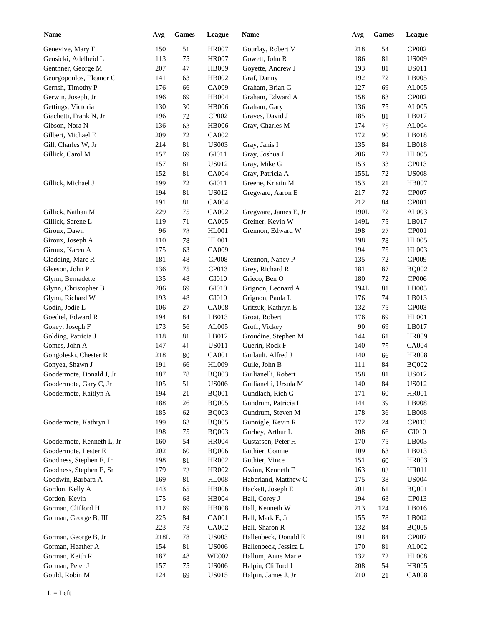| <b>Name</b>               | Avg  | Games  | League       | Name                  | Avg  | Games | League                 |
|---------------------------|------|--------|--------------|-----------------------|------|-------|------------------------|
| Genevive, Mary E          | 150  | 51     | <b>HR007</b> | Gourlay, Robert V     | 218  | 54    | CP002                  |
| Gensicki, Adelheid L      | 113  | 75     | <b>HR007</b> | Gowett, John R        | 186  | 81    | <b>US009</b>           |
| Genthner, George M        | 207  | 47     | HB009        | Goyette, Andrew J     | 193  | 81    | <b>US011</b>           |
| Georgopoulos, Eleanor C   | 141  | 63     | HB002        | Graf, Danny           | 192  | 72    | LB005                  |
| Gernsh, Timothy P         | 176  | 66     | CA009        | Graham, Brian G       | 127  | 69    | AL005                  |
| Gerwin, Joseph, Jr        | 196  | 69     | HB004        | Graham, Edward A      | 158  | 63    | CP002                  |
| Gettings, Victoria        | 130  | 30     | <b>HB006</b> | Graham, Gary          | 136  | 75    | AL005                  |
| Giachetti, Frank N, Jr    | 196  | 72     | CP002        | Graves, David J       | 185  | 81    | LB017                  |
| Gibson, Nora N            | 136  | 63     | <b>HB006</b> | Gray, Charles M       | 174  | 75    | AL004                  |
| Gilbert, Michael E        | 209  | 72     | CA002        |                       | 172  | 90    | LB018                  |
| Gill, Charles W, Jr       | 214  | 81     | <b>US003</b> | Gray, Janis I         | 135  | 84    | LB018                  |
| Gillick, Carol M          | 157  | 69     | GI011        | Gray, Joshua J        | 206  | 72    | <b>HL005</b>           |
|                           | 157  | 81     | <b>US012</b> | Gray, Mike G          | 153  | 33    | CP013                  |
|                           | 152  | 81     | CA004        | Gray, Patricia A      | 155L | 72    | <b>US008</b>           |
| Gillick, Michael J        | 199  | 72     | GI011        | Greene, Kristin M     | 153  | 21    | <b>HB007</b>           |
|                           | 194  | 81     | <b>US012</b> | Gregware, Aaron E     | 217  | 72    | CP007                  |
|                           | 191  | 81     | CA004        |                       | 212  | 84    | CP001                  |
|                           | 229  |        |              |                       |      |       | AL003                  |
| Gillick, Nathan M         |      | 75     | CA002        | Gregware, James E, Jr | 190L | 72    |                        |
| Gillick, Sarene L         | 119  | 71     | CA005        | Greiner, Kevin W      | 149L | 75    | LB017                  |
| Giroux, Dawn              | 96   | 78     | HL001        | Grennon, Edward W     | 198  | 27    | CP001                  |
| Giroux, Joseph A          | 110  | 78     | HL001        |                       | 198  | 78    | <b>HL005</b>           |
| Giroux, Karen A           | 175  | 63     | CA009        |                       | 194  | 75    | HL003                  |
| Gladding, Marc R          | 181  | 48     | <b>CP008</b> | Grennon, Nancy P      | 135  | 72    | CP009                  |
| Gleeson, John P           | 136  | 75     | CP013        | Grey, Richard R       | 181  | 87    | <b>BQ002</b>           |
| Glynn, Bernadette         | 135  | 48     | GI010        | Grieco, Ben O         | 180  | 72    | CP006                  |
| Glynn, Christopher B      | 206  | 69     | GI010        | Grignon, Leonard A    | 194L | 81    | LB005                  |
| Glynn, Richard W          | 193  | 48     | GI010        | Grignon, Paula L      | 176  | 74    | LB013                  |
| Godin, Jodie L            | 106  | 27     | <b>CA008</b> | Gritzuk, Kathryn E    | 132  | 75    | CP003                  |
| Goedtel, Edward R         | 194  | 84     | LB013        | Groat, Robert         | 176  | 69    | <b>HL001</b>           |
| Gokey, Joseph F           | 173  | 56     | AL005        | Groff, Vickey         | 90   | 69    | LB017                  |
| Golding, Patricia J       | 118  | 81     | LB012        | Groudine, Stephen M   | 144  | 61    | <b>HR009</b>           |
| Gomes, John A             | 147  | 41     | <b>US011</b> | Guerin, Rock F        | 140  | 75    | CA004                  |
| Gongoleski, Chester R     | 218  | 80     | CA001        | Guilault, Alfred J    | 140  | 66    | <b>HR008</b>           |
| Gonyea, Shawn J           | 191  | 66     | <b>HL009</b> | Guile, John B         | 111  | 84    | <b>BQ002</b>           |
| Goodermote, Donald J, Jr  | 187  | 78     | <b>BQ003</b> | Guilianelli, Robert   | 158  | 81    | <b>US012</b>           |
| Goodermote, Gary C, Jr    | 105  | 51     | <b>US006</b> | Guilianelli, Ursula M | 140  | 84    | <b>US012</b>           |
| Goodermote, Kaitlyn A     | 194  | 21     | <b>BQ001</b> | Gundlach, Rich G      | 171  | 60    | <b>HR001</b>           |
|                           | 188  | 26     | <b>BQ005</b> | Gundrum, Patricia L   | 144  | 39    | LB008                  |
|                           | 185  | 62     | <b>BQ003</b> | Gundrum, Steven M     | 178  | 36    | LB008                  |
| Goodermote, Kathryn L     | 199  | 63     | <b>BQ005</b> | Gunnigle, Kevin R     | 172  | 24    | CP013                  |
|                           | 198  | 75     | <b>BQ003</b> | Gurbey, Arthur L      | 208  | 66    | GI010                  |
| Goodermote, Kenneth L, Jr | 160  | 54     | <b>HR004</b> | Gustafson, Peter H    | 170  | 75    | LB003                  |
| Goodermote, Lester E      | 202  | 60     | <b>BQ006</b> | Guthier, Connie       | 109  | 63    | LB013                  |
| Goodness, Stephen E, Jr   | 198  | 81     | HR002        | Guthier, Vince        | 151  | 60    | HR003                  |
| Goodness, Stephen E, Sr   | 179  | 73     | HR002        | Gwinn, Kenneth F      | 163  | 83    | HR011                  |
| Goodwin, Barbara A        | 169  | 81     | <b>HL008</b> | Haberland, Matthew C  | 175  | 38    | <b>US004</b>           |
| Gordon, Kelly A           | 143  | 65     | <b>HB006</b> | Hackett, Joseph E     | 201  | 61    | <b>BQ001</b>           |
| Gordon, Kevin             | 175  | 68     | HB004        | Hall, Corey J         | 194  | 63    | CP013                  |
| Gorman, Clifford H        | 112  | 69     | <b>HB008</b> | Hall, Kenneth W       | 213  | 124   | LB016                  |
| Gorman, George B, III     | 225  | 84     | CA001        | Hall, Mark E, Jr      | 155  | 78    | $\operatorname{LB002}$ |
|                           | 223  | $78\,$ | CA002        | Hall, Sharon R        | 132  | 84    | <b>BQ005</b>           |
|                           |      |        |              |                       |      |       |                        |
| Gorman, George B, Jr      | 218L | $78\,$ | <b>US003</b> | Hallenbeck, Donald E  | 191  | 84    | CP007                  |
| Gorman, Heather A         | 154  | 81     | <b>US006</b> | Hallenbeck, Jessica L | 170  | 81    | ${\rm AL}002$          |
| Gorman, Keith R           | 187  | 48     | <b>WE002</b> | Hallum, Anne Marie    | 132  | 72    | <b>HL008</b>           |
| Gorman, Peter J           | 157  | 75     | <b>US006</b> | Halpin, Clifford J    | 208  | 54    | <b>HR005</b>           |
| Gould, Robin M            | 124  | 69     | <b>US015</b> | Halpin, James J, Jr   | 210  | 21    | <b>CA008</b>           |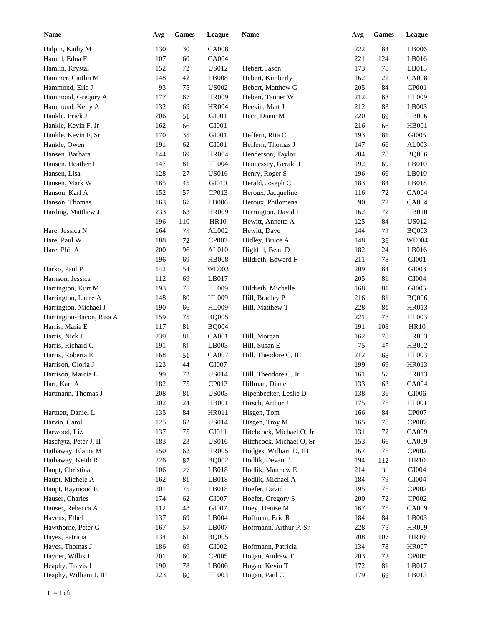| <b>Name</b>              | Avg | <b>Games</b> | League       | Name                     | Avg | <b>Games</b> | <b>League</b> |
|--------------------------|-----|--------------|--------------|--------------------------|-----|--------------|---------------|
| Halpin, Kathy M          | 130 | 30           | <b>CA008</b> |                          | 222 | 84           | LB006         |
| Hamill, Edna F           | 107 | 60           | CA004        |                          | 221 | 124          | LB016         |
| Hamlin, Krystal          | 152 | $72\,$       | <b>US012</b> | Hebert, Jason            | 173 | 78           | LB013         |
| Hammer, Caitlin M        | 148 | 42           | LB008        | Hebert, Kimberly         | 162 | 21           | <b>CA008</b>  |
| Hammond, Eric J          | 93  | 75           | <b>US002</b> | Hebert, Matthew C        | 205 | 84           | CP001         |
| Hammond, Gregory A       | 177 | 67           | HR009        | Hebert, Tanner W         | 212 | 63           | <b>HL009</b>  |
| Hammond, Kelly A         | 132 | 69           | <b>HR004</b> | Heekin, Matt J           | 212 | 83           | LB003         |
| Hankle, Erick J          | 206 | 51           | GI001        | Heer, Diane M            | 220 | 69           | <b>HB006</b>  |
| Hankle, Kevin F, Jr      | 162 | 66           | GI001        |                          | 216 | 66           | <b>HB001</b>  |
| Hankle, Kevin F, Sr      | 170 | 35           | GI001        | Heffern, Rita C          | 193 | 81           | GI005         |
| Hankle, Owen             | 191 | 62           | GI001        | Heffern, Thomas J        | 147 | 66           | AL003         |
| Hansen, Barbara          | 144 | 69           | <b>HR004</b> | Henderson, Taylor        | 204 | 78           | <b>BQ006</b>  |
| Hansen, Heather L        | 147 | 81           | <b>HL004</b> | Hennessey, Gerald J      | 192 | 69           | LB010         |
| Hansen, Lisa             | 128 | 27           | <b>US016</b> | Henry, Roger S           | 196 | 66           | LB010         |
| Hansen, Mark W           | 165 | 45           | GI010        | Herald, Joseph C         | 183 | 84           | LB018         |
| Hanson, Karl A           | 152 | 57           | CP013        | Heroux, Jacqueline       | 116 | 72           | CA004         |
| Hanson, Thomas           | 163 | 67           | LB006        | Heroux, Philomena        | 90  | 72           | CA004         |
|                          | 233 | 63           | <b>HR009</b> | Herrington, David L      | 162 | 72           | <b>HB010</b>  |
| Harding, Matthew J       |     |              | <b>HR10</b>  |                          |     |              | <b>US012</b>  |
|                          | 196 | 110          |              | Hewitt, Annetta A        | 125 | 84           |               |
| Hare, Jessica N          | 164 | 75           | AL002        | Hewitt, Dave             | 144 | 72           | <b>BQ003</b>  |
| Hare, Paul W             | 188 | 72           | CP002        | Hidley, Bruce A          | 148 | 36           | <b>WE004</b>  |
| Hare, Phil A             | 200 | 96           | AL010        | Highfill, Beau D         | 182 | 24           | LB016         |
|                          | 196 | 69           | <b>HB008</b> | Hildreth, Edward F       | 211 | $78\,$       | GI001         |
| Harko, Paul P            | 142 | 54           | <b>WE003</b> |                          | 209 | 84           | GI003         |
| Harnson, Jessica         | 112 | 69           | LB017        |                          | 205 | 81           | GI004         |
| Harrington, Kurt M       | 193 | 75           | <b>HL009</b> | Hildreth, Michelle       | 168 | 81           | GI005         |
| Harrington, Laure A      | 148 | 80           | <b>HL009</b> | Hill, Bradley P          | 216 | 81           | <b>BQ006</b>  |
| Harrington, Michael J    | 190 | 66           | <b>HL009</b> | Hill, Matthew T          | 228 | 81           | HR013         |
| Harrington-Bacon, Risa A | 159 | 75           | $\rm BQ005$  |                          | 221 | 78           | <b>HL003</b>  |
| Harris, Maria E          | 117 | 81           | <b>BQ004</b> |                          | 191 | 108          | <b>HR10</b>   |
| Harris, Nick J           | 239 | 81           | CA001        | Hill, Morgan             | 162 | 78           | <b>HR003</b>  |
| Harris, Richard G        | 191 | 81           | LB003        | Hill, Susan E            | 75  | 45           | HB002         |
| Harris, Roberta E        | 168 | 51           | CA007        | Hill, Theodore C, III    | 212 | 68           | <b>HL003</b>  |
| Harrison, Gloria J       | 123 | 44           | GI007        |                          | 199 | 69           | <b>HR013</b>  |
| Harrison, Marcia L       | 99  | 72           | <b>US014</b> | Hill, Theodore C, Jr     | 161 | 57           | HR013         |
| Hart, Karl A             | 182 | 75           | CP013        | Hillman, Diane           | 133 | 63           | <b>CA004</b>  |
| Hartmann, Thomas J       | 208 | $81\,$       | <b>US003</b> | Hipenbecker, Leslie D    | 138 | 36           | GI006         |
|                          | 202 | 24           | HB001        | Hirsch, Arthur J         | 175 | 75           | HL001         |
| Hartnett, Daniel L       | 135 | 84           | HR011        | Hisgen, Tom              | 166 | 84           | CP007         |
| Harvin, Carol            | 125 | 62           | <b>US014</b> | Hisgen, Troy M           | 165 | $78\,$       | CP007         |
| Harwood, Liz             | 137 | 75           | GI011        | Hitchcock, Michael O, Jr | 131 | 72           | CA009         |
| Haschytz, Peter J, II    | 183 | 23           | <b>US016</b> | Hitchcock, Michael O, Sr | 153 | 66           | CA009         |
| Hathaway, Elaine M       | 150 | 62           | <b>HR005</b> | Hodges, William D, III   | 167 | 75           | CP002         |
| Hathaway, Keith R        | 226 | $87\,$       | <b>BQ002</b> | Hodlik, Devan F          | 194 | 112          | HR10          |
| Haupt, Christina         | 106 | $27\,$       | LB018        | Hodlik, Matthew E        | 214 | 36           | GI004         |
| Haupt, Michele A         | 162 | $81\,$       | LB018        | Hodlik, Michael A        | 184 | 79           | GI004         |
| Haupt, Raymond E         | 201 | 75           | LB018        | Hoefer, David            | 195 | 75           | CP002         |
| Hauser, Charles          | 174 | 62           | GI007        | Hoefer, Gregory S        | 200 | $72\,$       | CP002         |
| Hauser, Rebecca A        | 112 | 48           | GI007        | Hoey, Denise M           | 167 | 75           | CA009         |
| Havens, Ethel            | 137 | 69           | LB004        | Hoffman, Eric R          | 184 | 84           | LB003         |
| Hawthorne, Peter G       | 167 | 57           | LB007        | Hoffmann, Arthur P, Sr   | 228 | 75           | HR009         |
| Hayes, Patricia          | 134 | 61           | <b>BQ005</b> |                          | 208 | 107          | HR10          |
| Hayes, Thomas J          | 186 | 69           | GI002        | Hoffmann, Patricia       | 134 | 78           | <b>HR007</b>  |
| Hayner, Willis J         | 201 | 60           | CP005        | Hogan, Andrew T          | 203 | $72\,$       | CP005         |
| Heaphy, Travis J         | 190 | $78\,$       | LB006        | Hogan, Kevin T           | 172 | 81           | LB017         |
| Heaphy, William J, III   | 223 | 60           | HL003        | Hogan, Paul C            | 179 | 69           | LB013         |
|                          |     |              |              |                          |     |              |               |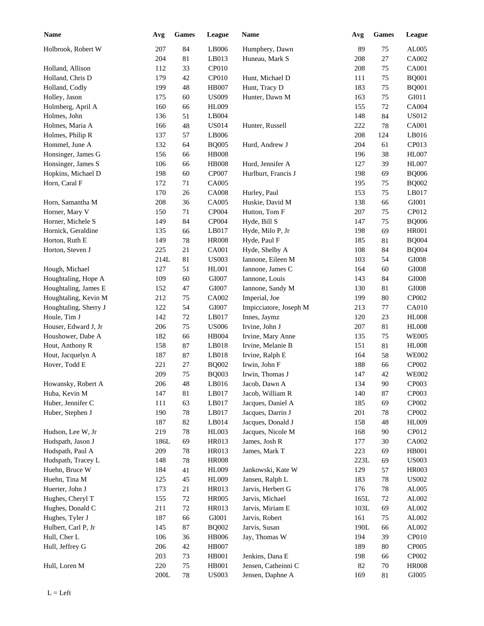| <b>Name</b>                           | Avg  | <b>Games</b> | League       | Name                   | Avg  | <b>Games</b> | League       |
|---------------------------------------|------|--------------|--------------|------------------------|------|--------------|--------------|
| Holbrook, Robert W                    | 207  | 84           | LB006        | Humphery, Dawn         | 89   | 75           | AL005        |
|                                       | 204  | 81           | LB013        | Huneau, Mark S         | 208  | 27           | CA002        |
| Holland, Allison                      | 112  | 33           | <b>CP010</b> |                        | 208  | 75           | <b>CA001</b> |
| Holland, Chris D                      | 179  | 42           | <b>CP010</b> | Hunt, Michael D        | 111  | 75           | <b>BQ001</b> |
| Holland, Codly                        | 199  | 48           | <b>HB007</b> | Hunt, Tracy D          | 183  | 75           | <b>BQ001</b> |
| Holley, Jason                         | 175  | 60           | <b>US009</b> | Hunter, Dawn M         | 163  | 75           | GI011        |
| Holmberg, April A                     | 160  | 66           | <b>HL009</b> |                        | 155  | 72           | CA004        |
| Holmes, John                          | 136  | 51           | LB004        |                        | 148  | 84           | <b>US012</b> |
| Holmes, Maria A                       | 166  | 48           | <b>US014</b> | Hunter, Russell        | 222  | 78           | <b>CA001</b> |
| Holmes, Philip R                      | 137  | 57           | LB006        |                        | 208  | 124          | LB016        |
| Hommel, June A                        | 132  | 64           | <b>BQ005</b> | Hurd, Andrew J         | 204  | 61           | CP013        |
| Honsinger, James G                    | 156  | 66           | <b>HB008</b> |                        | 196  | 38           | <b>HL007</b> |
| Honsinger, James S                    | 106  | 66           | <b>HB008</b> | Hurd, Jennifer A       | 127  | 39           | <b>HL007</b> |
| Hopkins, Michael D                    | 198  | 60           | CP007        | Hurlburt, Francis J    | 198  | 69           | <b>BQ006</b> |
| Horn, Caral F                         | 172  | 71           | CA005        |                        | 195  | 75           | <b>BQ002</b> |
|                                       | 170  | 26           | <b>CA008</b> | Hurley, Paul           | 153  | 75           | LB017        |
| Horn, Samantha M                      | 208  | 36           | CA005        | Huskie, David M        | 138  | 66           | GI001        |
| Horner, Mary V                        | 150  | 71           | CP004        | Hutton, Tom F          | 207  | 75           | CP012        |
| Horner, Michele S                     | 149  | 84           | CP004        | Hyde, Bill S           | 147  | 75           | <b>BQ006</b> |
| Hornick, Geraldine                    | 135  | 66           | LB017        | Hyde, Milo P, Jr       | 198  | 69           | <b>HR001</b> |
| Horton, Ruth E                        | 149  | 78           | <b>HR008</b> | Hyde, Paul F           | 185  | 81           | <b>BQ004</b> |
| Horton, Steven J                      | 225  | 21           | CA001        | Hyde, Shelby A         | 108  | 84           | <b>BQ004</b> |
|                                       | 214L | 81           | <b>US003</b> | Iannone, Eileen M      | 103  | 54           | $\rm GIO08$  |
|                                       | 127  | 51           | HL001        | Iannone, James C       | 164  | 60           | $\rm GIO08$  |
| Hough, Michael<br>Houghtaling, Hope A | 109  | 60           | GI007        | Iannone, Louis         | 143  | 84           | $\rm GIO08$  |
|                                       | 152  |              | GI007        |                        |      |              | $\rm GIO08$  |
| Houghtaling, James E                  |      | 47           |              | Iannone, Sandy M       | 130  | 81           | CP002        |
| Houghtaling, Kevin M                  | 212  | 75           | CA002        | Imperial, Joe          | 199  | 80           |              |
| Houghtaling, Sherry J                 | 122  | 54           | GI007        | Impicciatore, Joseph M | 213  | 77           | <b>CA010</b> |
| Houle, Tim J                          | 142  | 72           | LB017        | Innes, Jaymz           | 120  | 23           | <b>HL008</b> |
| Houser, Edward J, Jr                  | 206  | 75           | <b>US006</b> | Irvine, John J         | 207  | 81           | <b>HL008</b> |
| Houshower, Dabe A                     | 182  | 66           | HB004        | Irvine, Mary Anne      | 135  | 75           | <b>WE005</b> |
| Hout, Anthony R                       | 158  | 87           | LB018        | Irvine, Melanie B      | 151  | 81           | <b>HL008</b> |
| Hout, Jacquelyn A                     | 187  | 87           | LB018        | Irvine, Ralph E        | 164  | 58           | <b>WE002</b> |
| Hover, Todd E                         | 221  | $27\,$       | <b>BQ002</b> | Irwin, John F          | 188  | 66           | CP002        |
|                                       | 209  | 75           | <b>BQ003</b> | Irwin, Thomas J        | 147  | 42           | <b>WE002</b> |
| Howansky, Robert A                    | 206  | 48           | LB016        | Jacob, Dawn A          | 134  | $90\,$       | CP003        |
| Huba, Kevin M                         | 147  | 81           | LB017        | Jacob, William R       | 140  | 87           | CP003        |
| Huber, Jennifer C                     | 111  | 63           | LB017        | Jacques, Daniel A      | 185  | 69           | CP002        |
| Huber, Stephen J                      | 190  | 78           | LB017        | Jacques, Darrin J      | 201  | 78           | CP002        |
|                                       | 187  | 82           | LB014        | Jacques, Donald J      | 158  | 48           | <b>HL009</b> |
| Hudson, Lee W, Jr                     | 219  | 78           | HL003        | Jacques, Nicole M      | 168  | 90           | CP012        |
| Hudspath, Jason J                     | 186L | 69           | HR013        | James, Josh R          | 177  | 30           | CA002        |
| Hudspath, Paul A                      | 209  | 78           | HR013        | James, Mark T          | 223  | 69           | <b>HB001</b> |
| Hudspath, Tracey L                    | 148  | 78           | <b>HR008</b> |                        | 223L | 69           | <b>US003</b> |
| Huehn, Bruce W                        | 184  | 41           | HL009        | Jankowski, Kate W      | 129  | 57           | <b>HR003</b> |
| Huehn, Tina M                         | 125  | 45           | HL009        | Jansen, Ralph L        | 183  | 78           | <b>US002</b> |
| Huerter, John J                       | 173  | 21           | HR013        | Jarvis, Herbert G      | 176  | 78           | AL005        |
| Hughes, Cheryl T                      | 155  | $72\,$       | <b>HR005</b> | Jarvis, Michael        | 165L | $72\,$       | AL002        |
| Hughes, Donald C                      | 211  | $72\,$       | HR013        | Jarvis, Miriam E       | 103L | 69           | AL002        |
| Hughes, Tyler J                       | 187  | 66           | GI001        | Jarvis, Robert         | 161  | 75           | AL002        |
| Hulbert, Carl P, Jr                   | 145  | 87           | <b>BQ002</b> | Jarvis, Susan          | 190L | 66           | AL002        |
| Hull, Cher L                          | 106  | 36           | <b>HB006</b> | Jay, Thomas W          | 194  | 39           | CP010        |
| Hull, Jeffrey G                       | 206  | $42\,$       | HB007        |                        | 189  | 80           | CP005        |
|                                       | 203  | 73           | HB001        | Jenkins, Dana E        | 198  | 66           | CP002        |
| Hull, Loren M                         | 220  | $75\,$       | HB001        | Jensen, Catheinni C    | 82   | 70           | <b>HR008</b> |
|                                       | 200L | 78           | <b>US003</b> | Jensen, Daphne A       | 169  | 81           | GI005        |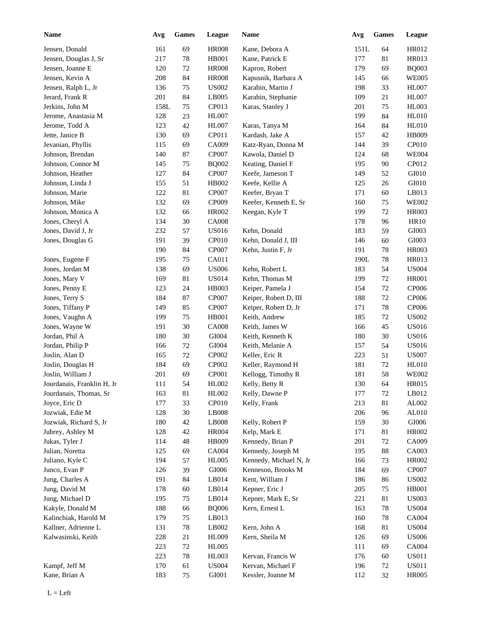| <b>Name</b>                | Avg  | <b>Games</b> | League            | Name                   | Avg  | <b>Games</b> | <b>League</b> |
|----------------------------|------|--------------|-------------------|------------------------|------|--------------|---------------|
| Jensen, Donald             | 161  | 69           | <b>HR008</b>      | Kane, Debora A         | 151L | 64           | HR012         |
| Jensen, Douglas J, Sr      | 217  | 78           | <b>HB001</b>      | Kane, Patrick E        | 177  | 81           | <b>HR013</b>  |
| Jensen, Joanne E           | 120  | 72           | <b>HR008</b>      | Kapron, Robert         | 179  | 69           | <b>BQ003</b>  |
| Jensen, Kevin A            | 208  | 84           | <b>HR008</b>      | Kapusnik, Barbara A    | 145  | 66           | <b>WE005</b>  |
| Jensen, Ralph L, Jr        | 136  | 75           | <b>US002</b>      | Karabin, Martin J      | 198  | 33           | <b>HL007</b>  |
| Jerard, Frank R            | 201  | 84           | LB005             | Karabin, Stephanie     | 109  | 21           | <b>HL007</b>  |
| Jerkins, John M            | 158L | 75           | CP013             | Karas, Stanley J       | 201  | 75           | HL003         |
| Jerome, Anastasia M        | 128  | $23\,$       | <b>HL007</b>      |                        | 199  | 84           | <b>HL010</b>  |
| Jerome, Todd A             | 123  | 42           | <b>HL007</b>      | Karas, Tanya M         | 164  | 84           | <b>HL010</b>  |
| Jette, Janice B            | 130  | 69           | CP011             | Kardash, Jake A        | 157  | 42           | <b>HB009</b>  |
| Jevanian, Phyllis          | 115  | 69           | CA009             | Katz-Ryan, Donna M     | 144  | 39           | CP010         |
| Johnson, Brendan           | 140  | 87           | <b>CP007</b>      | Kawola, Daniel D       | 124  | 68           | <b>WE004</b>  |
| Johnson, Connor M          | 145  | 75           | <b>BQ002</b>      | Keating, Daniel F      | 195  | 90           | CP012         |
| Johnson, Heather           | 127  | 84           | <b>CP007</b>      | Keefe, Jameson T       | 149  | 52           | GI010         |
| Johnson, Linda J           | 155  | 51           | HB002             | Keefe, Kellie A        | 125  | 26           | GI010         |
| Johnson, Marie             | 122  | 81           | <b>CP007</b>      | Keefer, Bryan T        | 171  | 60           | LB013         |
| Johnson, Mike              | 132  | 69           | CP009             | Keefer, Kenneth E, Sr  | 160  | 75           | <b>WE002</b>  |
| Johnson, Monica A          | 132  | 66           | <b>HR002</b>      | Keegan, Kyle T         | 199  | 72           | <b>HR003</b>  |
| Jones, Cheryl A            | 134  | 30           | <b>CA008</b>      |                        | 178  | 96           | <b>HR10</b>   |
| Jones, David J, Jr         | 232  | 57           | <b>US016</b>      | Kehn, Donald           | 183  | 59           | GI003         |
| Jones, Douglas G           | 191  | 39           | CP010             | Kehn, Donald J, III    | 146  | 60           | GI003         |
|                            | 190  | 84           | <b>CP007</b>      | Kehn, Justin F, Jr     | 191  | 78           | <b>HR003</b>  |
| Jones, Eugene F            | 195  | 75           | CA011             |                        | 190L | 78           | HR013         |
| Jones, Jordan M            | 138  | 69           | <b>US006</b>      | Kehn, Robert L         | 183  | 54           | <b>US004</b>  |
| Jones, Mary V              | 169  | 81           | <b>US014</b>      | Kehn, Thomas M         | 199  | 72           | <b>HR001</b>  |
| Jones, Penny E             | 123  | 24           | <b>HB003</b>      | Keiper, Pamela J       | 154  | 72           | CP006         |
| Jones, Terry S             | 184  | 87           | <b>CP007</b>      | Keiper, Robert D, III  | 188  | 72           | CP006         |
|                            | 149  |              |                   |                        |      |              | <b>CP006</b>  |
| Jones, Tiffany P           | 199  | 85           | <b>CP007</b>      | Keiper, Robert D, Jr   | 171  | 78           |               |
| Jones, Vaughn A            |      | 75           | <b>HB001</b>      | Keith, Andrew          | 185  | 72           | <b>US002</b>  |
| Jones, Wayne W             | 191  | 30           | <b>CA008</b>      | Keith, James W         | 166  | 45           | <b>US016</b>  |
| Jordan, Phil A             | 180  | 30           | GI004             | Keith, Kenneth K       | 180  | 30           | <b>US016</b>  |
| Jordan, Philip P           | 166  | 72           | GI004             | Keith, Melanie A       | 157  | 54           | <b>US016</b>  |
| Joslin, Alan D             | 165  | 72           | CP002             | Keller, Eric R         | 223  | 51           | <b>US007</b>  |
| Joslin, Douglas H          | 184  | 69           | CP002             | Keller, Raymond H      | 181  | 72           | <b>HL010</b>  |
| Joslin, William J          | 201  | 69           | <b>CP001</b>      | Kellogg, Timothy R     | 181  | 58           | <b>WE002</b>  |
| Jourdanais, Franklin H, Jr | 111  | 54           | HL002             | Kelly, Betty R         | 130  | 64           | <b>HR015</b>  |
| Jourdanais, Thomas, Sr     | 163  | $81\,$       | HL002             | Kelly, Dawne P         | 177  | $72\,$       | LB012         |
| Joyce, Eric D              | 177  | 33           | CP <sub>010</sub> | Kelly, Frank           | 213  | 81           | AL002         |
| Jozwiak, Edie M            | 128  | $30\,$       | LB008             |                        | 206  | 96           | $AL010$       |
| Jozwiak, Richard S, Jr     | 180  | 42           | LB008             | Kelly, Robert P        | 159  | 30           | ${\rm G}1006$ |
| Jubrey, Ashley M           | 128  | 42           | <b>HR004</b>      | Kelp, Mark E           | 171  | 81           | HR002         |
| Jukas, Tyler J             | 114  | $\sqrt{48}$  | HB009             | Kennedy, Brian P       | 201  | $72\,$       | CA009         |
| Julian, Noretta            | 125  | 69           | CA004             | Kennedy, Joseph M      | 195  | 88           | CA003         |
| Juliano, Kyle C            | 194  | 57           | <b>HL005</b>      | Kennedy, Michael N, Jr | 166  | 73           | HR002         |
| Junco, Evan P              | 126  | 39           | ${\rm G}1006$     | Kenneson, Brooks M     | 184  | 69           | CP007         |
| Jung, Charles A            | 191  | $84\,$       | LB014             | Kent, William J        | 186  | 86           | <b>US002</b>  |
| Jung, David M              | 178  | 60           | LB014             | Kepner, Eric J         | 205  | 75           | <b>HB001</b>  |
| Jung, Michael D            | 195  | 75           | LB014             | Kepner, Mark E, Sr     | 221  | 81           | <b>US003</b>  |
| Kakyle, Donald M           | 188  | 66           | <b>BQ006</b>      | Kern, Ernest L         | 163  | 78           | <b>US004</b>  |
| Kalinchiak, Harold M       | 179  | 75           | LB013             |                        | 160  | 78           | CA004         |
| Kallner, Adrienne L        | 131  | $78\,$       | LB002             | Kern, John A           | 168  | 81           | <b>US004</b>  |
| Kalwasinski, Keith         | 228  | $21\,$       | HL009             | Kern, Sheila M         | 126  | 69           | <b>US006</b>  |
|                            | 223  | $72\,$       | <b>HL005</b>      |                        | 111  | 69           | CA004         |
|                            | 223  | $78\,$       | HL003             | Kervan, Francis W      | 176  | 60           | <b>US011</b>  |
| Kampf, Jeff M              | 170  | 61           | <b>US004</b>      | Kervan, Michael F      | 196  | 72           | <b>US011</b>  |
| Kane, Brian A              | 183  | 75           | GI001             | Kessler, Joanne M      | 112  | 32           | <b>HR005</b>  |
|                            |      |              |                   |                        |      |              |               |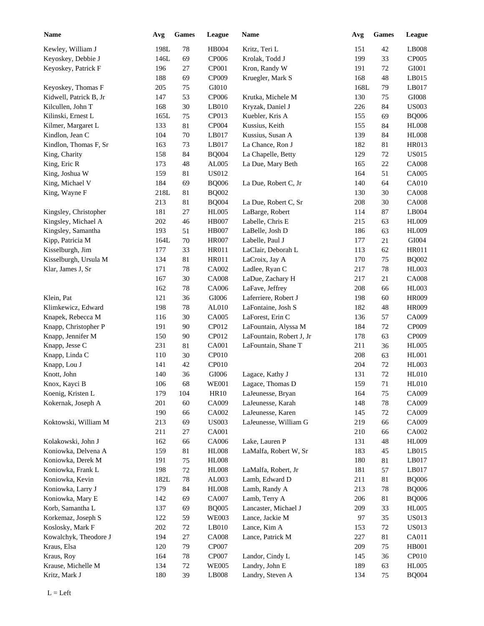| <b>Name</b>            | Avg        | Games        | League            | Name                                   | Avg        | <b>Games</b> | League         |
|------------------------|------------|--------------|-------------------|----------------------------------------|------------|--------------|----------------|
| Kewley, William J      | 198L       | $78\,$       | <b>HB004</b>      | Kritz, Teri L                          | 151        | 42           | LB008          |
| Keyoskey, Debbie J     | 146L       | 69           | <b>CP006</b>      | Krolak, Todd J                         | 199        | 33           | CP005          |
| Keyoskey, Patrick F    | 196        | 27           | CP001             | Kron, Randy W                          | 191        | 72           | GI001          |
|                        | 188        | 69           | CP009             | Kruegler, Mark S                       | 168        | 48           | LB015          |
| Keyoskey, Thomas F     | 205        | 75           | GI010             |                                        | 168L       | 79           | LB017          |
| Kidwell, Patrick B, Jr | 147        | 53           | CP006             | Krutka, Michele M                      | 130        | 75           | GI008          |
| Kilcullen, John T      | 168        | 30           | LB010             | Kryzak, Daniel J                       | 226        | 84           | <b>US003</b>   |
| Kilinski, Ernest L     | 165L       | 75           | CP013             | Kuebler, Kris A                        | 155        | 69           | <b>BQ006</b>   |
| Kilmer, Margaret L     | 133        | 81           | CP004             | Kussius, Keith                         | 155        | 84           | <b>HL008</b>   |
| Kindlon, Jean C        | 104        | $70\,$       | LB017             | Kussius, Susan A                       | 139        | 84           | HL008          |
| Kindlon, Thomas F, Sr  | 163        | 73           | LB017             | La Chance, Ron J                       | 182        | 81           | <b>HR013</b>   |
| King, Charity          | 158        | 84           | <b>BQ004</b>      | La Chapelle, Betty                     | 129        | 72           | <b>US015</b>   |
| King, Eric R           | 173        | 48           | AL005             | La Due, Mary Beth                      | 165        | 22           | <b>CA008</b>   |
| King, Joshua W         | 159        | 81           | <b>US012</b>      |                                        | 164        | 51           | CA005          |
| King, Michael V        | 184        | 69           | <b>BQ006</b>      | La Due, Robert C, Jr                   | 140        | 64           | <b>CA010</b>   |
| King, Wayne F          | 218L       | 81           | <b>BQ002</b>      |                                        | 130        | 30           | <b>CA008</b>   |
|                        | 213        | 81           | <b>BQ004</b>      | La Due, Robert C, Sr                   | 208        | 30           | <b>CA008</b>   |
| Kingsley, Christopher  | 181        | 27           | <b>HL005</b>      | LaBarge, Robert                        | 114        | 87           | LB004          |
| Kingsley, Michael A    | 202        | 46           | <b>HB007</b>      | Labelle, Chris E                       | 215        | 63           | <b>HL009</b>   |
| Kingsley, Samantha     | 193        | 51           | <b>HB007</b>      | LaBelle, Josh D                        | 186        | 63           | <b>HL009</b>   |
| Kipp, Patricia M       | 164L       | 70           | <b>HR007</b>      | Labelle, Paul J                        | 177        | 21           | GI004          |
| Kisselburgh, Jim       | 177        | 33           | HR011             | LaClair, Deborah L                     | 113        | 62           | <b>HR011</b>   |
| Kisselburgh, Ursula M  | 134        | 81           | HR011             | LaCroix, Jay A                         | 170        | 75           | <b>BQ002</b>   |
| Klar, James J, Sr      | 171        | 78           | CA002             | Ladlee, Ryan C                         | 217        | 78           | HL003          |
|                        | 167        | 30           | <b>CA008</b>      | LaDue, Zachary H                       | 217        | 21           | <b>CA008</b>   |
|                        | 162        | 78           | CA006             | LaFave, Jeffrey                        | 208        | 66           | HL003          |
| Klein, Pat             | 121        | 36           | GI006             | Laferriere, Robert J                   | 198        | 60           | <b>HR009</b>   |
| Klimkewicz, Edward     | 198        | 78           | AL010             | LaFontaine, Josh S                     | 182        | 48           | <b>HR009</b>   |
| Knapek, Rebecca M      | 116        | 30           | CA005             | LaForest, Erin C                       | 136        | 57           | CA009          |
| Knapp, Christopher P   | 191        | 90           | CP012             | LaFountain, Alyssa M                   | 184        | 72           | CP009          |
| Knapp, Jennifer M      | 150        | 90           | CP012             | LaFountain, Robert J, Jr               | 178        | 63           | CP009          |
| Knapp, Jesse C         | 231        | 81           | CA001             | LaFountain, Shane T                    | 211        | 36           | <b>HL005</b>   |
| Knapp, Linda C         | 110        | 30           | CP <sub>010</sub> |                                        | 208        | 63           | HL001          |
| Knapp, Lou J           | 141        | $42\,$       | CP <sub>010</sub> |                                        | 204        | $72\,$       | <b>HL003</b>   |
| Knott, John            | 140        | 36           | GI006             | Lagace, Kathy J                        | 131        | 72           | <b>HL010</b>   |
| Knox, Kayci B          | 106        | 68           | <b>WE001</b>      | Lagace, Thomas D                       | 159        | $71\,$       | HL010          |
|                        | 179        | 104          | <b>HR10</b>       | LaJeunesse, Bryan                      | 164        | 75           | CA009          |
| Koenig, Kristen L      |            |              |                   |                                        |            |              |                |
| Kokernak, Joseph A     | 201<br>190 | 60           | CA009<br>CA002    | LaJeunesse, Karah<br>LaJeunesse, Karen | 148<br>145 | 78<br>72     | CA009<br>CA009 |
| Koktowski, William M   | 213        | 66           | <b>US003</b>      | LaJeunesse, William G                  | 219        |              | CA009          |
|                        |            | 69           |                   |                                        |            | 66           | CA002          |
| Kolakowski, John J     | 211<br>162 | 27<br>66     | CA001<br>CA006    | Lake, Lauren P                         | 210<br>131 | 66<br>48     | <b>HL009</b>   |
| Koniowka, Delvena A    | 159        | 81           | <b>HL008</b>      | LaMalfa, Robert W, Sr                  | 183        | 45           | LB015          |
| Koniowka, Derek M      | 191        |              | <b>HL008</b>      |                                        | 180        |              | LB017          |
|                        |            | 75           |                   |                                        |            | 81           | LB017          |
| Koniowka, Frank L      | 198        | $72\,$<br>78 | <b>HL008</b>      | LaMalfa, Robert, Jr<br>Lamb, Edward D  | 181        | 57           | <b>BQ006</b>   |
| Koniowka, Kevin        | 182L       |              | AL003             |                                        | 211        | 81           |                |
| Koniowka, Larry J      | 179        | 84           | <b>HL008</b>      | Lamb, Randy A                          | 213        | 78           | <b>BQ006</b>   |
| Koniowka, Mary E       | 142        | 69           | CA007             | Lamb, Terry A                          | 206        | 81           | <b>BQ006</b>   |
| Korb, Samantha L       | 137        | 69           | <b>BQ005</b>      | Lancaster, Michael J                   | 209        | 33           | <b>HL005</b>   |
| Korkemaz, Joseph S     | 122        | 59           | <b>WE003</b>      | Lance, Jackie M                        | 97         | 35           | <b>US013</b>   |
| Koslosky, Mark F       | 202        | 72           | LB010             | Lance, Kim A                           | 153        | 72           | <b>US013</b>   |
| Kowalchyk, Theodore J  | 194        | $27\,$       | <b>CA008</b>      | Lance, Patrick M                       | 227        | 81           | CA011          |
| Kraus, Elsa            | 120        | 79           | CP007             |                                        | 209        | 75           | HB001          |
| Kraus, Roy             | 164        | $78\,$       | CP007             | Landor, Cindy L                        | 145        | 36           | <b>CP010</b>   |
| Krause, Michelle M     | 134        | 72           | <b>WE005</b>      | Landry, John E                         | 189        | 63           | <b>HL005</b>   |
| Kritz, Mark J          | 180        | 39           | LB008             | Landry, Steven A                       | 134        | 75           | <b>BQ004</b>   |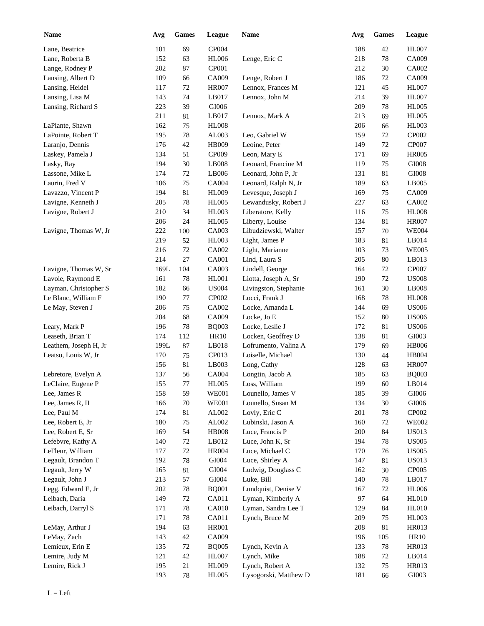| <b>Name</b>           | Avg  | <b>Games</b> | League       | Name                  | Avg | <b>Games</b> | League        |
|-----------------------|------|--------------|--------------|-----------------------|-----|--------------|---------------|
| Lane, Beatrice        | 101  | 69           | CP004        |                       | 188 | 42           | <b>HL007</b>  |
| Lane, Roberta B       | 152  | 63           | <b>HL006</b> | Lenge, Eric C         | 218 | 78           | CA009         |
| Lange, Rodney P       | 202  | 87           | CP001        |                       | 212 | 30           | CA002         |
| Lansing, Albert D     | 109  | 66           | CA009        | Lenge, Robert J       | 186 | 72           | CA009         |
| Lansing, Heidel       | 117  | 72           | <b>HR007</b> | Lennox, Frances M     | 121 | 45           | <b>HL007</b>  |
| Lansing, Lisa M       | 143  | 74           | LB017        | Lennox, John M        | 214 | 39           | <b>HL007</b>  |
| Lansing, Richard S    | 223  | 39           | GI006        |                       | 209 | 78           | <b>HL005</b>  |
|                       | 211  | 81           | LB017        | Lennox, Mark A        | 213 | 69           | <b>HL005</b>  |
| LaPlante, Shawn       | 162  | 75           | <b>HL008</b> |                       | 206 | 66           | <b>HL003</b>  |
| LaPointe, Robert T    | 195  | 78           | AL003        | Leo, Gabriel W        | 159 | 72           | CP002         |
| Laranjo, Dennis       | 176  | 42           | HB009        | Leoine, Peter         | 149 | 72           | CP007         |
| Laskey, Pamela J      | 134  | 51           | CP009        | Leon, Mary E          | 171 | 69           | <b>HR005</b>  |
| Lasky, Ray            | 194  | 30           | LB008        | Leonard, Francine M   | 119 | 75           | $\rm GIO08$   |
| Lassone, Mike L       | 174  | 72           | LB006        | Leonard, John P, Jr   | 131 | 81           | $\rm GIO08$   |
| Laurin, Fred V        | 106  | 75           | <b>CA004</b> | Leonard, Ralph N, Jr  | 189 | 63           | LB005         |
| Lavazzo, Vincent P    | 194  | 81           | <b>HL009</b> | Levesque, Joseph J    | 169 | 75           | CA009         |
| Lavigne, Kenneth J    | 205  | 78           | <b>HL005</b> | Lewandusky, Robert J  | 227 | 63           | CA002         |
| Lavigne, Robert J     | 210  | 34           | <b>HL003</b> | Liberatore, Kelly     | 116 | 75           | <b>HL008</b>  |
|                       | 206  | 24           | <b>HL005</b> | Liberty, Louise       | 134 | 81           | <b>HR007</b>  |
| Lavigne, Thomas W, Jr | 222  | 100          | CA003        | Libudziewski, Walter  | 157 | 70           | <b>WE004</b>  |
|                       | 219  | 52           | HL003        | Light, James P        | 183 | 81           | LB014         |
|                       | 216  | 72           | CA002        | Light, Marianne       | 103 | 73           | <b>WE005</b>  |
|                       | 214  | 27           | CA001        | Lind, Laura S         | 205 | 80           | LB013         |
| Lavigne, Thomas W, Sr | 169L | 104          | CA003        | Lindell, George       | 164 | 72           | CP007         |
| Lavoie, Raymond E     | 161  | 78           | HL001        | Liotta, Joseph A, Sr  | 190 | 72           | <b>US008</b>  |
| Layman, Christopher S | 182  | 66           | <b>US004</b> | Livingston, Stephanie | 161 | 30           | LB008         |
| Le Blanc, William F   | 190  | 77           | CP002        | Locci, Frank J        | 168 | 78           | <b>HL008</b>  |
| Le May, Steven J      | 206  | 75           | CA002        | Locke, Amanda L       | 144 | 69           | <b>US006</b>  |
|                       | 204  | 68           | CA009        | Locke, Jo E           | 152 | 80           | <b>US006</b>  |
| Leary, Mark P         | 196  | 78           | <b>BQ003</b> | Locke, Leslie J       | 172 | 81           | <b>US006</b>  |
| Leaseth, Brian T      | 174  | 112          | <b>HR10</b>  | Locken, Geoffrey D    | 138 | 81           | GI003         |
| Leathem, Joseph H, Jr | 199L | 87           | LB018        | Lofrumento, Valina A  | 179 | 69           | <b>HB006</b>  |
| Leatso, Louis W, Jr   | 170  | 75           | CP013        | Loiselle, Michael     | 130 | 44           | HB004         |
|                       | 156  | 81           | LB003        | Long, Cathy           | 128 | 63           | <b>HR007</b>  |
| Lebretore, Evelyn A   | 137  | 56           | <b>CA004</b> | Longtin, Jacob A      | 185 | 63           | <b>BQ003</b>  |
| LeClaire, Eugene P    | 155  | $77 \,$      | <b>HL005</b> | Loss, William         | 199 | 60           | LB014         |
| Lee, James R          | 158  | 59           | <b>WE001</b> | Lounello, James V     | 185 | 39           | GI006         |
| Lee, James R, II      | 166  | $70\,$       | <b>WE001</b> | Lounello, Susan M     | 134 | $30\,$       | $\rm GIO06$   |
| Lee, Paul M           | 174  | 81           | AL002        | Lovly, Eric C         | 201 | 78           | CP002         |
| Lee, Robert E, Jr     | 180  | 75           | AL002        | Lubinski, Jason A     | 160 | 72           | <b>WE002</b>  |
| Lee, Robert E, Sr     | 169  | 54           | <b>HB008</b> | Luce, Francis P       | 200 | 84           | <b>US013</b>  |
| Lefebvre, Kathy A     | 140  | 72           | LB012        | Luce, John K, Sr      | 194 | 78           | <b>US005</b>  |
| LeFleur, William      | 177  | 72           | <b>HR004</b> | Luce, Michael C       | 170 | 76           | <b>US005</b>  |
| Legault, Brandon T    | 192  | $78\,$       | GI004        | Luce, Shirley A       | 147 | 81           | <b>US013</b>  |
| Legault, Jerry W      | 165  | 81           | GI004        | Ludwig, Douglass C    | 162 | $30\,$       | CP005         |
| Legault, John J       | 213  | 57           | GI004        | Luke, Bill            | 140 | 78           | LB017         |
| Legg, Edward E, Jr    | 202  | $78\,$       | <b>BQ001</b> | Lundquist, Denise V   | 167 | 72           | <b>HL006</b>  |
| Leibach, Daria        | 149  | 72           | CA011        | Lyman, Kimberly A     | 97  | 64           | HL010         |
| Leibach, Darryl S     | 171  | $78\,$       | CA010        | Lyman, Sandra Lee T   | 129 | 84           | HL010         |
|                       | 171  | 78           | CA011        | Lynch, Bruce M        | 209 | 75           | <b>HL003</b>  |
| LeMay, Arthur J       | 194  | 63           | HR001        |                       | 208 | 81           | HR013         |
| LeMay, Zach           | 143  | $42\,$       | CA009        |                       | 196 | 105          | HR10          |
| Lemieux, Erin E       | 135  | 72           | <b>BQ005</b> | Lynch, Kevin A        | 133 | 78           | HR013         |
| Lemire, Judy M        | 121  | $42\,$       | HL007        | Lynch, Mike           | 188 | $72\,$       | LB014         |
| Lemire, Rick J        | 195  | $21\,$       | HL009        | Lynch, Robert A       | 132 | 75           | HR013         |
|                       | 193  | $78\,$       | <b>HL005</b> | Lysogorski, Matthew D | 181 | 66           | ${\rm G}1003$ |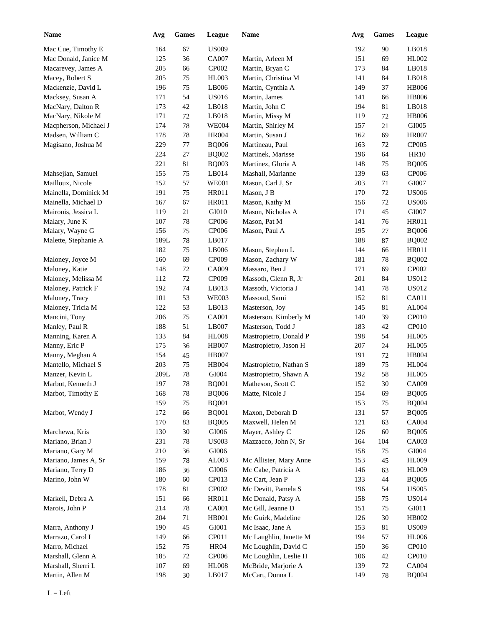| <b>Name</b>           | Avg  | <b>Games</b> | League         | Name                   | Avg | Games  | League                |
|-----------------------|------|--------------|----------------|------------------------|-----|--------|-----------------------|
| Mac Cue, Timothy E    | 164  | 67           | <b>US009</b>   |                        | 192 | 90     | LB018                 |
| Mac Donald, Janice M  | 125  | 36           | <b>CA007</b>   | Martin, Arleen M       | 151 | 69     | HL002                 |
| Macarevey, James A    | 205  | 66           | CP002          | Martin, Bryan C        | 173 | 84     | LB018                 |
| Macey, Robert S       | 205  | $75\,$       | <b>HL003</b>   | Martin, Christina M    | 141 | 84     | LB018                 |
| Mackenzie, David L    | 196  | $75\,$       | LB006          | Martin, Cynthia A      | 149 | 37     | <b>HB006</b>          |
| Macksey, Susan A      | 171  | 54           | <b>US016</b>   | Martin, James          | 141 | 66     | <b>HB006</b>          |
| MacNary, Dalton R     | 173  | $42\,$       | LB018          | Martin, John C         | 194 | 81     | LB018                 |
| MacNary, Nikole M     | 171  | $72\,$       | LB018          | Martin, Missy M        | 119 | 72     | <b>HB006</b>          |
| Macpherson, Michael J | 174  | 78           | <b>WE004</b>   | Martin, Shirley M      | 157 | 21     | GI005                 |
| Madsen, William C     | 178  | 78           | <b>HR004</b>   | Martin, Susan J        | 162 | 69     | <b>HR007</b>          |
| Magisano, Joshua M    | 229  | 77           | <b>BQ006</b>   | Martineau, Paul        | 163 | 72     | CP005                 |
|                       | 224  | 27           | <b>BQ002</b>   | Martinek, Marisse      | 196 | 64     | <b>HR10</b>           |
|                       | 221  | 81           | <b>BQ003</b>   | Martinez, Gloria A     | 148 | 75     | <b>BQ005</b>          |
| Mahsejian, Samuel     | 155  | 75           | LB014          | Mashall, Marianne      | 139 | 63     | CP006                 |
| Mailloux, Nicole      | 152  | 57           | <b>WE001</b>   | Mason, Carl J, Sr      | 203 | 71     | GI007                 |
| Mainella, Dominick M  | 191  | 75           | HR011          | Mason, J B             | 170 | 72     | <b>US006</b>          |
|                       | 167  |              |                | Mason, Kathy M         |     |        |                       |
| Mainella, Michael D   |      | 67           | HR011<br>GI010 | Mason, Nicholas A      | 156 | 72     | <b>US006</b><br>GI007 |
| Maironis, Jessica L   | 119  | 21           |                |                        | 171 | 45     |                       |
| Malary, June K        | 107  | 78           | <b>CP006</b>   | Mason, Pat M           | 141 | 76     | <b>HR011</b>          |
| Malary, Wayne G       | 156  | 75           | CP006          | Mason, Paul A          | 195 | 27     | <b>BQ006</b>          |
| Malette, Stephanie A  | 189L | 78           | LB017          |                        | 188 | 87     | <b>BQ002</b>          |
|                       | 182  | 75           | LB006          | Mason, Stephen L       | 144 | 66     | <b>HR011</b>          |
| Maloney, Joyce M      | 160  | 69           | CP009          | Mason, Zachary W       | 181 | 78     | <b>BQ002</b>          |
| Maloney, Katie        | 148  | $72\,$       | CA009          | Massaro, Ben J         | 171 | 69     | CP002                 |
| Maloney, Melissa M    | 112  | 72           | CP009          | Massoth, Glenn R, Jr   | 201 | 84     | <b>US012</b>          |
| Maloney, Patrick F    | 192  | 74           | LB013          | Massoth, Victoria J    | 141 | 78     | <b>US012</b>          |
| Maloney, Tracy        | 101  | 53           | <b>WE003</b>   | Massoud, Sami          | 152 | 81     | CA011                 |
| Maloney, Tricia M     | 122  | 53           | LB013          | Masterson, Joy         | 145 | 81     | AL004                 |
| Mancini, Tony         | 206  | 75           | CA001          | Masterson, Kimberly M  | 140 | 39     | CP010                 |
| Manley, Paul R        | 188  | 51           | LB007          | Masterson, Todd J      | 183 | 42     | CP010                 |
| Manning, Karen A      | 133  | 84           | <b>HL008</b>   | Mastropietro, Donald P | 198 | 54     | <b>HL005</b>          |
| Manny, Eric P         | 175  | 36           | <b>HB007</b>   | Mastropietro, Jason H  | 207 | 24     | <b>HL005</b>          |
| Manny, Meghan A       | 154  | 45           | <b>HB007</b>   |                        | 191 | 72     | <b>HB004</b>          |
| Mantello, Michael S   | 203  | $75\,$       | <b>HB004</b>   | Mastropietro, Nathan S | 189 | 75     | <b>HL004</b>          |
| Manzer, Kevin L       | 209L | 78           | GI004          | Mastropietro, Shawn A  | 192 | 58     | <b>HL005</b>          |
| Marbot, Kenneth J     | 197  | $78\,$       | <b>BQ001</b>   | Matheson, Scott C      | 152 | $30\,$ | CA009                 |
| Marbot, Timothy E     | 168  | $78\,$       | <b>BQ006</b>   | Matte, Nicole J        | 154 | 69     | <b>BQ005</b>          |
|                       | 159  | 75           | <b>BQ001</b>   |                        | 153 | 75     | <b>BQ004</b>          |
| Marbot, Wendy J       | 172  | 66           | <b>BQ001</b>   | Maxon, Deborah D       | 131 | 57     | <b>BQ005</b>          |
|                       | 170  | 83           | <b>BQ005</b>   | Maxwell, Helen M       | 121 | 63     | CA004                 |
| Marchewa, Kris        | 130  | $30\,$       | ${\rm G}1006$  | Mayer, Ashley C        | 126 | 60     | <b>BQ005</b>          |
| Mariano, Brian J      | 231  | $78\,$       | <b>US003</b>   | Mazzacco, John N, Sr   | 164 | 104    | CA003                 |
| Mariano, Gary M       | 210  | 36           | GI006          |                        | 158 | 75     | GI004                 |
| Mariano, James A, Sr  | 159  | $78\,$       | AL003          | Mc Allister, Mary Anne | 153 | 45     | HL009                 |
| Mariano, Terry D      | 186  | 36           | ${\rm G}1006$  | Mc Cabe, Patricia A    | 146 | 63     | <b>HL009</b>          |
| Marino, John W        | 180  | 60           | CP013          | Mc Cart, Jean P        | 133 | 44     | <b>BQ005</b>          |
|                       | 178  | 81           | CP002          | Mc Devitt, Pamela S    | 196 | 54     | <b>US005</b>          |
| Markell, Debra A      | 151  | 66           | HR011          | Mc Donald, Patsy A     | 158 | 75     | <b>US014</b>          |
| Marois, John P        | 214  | $78\,$       | CA001          | Mc Gill, Jeanne D      | 151 | 75     | GI011                 |
|                       | 204  | 71           | HB001          | Mc Guirk, Madeline     | 126 | $30\,$ | HB002                 |
| Marra, Anthony J      | 190  | 45           | GI001          | Mc Isaac, Jane A       | 153 | 81     | <b>US009</b>          |
|                       |      |              |                |                        |     |        | <b>HL006</b>          |
| Marrazo, Carol L      | 149  | 66           | CP011          | Mc Laughlin, Janette M | 194 | 57     |                       |
| Marro, Michael        | 152  | 75           | <b>HR04</b>    | Mc Loughlin, David C   | 150 | 36     | CP010                 |
| Marshall, Glenn A     | 185  | $72\,$       | CP006          | Mc Loughlin, Leslie H  | 106 | 42     | CP010                 |
| Marshall, Sherri L    | 107  | 69           | <b>HL008</b>   | McBride, Marjorie A    | 139 | 72     | CA004                 |
| Martin, Allen M       | 198  | 30           | LB017          | McCart, Donna L        | 149 | 78     | <b>BQ004</b>          |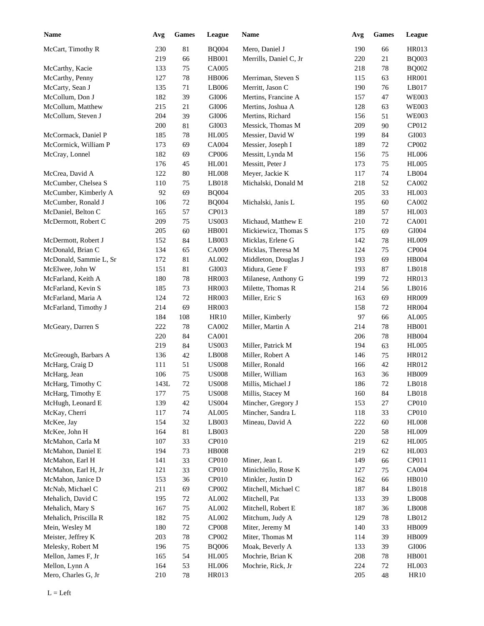| <b>Name</b>                           | Avg             | <b>Games</b> | League       | Name                                | Avg        | <b>Games</b> | League       |
|---------------------------------------|-----------------|--------------|--------------|-------------------------------------|------------|--------------|--------------|
| McCart, Timothy R                     | 230             | 81           | <b>BQ004</b> | Mero, Daniel J                      | 190        | 66           | <b>HR013</b> |
|                                       | 219             | 66           | HB001        | Merrills, Daniel C, Jr              | 220        | 21           | <b>BQ003</b> |
| McCarthy, Kacie                       | 133             | 75           | <b>CA005</b> |                                     | 218        | 78           | <b>BQ002</b> |
| McCarthy, Penny                       | 127             | $78\,$       | <b>HB006</b> | Merriman, Steven S                  | 115        | 63           | <b>HR001</b> |
| McCarty, Sean J                       | 135             | 71           | LB006        | Merritt, Jason C                    | 190        | 76           | LB017        |
| McCollum, Don J                       | 182             | 39           | GI006        | Mertins, Francine A                 | 157        | 47           | <b>WE003</b> |
| McCollum, Matthew                     | 215             | 21           | GI006        | Mertins, Joshua A                   | 128        | 63           | <b>WE003</b> |
| McCollum, Steven J                    | 204             | 39           | GI006        | Mertins, Richard                    | 156        | 51           | <b>WE003</b> |
|                                       | 200             | 81           | GI003        | Messick, Thomas M                   | 209        | 90           | CP012        |
| McCormack, Daniel P                   | 185             | $78\,$       | <b>HL005</b> | Messier, David W                    | 199        | 84           | GI003        |
| McCormick, William P                  | 173             | 69           | <b>CA004</b> | Messier, Joseph I                   | 189        | 72           | CP002        |
| McCray, Lonnel                        | 182             | 69           | CP006        | Messitt, Lynda M                    | 156        | 75           | <b>HL006</b> |
|                                       | 176             | 45           | <b>HL001</b> | Messitt, Peter J                    | 173        | 75           | <b>HL005</b> |
| McCrea, David A                       | 122             | 80           | <b>HL008</b> | Meyer, Jackie K                     | 117        | 74           | LB004        |
| McCumber, Chelsea S                   | 110             | 75           | LB018        | Michalski, Donald M                 | 218        | 52           | CA002        |
| McCumber, Kimberly A                  | 92              | 69           | <b>BQ004</b> |                                     | 205        | 33           | <b>HL003</b> |
| McCumber, Ronald J                    | 106             | 72           | <b>BQ004</b> | Michalski, Janis L                  | 195        | 60           | CA002        |
| McDaniel, Belton C                    | 165             | 57           | CP013        |                                     | 189        | 57           | <b>HL003</b> |
| McDermott, Robert C                   | 209             | 75           | <b>US003</b> | Michaud, Matthew E                  | 210        | 72           | <b>CA001</b> |
|                                       | 205             | 60           | <b>HB001</b> | Mickiewicz, Thomas S                | 175        | 69           | GI004        |
| McDermott, Robert J                   | 152             | 84           | LB003        | Micklas, Erlene G                   | 142        | 78           | <b>HL009</b> |
| McDonald, Brian C                     | 134             | 65           | CA009        | Micklas, Theresa M                  | 124        | 75           | CP004        |
| McDonald, Sammie L, Sr                | 172             | 81           | AL002        | Middleton, Douglas J                | 193        | 69           | HB004        |
| McElwee, John W                       | 151             | 81           | GI003        | Midura, Gene F                      | 193        | 87           | LB018        |
| McFarland, Keith A                    | 180             | 78           | HR003        | Milanese, Anthony G                 | 199        | 72           | HR013        |
| McFarland, Kevin S                    | 185             | 73           | <b>HR003</b> | Milette, Thomas R                   | 214        | 56           | LB016        |
| McFarland, Maria A                    | 124             | 72           | <b>HR003</b> | Miller, Eric S                      | 163        | 69           | <b>HR009</b> |
| McFarland, Timothy J                  | 214             | 69           | <b>HR003</b> |                                     | 158        | 72           | <b>HR004</b> |
|                                       | 184             | 108          | HR10         | Miller, Kimberly                    | 97         | 66           | AL005        |
| McGeary, Darren S                     | 222             | 78           | CA002        | Miller, Martin A                    | 214        | 78           | <b>HB001</b> |
|                                       | 220             | 84           | CA001        |                                     | 206        | 78           | <b>HB004</b> |
|                                       | 219             | 84           | <b>US003</b> | Miller, Patrick M                   | 194        | 63           | <b>HL005</b> |
| McGreough, Barbars A                  | 136             | 42           | LB008        | Miller, Robert A                    | 146        | 75           | HR012        |
| McHarg, Craig D                       | 111             | 51           | <b>US008</b> | Miller, Ronald                      | 166        | 42           | HR012        |
| McHarg, Jean                          | 106             | 75           | <b>US008</b> | Miller, William                     | 163        | 36           | <b>HB009</b> |
| McHarg, Timothy C                     | $143\mathrm{L}$ | $72\,$       | <b>US008</b> | Millis, Michael J                   | 186        | $72\,$       | LB018        |
| McHarg, Timothy E                     | 177             | 75           | <b>US008</b> | Millis, Stacey M                    | 160        | 84           | LB018        |
| McHugh, Leonard E                     | 139             | 42           | <b>US004</b> | Mincher, Gregory J                  | 153        | 27           | CP010        |
| McKay, Cherri                         | 117             | 74           | AL005        | Mincher, Sandra L                   | 118        | 33           | CP010        |
| McKee, Jay                            | 154             | 32           | LB003        | Mineau, David A                     | 222        | 60           | <b>HL008</b> |
| McKee, John H                         | 164             | $81\,$       | LB003        |                                     | 220        | 58           | <b>HL009</b> |
| McMahon, Carla M                      | 107             | 33           | CP010        |                                     | 219        | 62           | <b>HL005</b> |
| McMahon, Daniel E                     | 194             | 73           | <b>HB008</b> |                                     | 219        | 62           | HL003        |
| McMahon, Earl H                       | 141             | 33           | CP010        | Miner, Jean L                       | 149        |              | CP011        |
| McMahon, Earl H, Jr                   | 121             | 33           | CP010        | Minichiello, Rose K                 | 127        | 66           | CA004        |
| McMahon, Janice D                     | 153             | 36           | CP010        | Minkler, Justin D                   |            | 75           | HB010        |
| McNab, Michael C                      | 211             |              | CP002        | Mitchell, Michael C                 | 162<br>187 | 66<br>84     | LB018        |
|                                       |                 | 69           |              |                                     |            |              | LB008        |
| Mehalich, David C<br>Mehalich, Mary S | 195             | 72           | AL002        | Mitchell, Pat<br>Mitchell, Robert E | 133        | 39           | LB008        |
|                                       | 167             | 75           | AL002        |                                     | 187        | 36           |              |
| Mehalich, Priscilla R                 | 182             | 75           | AL002        | Mitchum, Judy A                     | 129        | $78\,$       | LB012        |
| Mein, Wesley M                        | 180             | 72           | CP008        | Miter, Jeremy M                     | 140        | 33           | HB009        |
| Meister, Jeffrey K                    | 203             | $78\,$       | CP002        | Miter, Thomas M                     | 114        | 39           | HB009        |
| Melesky, Robert M                     | 196             | 75           | <b>BQ006</b> | Moak, Beverly A                     | 133        | 39           | $\rm GIO06$  |
| Mellon, James F, Jr                   | 165             | 54           | <b>HL005</b> | Mochrie, Brian K                    | 208        | $78\,$       | <b>HB001</b> |
| Mellon, Lynn A                        | 164             | 53           | <b>HL006</b> | Mochrie, Rick, Jr                   | 224        | 72           | <b>HL003</b> |
| Mero, Charles G, Jr                   | 210             | $78\,$       | HR013        |                                     | 205        | 48           | <b>HR10</b>  |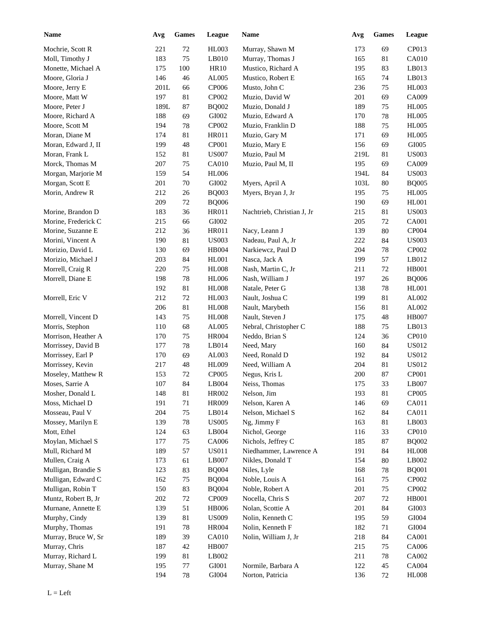| <b>Name</b>         | Avg     | Games  | League                 | Name                       | Avg  | <b>Games</b> | League       |
|---------------------|---------|--------|------------------------|----------------------------|------|--------------|--------------|
| Mochrie, Scott R    | 221     | $72\,$ | <b>HL003</b>           | Murray, Shawn M            | 173  | 69           | CP013        |
| Moll, Timothy J     | 183     | 75     | LB010                  | Murray, Thomas J           | 165  | 81           | <b>CA010</b> |
| Monette, Michael A  | 175     | 100    | <b>HR10</b>            | Mustico, Richard A         | 195  | 83           | LB013        |
| Moore, Gloria J     | 146     | 46     | AL005                  | Mustico, Robert E          | 165  | 74           | LB013        |
| Moore, Jerry E      | $201L$  | 66     | CP006                  | Musto, John C              | 236  | 75           | <b>HL003</b> |
| Moore, Matt W       | 197     | 81     | CP002                  | Muzio, David W             | 201  | 69           | CA009        |
| Moore, Peter J      | 189L    | 87     | <b>BQ002</b>           | Muzio, Donald J            | 189  | 75           | <b>HL005</b> |
| Moore, Richard A    | 188     | 69     | GI002                  | Muzio, Edward A            | 170  | 78           | <b>HL005</b> |
| Moore, Scott M      | 194     | 78     | CP002                  | Muzio, Franklin D          | 188  | 75           | <b>HL005</b> |
| Moran, Diane M      | 174     | 81     | HR011                  | Muzio, Gary M              | 171  | 69           | <b>HL005</b> |
| Moran, Edward J, II | 199     | 48     | CP001                  | Muzio, Mary E              | 156  | 69           | GI005        |
| Moran, Frank L      | 152     | 81     | <b>US007</b>           | Muzio, Paul M              | 219L | 81           | <b>US003</b> |
| Morck, Thomas M     | 207     | 75     | <b>CA010</b>           | Muzio, Paul M, II          | 195  | 69           | CA009        |
| Morgan, Marjorie M  | 159     | 54     | <b>HL006</b>           |                            | 194L | 84           | <b>US003</b> |
| Morgan, Scott E     | 201     | 70     | GI002                  | Myers, April A             | 103L | 80           | <b>BQ005</b> |
| Morin, Andrew R     | 212     | 26     | <b>BQ003</b>           | Myers, Bryan J, Jr         | 195  | 75           | <b>HL005</b> |
|                     | 209     | $72\,$ | <b>BQ006</b>           |                            | 190  | 69           | <b>HL001</b> |
| Morine, Brandon D   | 183     | 36     | <b>HR011</b>           | Nachtrieb, Christian J, Jr | 215  | 81           | <b>US003</b> |
| Morine, Frederick C | 215     | 66     | GI002                  |                            | 205  | 72           | CA001        |
| Morine, Suzanne E   | 212     | 36     | <b>HR011</b>           | Nacy, Leann J              | 139  | 80           | CP004        |
|                     | 190     |        |                        |                            |      |              |              |
| Morini, Vincent A   |         | 81     | <b>US003</b>           | Nadeau, Paul A, Jr         | 222  | 84           | <b>US003</b> |
| Morizio, David L    | 130     | 69     | <b>HB004</b>           | Narkiewcz, Paul D          | 204  | 78           | CP002        |
| Morizio, Michael J  | 203     | 84     | <b>HL001</b>           | Nasca, Jack A              | 199  | 57           | LB012        |
| Morrell, Craig R    | 220     | 75     | <b>HL008</b>           | Nash, Martin C, Jr         | 211  | 72           | <b>HB001</b> |
| Morrell, Diane E    | 198     | 78     | <b>HL006</b>           | Nash, William J            | 197  | 26           | <b>BQ006</b> |
|                     | 192     | 81     | <b>HL008</b>           | Natale, Peter G            | 138  | 78           | <b>HL001</b> |
| Morrell, Eric V     | 212     | $72\,$ | <b>HL003</b>           | Nault, Joshua C            | 199  | 81           | AL002        |
|                     | 206     | 81     | <b>HL008</b>           | Nault, Marybeth            | 156  | 81           | AL002        |
| Morrell, Vincent D  | 143     | $75\,$ | <b>HL008</b>           | Nault, Steven J            | 175  | 48           | <b>HB007</b> |
| Morris, Stephon     | 110     | 68     | AL005                  | Nebral, Christopher C      | 188  | 75           | LB013        |
| Morrison, Heather A | 170     | $75\,$ | <b>HR004</b>           | Neddo, Brian S             | 124  | 36           | CP010        |
| Morrissey, David B  | 177     | 78     | LB014                  | Need, Mary                 | 160  | 84           | US012        |
| Morrissey, Earl P   | 170     | 69     | AL003                  | Need, Ronald D             | 192  | 84           | <b>US012</b> |
| Morrissey, Kevin    | 217     | 48     | HL009                  | Need, William A            | 204  | 81           | <b>US012</b> |
| Moseley, Matthew R  | 153     | $72\,$ | CP005                  | Negus, Kris L              | 200  | 87           | CP001        |
| Moses, Sarrie A     | $107\,$ | 84     | $\operatorname{LB}004$ | Neiss, Thomas              | 175  | 33           | LB007        |
| Mosher, Donald L    | 148     | 81     | HR002                  | Nelson, Jim                | 193  | 81           | CP005        |
| Moss, Michael D     | 191     | 71     | HR009                  | Nelson, Karen A            | 146  | 69           | CA011        |
| Mosseau, Paul V     | 204     | 75     | LB014                  | Nelson, Michael S          | 162  | 84           | CA011        |
| Mossey, Marilyn E   | 139     | $78\,$ | <b>US005</b>           | Ng, Jimmy F                | 163  | 81           | LB003        |
| Mott, Ethel         | 124     | 63     | LB004                  | Nichol, George             | 116  | 33           | CP010        |
| Moylan, Michael S   | 177     | 75     | CA006                  | Nichols, Jeffrey C         | 185  | 87           | <b>BQ002</b> |
| Mull, Richard M     | 189     | 57     | <b>US011</b>           | Niedhammer, Lawrence A     | 191  | 84           | <b>HL008</b> |
| Mullen, Craig A     | 173     | 61     | LB007                  | Nikles, Donald T           | 154  | 80           | LB002        |
| Mulligan, Brandie S | 123     | 83     | <b>BQ004</b>           | Niles, Lyle                | 168  | 78           | <b>BQ001</b> |
| Mulligan, Edward C  | 162     | 75     | <b>BQ004</b>           | Noble, Louis A             | 161  | 75           | CP002        |
| Mulligan, Robin T   | 150     | 83     | <b>BQ004</b>           | Noble, Robert A            | 201  | 75           | CP002        |
| Muntz, Robert B, Jr | 202     | $72\,$ | CP009                  | Nocella, Chris S           | 207  | 72           | <b>HB001</b> |
| Murnane, Annette E  | 139     | 51     | <b>HB006</b>           | Nolan, Scottie A           | 201  | 84           | GI003        |
| Murphy, Cindy       | 139     | 81     | <b>US009</b>           | Nolin, Kenneth C           | 195  | 59           | GI004        |
| Murphy, Thomas      | 191     | $78\,$ | <b>HR004</b>           | Nolin, Kenneth F           | 182  | 71           | GI004        |
| Murray, Bruce W, Sr | 189     | 39     | CA010                  | Nolin, William J, Jr       | 218  | 84           | CA001        |
| Murray, Chris       | 187     | 42     | <b>HB007</b>           |                            | 215  | 75           | CA006        |
| Murray, Richard L   | 199     | 81     | LB002                  |                            | 211  | 78           | CA002        |
| Murray, Shane M     | 195     | 77     | GI001                  | Normile, Barbara A         | 122  | 45           | CA004        |
|                     | 194     | 78     | GI004                  | Norton, Patricia           | 136  | 72           | <b>HL008</b> |
|                     |         |        |                        |                            |      |              |              |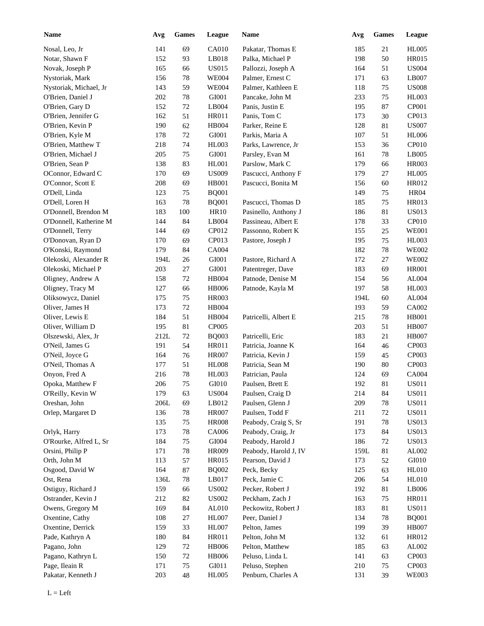| <b>Name</b>            | Avg    | <b>Games</b> | League       | Name                  | Avg  | Games  | League        |
|------------------------|--------|--------------|--------------|-----------------------|------|--------|---------------|
| Nosal, Leo, Jr         | 141    | 69           | <b>CA010</b> | Pakatar, Thomas E     | 185  | 21     | <b>HL005</b>  |
| Notar, Shawn F         | 152    | 93           | LB018        | Palka, Michael P      | 198  | 50     | <b>HR015</b>  |
| Novak, Joseph P        | 165    | 66           | <b>US015</b> | Pallozzi, Joseph A    | 164  | 51     | <b>US004</b>  |
| Nystoriak, Mark        | 156    | 78           | <b>WE004</b> | Palmer, Ernest C      | 171  | 63     | LB007         |
| Nystoriak, Michael, Jr | 143    | 59           | <b>WE004</b> | Palmer, Kathleen E    | 118  | 75     | <b>US008</b>  |
| O'Brien, Daniel J      | 202    | 78           | GI001        | Pancake, John M       | 233  | 75     | <b>HL003</b>  |
| O'Brien, Gary D        | 152    | $72\,$       | LB004        | Panis, Justin E       | 195  | 87     | CP001         |
| O'Brien, Jennifer G    | 162    | 51           | <b>HR011</b> | Panis, Tom C          | 173  | 30     | CP013         |
| O'Brien, Kevin P       | 190    | 62           | <b>HB004</b> | Parker, Reine E       | 128  | 81     | <b>US007</b>  |
| O'Brien, Kyle M        | 178    | 72           | GI001        | Parkis, Maria A       | 107  | 51     | <b>HL006</b>  |
| O'Brien, Matthew T     | 218    | 74           | <b>HL003</b> | Parks, Lawrence, Jr   | 153  | 36     | CP010         |
| O'Brien, Michael J     | 205    | 75           | GI001        | Parsley, Evan M       | 161  | 78     | LB005         |
| O'Brien, Sean P        | 138    | 83           | HL001        | Parslow, Mark C       | 179  | 66     | <b>HR003</b>  |
| OConnor, Edward C      | 170    | 69           | <b>US009</b> | Pascucci, Anthony F   | 179  | 27     | <b>HL005</b>  |
| O'Connor, Scott E      | 208    | 69           | <b>HB001</b> | Pascucci, Bonita M    | 156  | 60     | HR012         |
| O'Dell, Linda          | 123    | 75           | <b>BQ001</b> |                       | 149  | 75     | <b>HR04</b>   |
| O'Dell, Loren H        | 163    | 78           | <b>BQ001</b> | Pascucci, Thomas D    | 185  | 75     | <b>HR013</b>  |
| O'Donnell, Brendon M   | 183    | 100          | <b>HR10</b>  | Pasinello, Anthony J  | 186  | 81     | <b>US013</b>  |
| O'Donnell, Katherine M | 144    | 84           | LB004        | Passineau, Albert E   | 178  | 33     | CP010         |
| O'Donnell, Terry       | 144    | 69           | CP012        | Passonno, Robert K    | 155  | 25     | <b>WE001</b>  |
| O'Donovan, Ryan D      | 170    | 69           | CP013        | Pastore, Joseph J     | 195  | 75     | <b>HL003</b>  |
| O'Konski, Raymond      | 179    | 84           | <b>CA004</b> |                       | 182  | 78     | <b>WE002</b>  |
| Olekoski, Alexander R  | 194L   | 26           | GI001        | Pastore, Richard A    | 172  | 27     | <b>WE002</b>  |
| Olekoski, Michael P    | 203    | 27           | GI001        | Patentreger, Dave     | 183  | 69     | <b>HR001</b>  |
| Oligney, Andrew A      | 158    | 72           | <b>HB004</b> | Patnode, Denise M     | 154  | 56     | AL004         |
| Oligney, Tracy M       | 127    | 66           | <b>HB006</b> | Patnode, Kayla M      | 197  | 58     | <b>HL003</b>  |
| Oliksowycz, Daniel     | 175    | 75           | <b>HR003</b> |                       | 194L | 60     | AL004         |
|                        |        |              |              |                       |      |        | CA002         |
| Oliver, James H        | 173    | 72           | <b>HB004</b> |                       | 193  | 59     |               |
| Oliver, Lewis E        | 184    | 51           | <b>HB004</b> | Patricelli, Albert E  | 215  | $78\,$ | <b>HB001</b>  |
| Oliver, William D      | 195    | 81           | CP005        |                       | 203  | 51     | <b>HB007</b>  |
| Olszewski, Alex, Jr    | 212L   | 72           | <b>BQ003</b> | Patricelli, Eric      | 183  | 21     | <b>HB007</b>  |
| O'Neil, James G        | 191    | 54           | <b>HR011</b> | Patricia, Joanne K    | 164  | 46     | CP003         |
| O'Neil, Joyce G        | 164    | 76           | <b>HR007</b> | Patricia, Kevin J     | 159  | 45     | CP003         |
| O'Neil, Thomas A       | 177    | 51           | <b>HL008</b> | Patricia, Sean M      | 190  | 80     | CP003         |
| Onyon, Fred A          | 216    | 78           | <b>HL003</b> | Patrician, Paula      | 124  | 69     | <b>CA004</b>  |
| Opoka, Matthew F       | 206    | $75\,$       | GI010        | Paulsen, Brett E      | 192  | 81     | <b>US011</b>  |
| O'Reilly, Kevin W      | 179    | 63           | <b>US004</b> | Paulsen, Craig D      | 214  | 84     | <b>US011</b>  |
| Oreshan, John          | $206L$ | 69           | LB012        | Paulsen, Glenn J      | 209  | 78     | <b>US011</b>  |
| Orlep, Margaret D      | 136    | $78\,$       | <b>HR007</b> | Paulsen, Todd F       | 211  | 72     | <b>US011</b>  |
|                        | 135    | 75           | <b>HR008</b> | Peabody, Craig S, Sr  | 191  | 78     | <b>US013</b>  |
| Orlyk, Harry           | 173    | $78\,$       | CA006        | Peabody, Craig, Jr    | 173  | 84     | <b>US013</b>  |
| O'Rourke, Alfred L, Sr | 184    | 75           | GI004        | Peabody, Harold J     | 186  | 72     | <b>US013</b>  |
| Orsini, Philip P       | 171    | $78\,$       | HR009        | Peabody, Harold J, IV | 159L | 81     | AL002         |
| Orth, John M           | 113    | 57           | HR015        | Pearson, David J      | 173  | 52     | ${\rm G}I010$ |
| Osgood, David W        | 164    | 87           | <b>BQ002</b> | Peck, Becky           | 125  | 63     | <b>HL010</b>  |
| Ost, Rena              | 136L   | $78\,$       | LB017        | Peck, Jamie C         | 206  | 54     | <b>HL010</b>  |
| Ostiguy, Richard J     | 159    | 66           | <b>US002</b> | Pecker, Robert J      | 192  | 81     | LB006         |
| Ostrander, Kevin J     | 212    | 82           | <b>US002</b> | Peckham, Zach J       | 163  | 75     | HR011         |
| Owens, Gregory M       | 169    | 84           | AL010        | Peckowitz, Robert J   | 183  | 81     | <b>US011</b>  |
| Oxentine, Cathy        | 108    | $27\,$       | HL007        | Peer, Daniel J        | 134  | 78     | <b>BQ001</b>  |
| Oxentine, Derrick      | 159    | 33           | HL007        | Pelton, James         | 199  | 39     | <b>HB007</b>  |
| Pade, Kathryn A        | 180    | 84           | HR011        | Pelton, John M        | 132  | 61     | HR012         |
| Pagano, John           | 129    | $72\,$       | <b>HB006</b> | Pelton, Matthew       | 185  | 63     | AL002         |
| Pagano, Kathryn L      | 150    | $72\,$       | <b>HB006</b> | Peluso, Linda L       | 141  | 63     | CP003         |
| Page, Ileain R         | 171    | 75           | GI011        | Peluso, Stephen       | 210  | 75     | CP003         |
| Pakatar, Kenneth J     | 203    | 48           | <b>HL005</b> | Penburn, Charles A    | 131  | 39     | <b>WE003</b>  |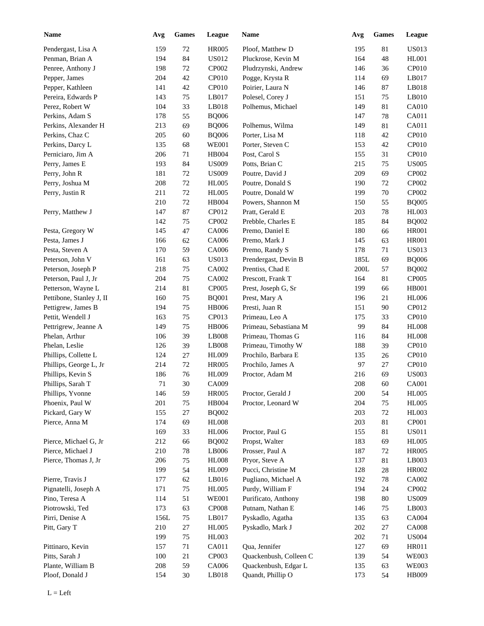| <b>Name</b>              | Avg     | Games  | League       | Name                   | Avg  | <b>Games</b> | League       |
|--------------------------|---------|--------|--------------|------------------------|------|--------------|--------------|
| Pendergast, Lisa A       | 159     | $72\,$ | <b>HR005</b> | Ploof, Matthew D       | 195  | 81           | <b>US013</b> |
| Penman, Brian A          | 194     | 84     | US012        | Pluckrose, Kevin M     | 164  | 48           | <b>HL001</b> |
| Penree, Anthony J        | 198     | $72\,$ | CP002        | Pludrzynski, Andrew    | 146  | 36           | CP010        |
| Pepper, James            | 204     | 42     | CP010        | Pogge, Krysta R        | 114  | 69           | LB017        |
| Pepper, Kathleen         | 141     | 42     | CP010        | Poirier, Laura N       | 146  | 87           | LB018        |
| Pereira, Edwards P       | 143     | 75     | LB017        | Polesel, Corey J       | 151  | 75           | $L$ B010     |
| Perez, Robert W          | 104     | 33     | LB018        | Polhemus, Michael      | 149  | 81           | CA010        |
| Perkins, Adam S          | 178     | 55     | <b>BQ006</b> |                        | 147  | 78           | CA011        |
| Perkins, Alexander H     | 213     | 69     | <b>BQ006</b> | Polhemus, Wilma        | 149  | 81           | CA011        |
| Perkins, Chaz C          | 205     | 60     | <b>BQ006</b> | Porter, Lisa M         | 118  | 42           | CP010        |
| Perkins, Darcy L         | 135     | 68     | <b>WE001</b> | Porter, Steven C       | 153  | 42           | CP010        |
| Perniciaro, Jim A        | 206     | 71     | <b>HB004</b> | Post, Carol S          | 155  | 31           | CP010        |
| Perry, James E           | 193     | 84     | <b>US009</b> | Potts, Brian C         | 215  | 75           | <b>US005</b> |
| Perry, John R            | 181     | 72     | <b>US009</b> | Poutre, David J        | 209  | 69           | CP002        |
| Perry, Joshua M          | 208     | 72     | <b>HL005</b> | Poutre, Donald S       | 190  | 72           | CP002        |
| Perry, Justin R          | 211     | 72     | <b>HL005</b> | Poutre, Donald W       | 199  | 70           | CP002        |
|                          | 210     | 72     | <b>HB004</b> | Powers, Shannon M      | 150  | 55           | <b>BQ005</b> |
|                          |         |        |              |                        |      |              |              |
| Perry, Matthew J         | 147     | 87     | CP012        | Pratt, Gerald E        | 203  | 78           | <b>HL003</b> |
|                          | 142     | 75     | CP002        | Prebble, Charles E     | 185  | 84           | <b>BQ002</b> |
| Pesta, Gregory W         | 145     | 47     | CA006        | Premo, Daniel E        | 180  | 66           | <b>HR001</b> |
| Pesta, James J           | 166     | 62     | CA006        | Premo, Mark J          | 145  | 63           | <b>HR001</b> |
| Pesta, Steven A          | 170     | 59     | CA006        | Premo, Randy S         | 178  | 71           | <b>US013</b> |
| Peterson, John V         | 161     | 63     | <b>US013</b> | Prendergast, Devin B   | 185L | 69           | <b>BQ006</b> |
| Peterson, Joseph P       | 218     | 75     | CA002        | Prentiss, Chad E       | 200L | 57           | <b>BQ002</b> |
| Peterson, Paul J, Jr     | 204     | 75     | CA002        | Prescott, Frank T      | 164  | 81           | CP005        |
| Petterson, Wayne L       | 214     | 81     | CP005        | Prest, Joseph G, Sr    | 199  | 66           | <b>HB001</b> |
| Pettibone, Stanley J, II | 160     | 75     | <b>BQ001</b> | Prest, Mary A          | 196  | 21           | <b>HL006</b> |
| Pettigrew, James B       | 194     | 75     | <b>HB006</b> | Presti, Juan R         | 151  | 90           | CP012        |
| Pettit, Wendell J        | 163     | 75     | CP013        | Primeau, Leo A         | 175  | 33           | CP010        |
| Pettrigrew, Jeanne A     | 149     | 75     | <b>HB006</b> | Primeau, Sebastiana M  | 99   | 84           | <b>HL008</b> |
| Phelan, Arthur           | 106     | 39     | LB008        | Primeau, Thomas G      | 116  | 84           | <b>HL008</b> |
| Phelan, Leslie           | 126     | 39     | LB008        | Primeau, Timothy W     | 188  | 39           | CP010        |
| Phillips, Collette L     | 124     | $27\,$ | <b>HL009</b> | Prochilo, Barbara E    | 135  | 26           | CP010        |
| Phillips, George L, Jr   | 214     | $72\,$ | <b>HR005</b> | Prochilo, James A      | 97   | 27           | CP010        |
| Phillips, Kevin S        | 186     | 76     | <b>HL009</b> | Proctor, Adam M        | 216  | 69           | <b>US003</b> |
| Phillips, Sarah T        | 71      | $30\,$ | CA009        |                        | 208  | 60           | CA001        |
| Phillips, Yvonne         | 146     | 59     | <b>HR005</b> | Proctor, Gerald J      | 200  | 54           | HL005        |
| Phoenix, Paul W          | $201\,$ | 75     | <b>HB004</b> | Proctor, Leonard W     | 204  | 75           | <b>HL005</b> |
| Pickard, Gary W          | 155     | 27     | <b>BQ002</b> |                        | 203  | 72           | HL003        |
| Pierce, Anna M           | 174     | 69     | <b>HL008</b> |                        | 203  | $81\,$       | CP001        |
|                          | 169     | 33     | <b>HL006</b> | Proctor, Paul G        | 155  | 81           | <b>US011</b> |
| Pierce, Michael G, Jr    | 212     | 66     | <b>BQ002</b> | Propst, Walter         | 183  | 69           | <b>HL005</b> |
| Pierce, Michael J        | $210\,$ | 78     | LB006        | Prosser, Paul A        | 187  | $72\,$       | <b>HR005</b> |
| Pierce, Thomas J, Jr     | 206     | 75     | <b>HL008</b> | Pryor, Steve A         | 137  | 81           | LB003        |
|                          | 199     | 54     | <b>HL009</b> | Pucci, Christine M     | 128  | 28           | HR002        |
| Pierre, Travis J         | 177     | 62     | LB016        | Pugliano, Michael A    | 192  | 78           | CA002        |
| Pignatelli, Joseph A     | 171     | 75     | <b>HL005</b> | Purdy, William F       | 194  | 24           | CP002        |
|                          |         |        |              |                        |      |              |              |
| Pino, Teresa A           | 114     | 51     | <b>WE001</b> | Purificato, Anthony    | 198  | $80\,$       | <b>US009</b> |
| Piotrowski, Ted          | 173     | 63     | CP008        | Putnam, Nathan E       | 146  | 75           | LB003        |
| Pirri, Denise A          | 156L    | 75     | LB017        | Pyskadlo, Agatha       | 135  | 63           | CA004        |
| Pitt, Gary T             | 210     | $27\,$ | <b>HL005</b> | Pyskadlo, Mark J       | 202  | $27\,$       | <b>CA008</b> |
|                          | 199     | 75     | HL003        |                        | 202  | 71           | <b>US004</b> |
| Pittinaro, Kevin         | 157     | 71     | CA011        | Qua, Jennifer          | 127  | 69           | HR011        |
| Pitts, Sarah J           | 100     | 21     | CP003        | Quackenbush, Colleen C | 139  | 54           | <b>WE003</b> |
| Plante, William B        | 208     | 59     | CA006        | Quackenbush, Edgar L   | 135  | 63           | <b>WE003</b> |
| Ploof, Donald J          | 154     | 30     | LB018        | Quandt, Phillip O      | 173  | 54           | HB009        |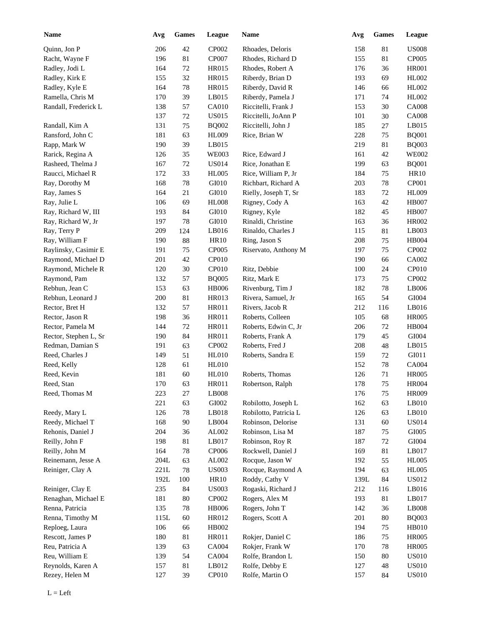| <b>Name</b>                          | Avg             | <b>Games</b> | League                 | Name                                  | Avg  | <b>Games</b> | <b>League</b> |
|--------------------------------------|-----------------|--------------|------------------------|---------------------------------------|------|--------------|---------------|
| Quinn, Jon P                         | 206             | 42           | CP002                  | Rhoades, Deloris                      | 158  | 81           | <b>US008</b>  |
| Racht, Wayne F                       | 196             | 81           | <b>CP007</b>           | Rhodes, Richard D                     | 155  | 81           | CP005         |
| Radley, Jodi L                       | 164             | $72\,$       | HR015                  | Rhodes, Robert A                      | 176  | 36           | <b>HR001</b>  |
| Radley, Kirk E                       | 155             | $32\,$       | HR015                  | Riberdy, Brian D                      | 193  | 69           | HL002         |
| Radley, Kyle E                       | 164             | 78           | HR015                  | Riberdy, David R                      | 146  | 66           | HL002         |
| Ramella, Chris M                     | 170             | 39           | LB015                  | Riberdy, Pamela J                     | 171  | 74           | HL002         |
| Randall, Frederick L                 | 138             | 57           | CA010                  | Riccitelli, Frank J                   | 153  | 30           | <b>CA008</b>  |
|                                      | 137             | $72\,$       | <b>US015</b>           | Riccitelli, JoAnn P                   | 101  | 30           | <b>CA008</b>  |
| Randall, Kim A                       | 131             | 75           | <b>BQ002</b>           | Riccitelli, John J                    | 185  | 27           | LB015         |
| Ransford, John C                     | 181             | 63           | HL009                  | Rice, Brian W                         | 228  | 75           | <b>BQ001</b>  |
| Rapp, Mark W                         | 190             | 39           | LB015                  |                                       | 219  | 81           | <b>BQ003</b>  |
| Rarick, Regina A                     | 126             | 35           | <b>WE003</b>           | Rice, Edward J                        | 161  | 42           | <b>WE002</b>  |
| Rasheed, Thelma J                    | 167             | $72\,$       | <b>US014</b>           | Rice, Jonathan E                      | 199  | 63           | <b>BQ001</b>  |
| Raucci, Michael R                    | 172             | 33           | <b>HL005</b>           | Rice, William P, Jr                   | 184  | 75           | <b>HR10</b>   |
| Ray, Dorothy M                       | 168             | 78           | GI010                  | Richbart, Richard A                   | 203  | 78           | CP001         |
| Ray, James S                         | 164             | 21           | GI010                  | Rielly, Joseph T, Sr                  | 183  | 72           | <b>HL009</b>  |
| Ray, Julie L                         | 106             | 69           | <b>HL008</b>           | Rigney, Cody A                        | 163  | 42           | <b>HB007</b>  |
| Ray, Richard W, III                  | 193             | 84           | GI010                  | Rigney, Kyle                          | 182  | 45           | <b>HB007</b>  |
| Ray, Richard W, Jr                   | 197             | 78           | GI010                  | Rinaldi, Christine                    | 163  | 36           | HR002         |
| Ray, Terry P                         | 209             | 124          | LB016                  | Rinaldo, Charles J                    | 115  | 81           | LB003         |
| Ray, William F                       | 190             | 88           | <b>HR10</b>            | Ring, Jason S                         | 208  | 75           | HB004         |
| Raylinsky, Casimir E                 | 191             | 75           | <b>CP005</b>           | Riservato, Anthony M                  | 197  | 75           | CP002         |
| Raymond, Michael D                   | 201             | 42           | <b>CP010</b>           |                                       | 190  | 66           | CA002         |
| Raymond, Michele R                   | 120             | 30           | <b>CP010</b>           | Ritz, Debbie                          | 100  | 24           | CP010         |
| Raymond, Pam                         | 132             | 57           | <b>BQ005</b>           | Ritz, Mark E                          | 173  | 75           | CP002         |
| Rebhun, Jean C                       | 153             | 63           | <b>HB006</b>           | Rivenburg, Tim J                      | 182  | 78           | LB006         |
| Rebhun, Leonard J                    | 200             | 81           | HR013                  | Rivera, Samuel, Jr                    | 165  | 54           | GI004         |
| Rector, Bret H                       | 132             | 57           | HR011                  | Rivers, Jacob R                       | 212  | 116          | LB016         |
| Rector, Jason R                      | 198             | 36           | <b>HR011</b>           | Roberts, Colleen                      | 105  | 68           | <b>HR005</b>  |
| Rector, Pamela M                     | 144             | $72\,$       | <b>HR011</b>           | Roberts, Edwin C, Jr                  | 206  | 72           | HB004         |
| Rector, Stephen L, Sr                | 190             | 84           | HR011                  | Roberts, Frank A                      | 179  | 45           | GI004         |
| Redman, Damian S                     | 191             | 63           | CP002                  | Roberts, Fred J                       | 208  | 48           | LB015         |
| Reed, Charles J                      | 149             | 51           | <b>HL010</b>           | Roberts, Sandra E                     | 159  | 72           | GI011         |
| Reed, Kelly                          | 128             | 61           | <b>HL010</b>           |                                       | 152  | 78           | <b>CA004</b>  |
| Reed, Kevin                          | 181             | 60           | HL010                  | Roberts, Thomas                       | 126  | $71\,$       | <b>HR005</b>  |
| Reed, Stan                           | 170             | 63           | HR011                  | Robertson, Ralph                      | 178  | 75           | $\rm HR004$   |
| Reed, Thomas M                       | 223             | $27\,$       | LB008                  |                                       | 176  | $75\,$       | <b>HR009</b>  |
|                                      | 221             | 63           | ${\rm GIO}02$          | Robilotto, Joseph L                   | 162  | 63           | $L$ B010      |
| Reedy, Mary L                        | 126             | $78\,$       | $L$ B018               | Robilotto, Patricia L                 | 126  | 63           | $L$ B010      |
| Reedy, Michael T                     |                 |              | LB004                  | Robinson, Delorise                    |      |              | <b>US014</b>  |
|                                      | 168             | $90\,$       |                        | Robinson, Lisa M                      | 131  | 60           | GI005         |
| Rehonis, Daniel J                    | 204             | 36<br>$81\,$ | ${\rm AL}002$<br>LB017 | Robinson, Roy R                       | 187  | $75\,$       | ${\rm GIO}04$ |
| Reilly, John F                       | 198             |              |                        |                                       | 187  | 72           |               |
| Reilly, John M<br>Reinemann, Jesse A | 164             | $78\,$       | CP006                  | Rockwell, Daniel J<br>Rocque, Jason W | 169  | $81\,$       | LB017         |
|                                      | $204\mathrm{L}$ | 63           | AL002                  |                                       | 192  | 55           | <b>HL005</b>  |
| Reiniger, Clay A                     | $221L$          | $78\,$       | <b>US003</b>           | Rocque, Raymond A                     | 194  | 63           | <b>HL005</b>  |
|                                      | 192L            | 100          | HR10                   | Roddy, Cathy V                        | 139L | 84           | <b>US012</b>  |
| Reiniger, Clay E                     | 235             | 84           | <b>US003</b>           | Rogaski, Richard J                    | 212  | 116          | LB016         |
| Renaghan, Michael E                  | 181             | $80\,$       | CP002                  | Rogers, Alex M                        | 193  | $81\,$       | LB017         |
| Renna, Patricia                      | 135             | $78\,$       | <b>HB006</b>           | Rogers, John T                        | 142  | 36           | LB008         |
| Renna, Timothy M                     | 115L            | 60           | HR012                  | Rogers, Scott A                       | 201  | $80\,$       | <b>BQ003</b>  |
| Reploeg, Laura                       | 106             | 66           | HB002                  |                                       | 194  | 75           | HB010         |
| Rescott, James P                     | 180             | 81           | HR011                  | Rokjer, Daniel C                      | 186  | 75           | <b>HR005</b>  |
| Reu, Patricia A                      | 139             | 63           | CA004                  | Rokjer, Frank W                       | 170  | $78\,$       | <b>HR005</b>  |
| Reu, William E                       | 139             | 54           | CA004                  | Rolfe, Brandon L                      | 150  | 80           | <b>US010</b>  |
| Reynolds, Karen A                    | 157             | $81\,$       | LB012                  | Rolfe, Debby E                        | 127  | 48           | US010         |
| Rezey, Helen M                       | 127             | 39           | CP010                  | Rolfe, Martin O                       | 157  | 84           | <b>US010</b>  |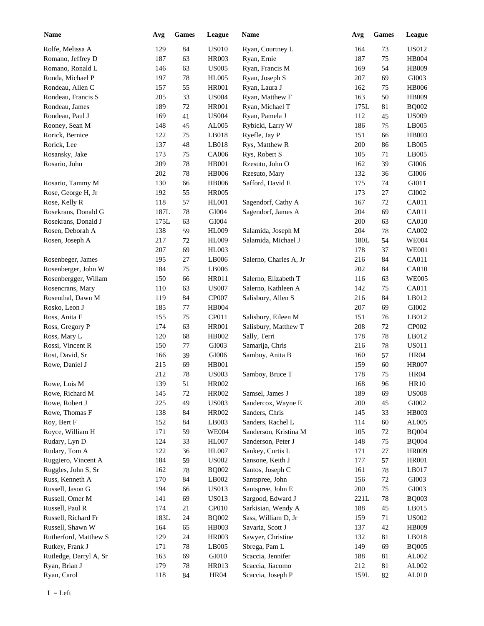| <b>Name</b>            | Avg  | <b>Games</b> | League            | Name                   | Avg  | <b>Games</b> | League        |
|------------------------|------|--------------|-------------------|------------------------|------|--------------|---------------|
| Rolfe, Melissa A       | 129  | 84           | <b>US010</b>      | Ryan, Courtney L       | 164  | 73           | <b>US012</b>  |
| Romano, Jeffrey D      | 187  | 63           | <b>HR003</b>      | Ryan, Ernie            | 187  | 75           | <b>HB004</b>  |
| Romano, Ronald L       | 146  | 63           | <b>US005</b>      | Ryan, Francis M        | 169  | 54           | <b>HB009</b>  |
| Ronda, Michael P       | 197  | 78           | <b>HL005</b>      | Ryan, Joseph S         | 207  | 69           | GI003         |
| Rondeau, Allen C       | 157  | 55           | <b>HR001</b>      | Ryan, Laura J          | 162  | 75           | <b>HB006</b>  |
| Rondeau, Francis S     | 205  | 33           | <b>US004</b>      | Ryan, Matthew F        | 163  | 50           | <b>HB009</b>  |
| Rondeau, James         | 189  | $72\,$       | <b>HR001</b>      | Ryan, Michael T        | 175L | 81           | <b>BQ002</b>  |
| Rondeau, Paul J        | 169  | 41           | <b>US004</b>      | Ryan, Pamela J         | 112  | 45           | <b>US009</b>  |
| Rooney, Sean M         | 148  | 45           | AL005             | Rybicki, Larry W       | 186  | 75           | LB005         |
| Rorick, Bernice        | 122  | 75           | LB018             | Ryefle, Jay P          | 151  | 66           | <b>HB003</b>  |
| Rorick, Lee            | 137  | 48           | LB018             | Rys, Matthew R         | 200  | 86           | LB005         |
| Rosansky, Jake         | 173  | 75           | CA006             | Rys, Robert S          | 105  | 71           | LB005         |
| Rosario, John          | 209  | 78           | <b>HB001</b>      | Rzesuto, John O        | 162  | 39           | $\rm GIO06$   |
|                        | 202  | 78           | <b>HB006</b>      | Rzesuto, Mary          | 132  | 36           | $\rm GIO06$   |
| Rosario, Tammy M       | 130  | 66           | <b>HB006</b>      | Safford, David E       | 175  | 74           | GI011         |
| Rose, George H, Jr     | 192  | 55           | <b>HR005</b>      |                        | 173  | 27           | GI002         |
| Rose, Kelly R          | 118  | 57           | HL001             | Sagendorf, Cathy A     | 167  | 72           | CA011         |
| Rosekrans, Donald G    | 187L | 78           | GI004             | Sagendorf, James A     | 204  | 69           | CA011         |
| Rosekrans, Donald J    | 175L | 63           | GI004             |                        | 200  | 63           | <b>CA010</b>  |
| Rosen, Deborah A       | 138  | 59           | HL009             | Salamida, Joseph M     | 204  | 78           | CA002         |
| Rosen, Joseph A        | 217  | 72           | HL009             | Salamida, Michael J    | 180L | 54           | <b>WE004</b>  |
|                        | 207  | 69           | <b>HL003</b>      |                        | 178  | 37           | <b>WE001</b>  |
| Rosenbeger, James      | 195  | 27           | LB006             | Salerno, Charles A, Jr | 216  | 84           | CA011         |
| Rosenberger, John W    | 184  | 75           | LB006             |                        | 202  | 84           | <b>CA010</b>  |
| Rosenbergger, Willam   | 150  |              | HR011             | Salerno, Elizabeth T   | 116  |              | <b>WE005</b>  |
|                        | 110  | 66           |                   |                        |      | 63           | CA011         |
| Rosencrans, Mary       |      | 63           | <b>US007</b>      | Salerno, Kathleen A    | 142  | 75           |               |
| Rosenthal, Dawn M      | 119  | 84           | <b>CP007</b>      | Salisbury, Allen S     | 216  | 84           | LB012         |
| Rosko, Leon J          | 185  | 77           | HB004             |                        | 207  | 69           | GI002         |
| Ross, Anita F          | 155  | 75           | CP011             | Salisbury, Eileen M    | 151  | 76           | LB012         |
| Ross, Gregory P        | 174  | 63           | <b>HR001</b>      | Salisbury, Matthew T   | 208  | 72           | CP002         |
| Ross, Mary L           | 120  | 68           | HB002             | Sally, Terri           | 178  | 78           | LB012         |
| Rossi, Vincent R       | 150  | 77           | GI003             | Samarija, Chris        | 216  | 78           | <b>US011</b>  |
| Rost, David, Sr        | 166  | 39           | GI006             | Samboy, Anita B        | 160  | 57           | <b>HR04</b>   |
| Rowe, Daniel J         | 215  | 69           | <b>HB001</b>      |                        | 159  | 60           | <b>HR007</b>  |
|                        | 212  | 78           | <b>US003</b>      | Samboy, Bruce T        | 178  | 75           | <b>HR04</b>   |
| Rowe, Lois M           | 139  | 51           | <b>HR002</b>      |                        | 168  | 96           | <b>HR10</b>   |
| Rowe, Richard M        | 145  | 72           | HR002             | Samsel, James J        | 189  | 69           | <b>US008</b>  |
| Rowe, Robert J         | 225  | 49           | <b>US003</b>      | Sandercox, Wayne E     | 200  | 45           | ${\rm GIO}02$ |
| Rowe, Thomas F         | 138  | 84           | HR002             | Sanders, Chris         | 145  | 33           | HB003         |
| Roy, Bert F            | 152  | 84           | LB003             | Sanders, Rachel L      | 114  | 60           | ${\rm AL005}$ |
| Royce, William H       | 171  | 59           | <b>WE004</b>      | Sanderson, Kristina M  | 105  | 72           | <b>BQ004</b>  |
| Rudary, Lyn D          | 124  | 33           | HL007             | Sanderson, Peter J     | 148  | 75           | <b>BQ004</b>  |
| Rudary, Tom A          | 122  | 36           | HL007             | Sankey, Curtis L       | 171  | $27\,$       | <b>HR009</b>  |
| Ruggiero, Vincent A    | 184  | 59           | <b>US002</b>      | Sansone, Keith J       | 177  | 57           | <b>HR001</b>  |
| Ruggles, John S, Sr    | 162  | 78           | <b>BQ002</b>      | Santos, Joseph C       | 161  | 78           | LB017         |
| Russ, Kenneth A        | 170  | 84           | LB002             | Santspree, John        | 156  | 72           | GI003         |
| Russell, Jason G       | 194  | 66           | <b>US013</b>      | Santspree, John E      | 200  | 75           | GI003         |
| Russell, Omer M        | 141  | 69           | <b>US013</b>      | Sargood, Edward J      | 221L | 78           | <b>BQ003</b>  |
| Russell, Paul R        | 174  | 21           | CP <sub>010</sub> | Sarkisian, Wendy A     | 188  | 45           | LB015         |
| Russell, Richard Fr    | 183L | $24\,$       | <b>BQ002</b>      | Sass, William D, Jr    | 159  | 71           | <b>US002</b>  |
| Russell, Shawn W       | 164  | 65           | HB003             | Savaria, Scott J       | 137  | 42           | HB009         |
| Rutherford, Matthew S  | 129  | 24           | <b>HR003</b>      | Sawyer, Christine      | 132  | 81           | LB018         |
| Rutkey, Frank J        | 171  | 78           | LB005             | Sbrega, Pam L          | 149  | 69           | <b>BQ005</b>  |
| Rutledge, Darryl A, Sr | 163  | 69           | GI010             | Scaccia, Jennifer      | 188  | 81           | AL002         |
| Ryan, Brian J          | 179  | $78\,$       | HR013             | Scaccia, Jiacomo       | 212  | $81\,$       | ${\rm AL}002$ |
| Ryan, Carol            | 118  | 84           | <b>HR04</b>       | Scaccia, Joseph P      | 159L | 82           | $AL010$       |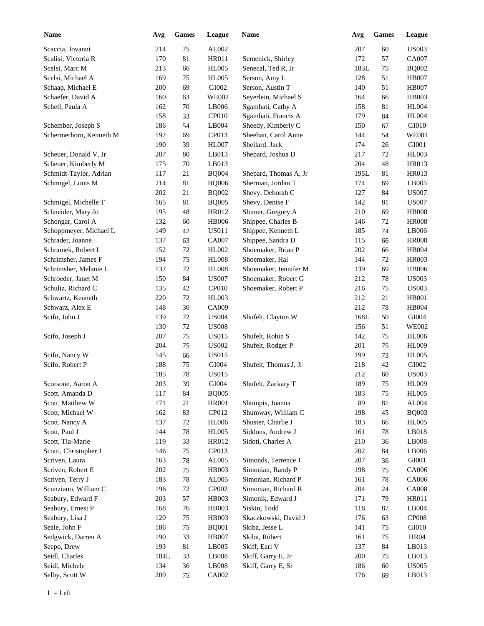| <b>Name</b>             | Avg  | <b>Games</b> | League       | Name                  | Avg  | <b>Games</b> | <b>League</b> |
|-------------------------|------|--------------|--------------|-----------------------|------|--------------|---------------|
| Scaccia, Jovanni        | 214  | 75           | AL002        |                       | 207  | 60           | <b>US003</b>  |
| Scalisi, Victoria R     | 170  | 81           | HR011        | Semenick, Shirley     | 172  | 57           | <b>CA007</b>  |
| Scelsi, Marc M          | 213  | 66           | <b>HL005</b> | Senecal, Ted R, Jr    | 183L | 75           | <b>BQ002</b>  |
| Scelsi, Michael A       | 169  | 75           | <b>HL005</b> | Serson, Amy L         | 128  | 51           | <b>HB007</b>  |
| Schaap, Michael E       | 200  | 69           | GI002        | Serson, Austin T      | 140  | 51           | <b>HB007</b>  |
| Schaefer, David A       | 160  | 63           | <b>WE002</b> | Seyerlein, Michael S  | 164  | 66           | <b>HB003</b>  |
| Schell, Paula A         | 162  | $70\,$       | LB006        | Sgambati, Cathy A     | 158  | 81           | <b>HL004</b>  |
|                         | 158  | 33           | CP010        | Sgambati, Francis A   | 179  | 84           | <b>HL004</b>  |
| Schember, Joseph S      | 186  | 54           | LB004        | Sheedy, Kimberly C    | 150  | 67           | GI010         |
| Schermerhorn, Kenneth M | 197  | 69           | CP013        | Sheehan, Carol Anne   | 144  | 54           | <b>WE001</b>  |
|                         | 190  | 39           | <b>HL007</b> | Shellard, Jack        | 174  | 26           | GI001         |
| Scheuer, Donald V, Jr   | 207  | 80           | LB013        | Shepard, Joshua D     | 217  | 72           | <b>HL003</b>  |
| Scheuer, Kimberly M     | 175  | 70           | LB013        |                       | 204  | 48           | HR013         |
| Schmidt-Taylor, Adrian  | 117  | 21           | <b>BQ004</b> | Shepard, Thomas A, Jr | 195L | 81           | HR013         |
| Schmigel, Louis M       | 214  | 81           | <b>BQ006</b> | Sherman, Jordan T     | 174  | 69           | LB005         |
|                         | 202  | 21           | <b>BQ002</b> | Shevy, Deborah C      | 127  | 84           | <b>US007</b>  |
| Schmigel, Michelle T    | 165  | 81           | <b>BQ005</b> | Shevy, Denise F       | 142  | 81           | <b>US007</b>  |
| Schneider, Mary Jo      | 195  | 48           | HR012        | Shimer, Gregory A     | 210  | 69           | <b>HB008</b>  |
| Schongar, Carol A       | 132  | 60           | <b>HB006</b> | Shippee, Charles B    | 146  | 72           | <b>HR008</b>  |
| Schoppmeyer, Michael L  | 149  | 42           | <b>US011</b> | Shippee, Kenneth L    | 185  | 74           | LB006         |
| Schrader, Joanne        | 137  | 63           | CA007        | Shippee, Sandra D     | 115  | 66           | <b>HR008</b>  |
| Schramek, Robert L      | 152  | 72           | HL002        | Shoemaker, Brian P    | 202  | 66           | <b>HB004</b>  |
| Schrimsher, James F     | 194  | 75           | HL008        | Shoemaker, Hal        | 144  | 72           | <b>HR003</b>  |
| Schrimsher, Melanie L   | 137  | 72           | <b>HL008</b> | Shoemaker, Jennifer M | 139  | 69           | <b>HB006</b>  |
| Schroeder, Janet M      | 150  | 84           | <b>US007</b> | Shoemaker, Robert G   | 212  | 78           | <b>US003</b>  |
| Schultz, Richard C      | 135  | 42           | CP010        | Shoemaker, Robert P   | 216  | 75           | <b>US003</b>  |
| Schwartz, Kenneth       | 220  | 72           | HL003        |                       | 212  | 21           | <b>HB001</b>  |
| Schwarz, Alex E         | 148  | 30           | CA009        |                       | 212  | 78           | HB004         |
| Scifo, John J           | 139  | 72           | <b>US004</b> | Shufelt, Clayton W    | 168L | 50           | GI004         |
|                         | 130  | 72           | <b>US008</b> |                       | 156  | 51           | <b>WE002</b>  |
| Scifo, Joseph J         | 207  | 75           | <b>US015</b> | Shufelt, Robin S      | 142  | 75           | <b>HL006</b>  |
|                         | 204  | 75           | <b>US002</b> | Shufelt, Rodger P     | 201  | 75           | <b>HL009</b>  |
| Scifo, Nancy W          | 145  | 66           | <b>US015</b> |                       | 199  | 73           | <b>HL005</b>  |
| Scifo, Robert P         | 188  | 75           | GI004        | Shufelt, Thomas J, Jr | 218  | 42           | GI002         |
|                         | 185  | 78           | <b>US015</b> |                       | 212  | 60           | <b>US003</b>  |
| Scorsone, Aaron A       | 203  | 39           | GI004        | Shufelt, Zackary T    | 189  | 75           | HL009         |
| Scott, Amanda D         | 117  | 84           | <b>BQ005</b> |                       | 183  | 75           | <b>HL005</b>  |
| Scott, Matthew W        | 171  | 21           | <b>HR001</b> | Shumpis, Joanna       | 89   | 81           | AL004         |
| Scott, Michael W        | 162  | 83           | CP012        | Shumway, William C    | 198  | 45           | <b>BQ003</b>  |
| Scott, Nancy A          | 137  | 72           | <b>HL006</b> | Shuster, Charlie J    | 183  | 66           | <b>HL005</b>  |
| Scott, Paul J           | 144  | $78\,$       | <b>HL005</b> | Siddons, Andrew J     | 161  | 78           | LB018         |
| Scott, Tia-Marie        | 119  | 33           | HR012        | Sidoti, Charles A     | 210  | 36           | LB008         |
| Scotti, Christopher J   | 146  | 75           | CP013        |                       | 202  | 84           | LB006         |
| Scriven, Laura          | 163  | 78           | AL005        | Simonds, Terrence J   | 207  | 36           | GI001         |
| Scriven, Robert E       | 202  | 75           | HB003        | Simonian, Randy P     | 198  | 75           | CA006         |
| Scriven, Terry J        | 183  | 78           | AL005        | Simonian, Richard P   | 161  | 78           | CA006         |
| Scunziano, William C    | 196  | $72\,$       | CP002        | Simonian, Richard R   | 204  | 24           | <b>CA008</b>  |
| Seabury, Edward F       | 203  | 57           | HB003        | Simonik, Edward J     | 171  | 79           | HR011         |
| Seabury, Ernest P       | 168  | 76           | HB003        | Siskin, Todd          | 118  | 87           | LB004         |
| Seabury, Lisa J         | 120  | 75           | HB003        | Skaczkowski, David J  | 176  | 63           | <b>CP008</b>  |
| Seale, John F           | 186  | 75           | <b>BQ001</b> | Skiba, Jesse L        | 141  | $75\,$       | GI010         |
| Sedgwick, Darren A      | 190  | 33           | <b>HB007</b> | Skiba, Robert         | 161  | $75\,$       | <b>HR04</b>   |
| Seepo, Drew             | 193  | 81           | LB005        | Skiff, Earl V         | 137  | 84           | LB013         |
|                         |      |              |              |                       |      |              | LB013         |
| Seidl, Charles          | 184L | 33           | LB008        | Skiff, Garry E, Jr    | 200  | 75           | <b>US005</b>  |
| Seidl, Michele          | 134  | 36           | LB008        | Skiff, Garry E, Sr    | 186  | 60           |               |
| Selby, Scott W          | 209  | 75           | CA002        |                       | 176  | 69           | LB013         |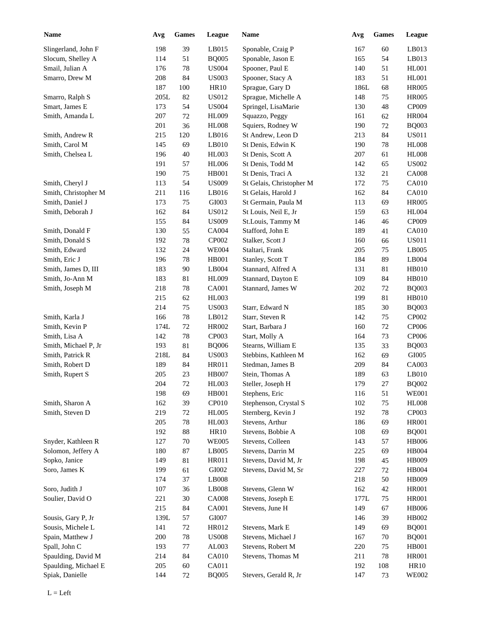| <b>Name</b>          | Avg     | <b>Games</b> | League       | <b>Name</b>              | Avg  | <b>Games</b> | League       |
|----------------------|---------|--------------|--------------|--------------------------|------|--------------|--------------|
| Slingerland, John F  | 198     | 39           | LB015        | Sponable, Craig P        | 167  | 60           | LB013        |
| Slocum, Shelley A    | 114     | 51           | <b>BQ005</b> | Sponable, Jason E        | 165  | 54           | LB013        |
| Smail, Julian A      | 176     | $78\,$       | <b>US004</b> | Spooner, Paul E          | 140  | 51           | <b>HL001</b> |
| Smarro, Drew M       | 208     | 84           | <b>US003</b> | Spooner, Stacy A         | 183  | 51           | <b>HL001</b> |
|                      | 187     | 100          | HR10         | Sprague, Gary D          | 186L | 68           | <b>HR005</b> |
| Smarro, Ralph S      | 205L    | 82           | <b>US012</b> | Sprague, Michelle A      | 148  | 75           | <b>HR005</b> |
| Smart, James E       | 173     | 54           | <b>US004</b> | Springel, LisaMarie      | 130  | 48           | CP009        |
| Smith, Amanda L      | 207     | $72\,$       | <b>HL009</b> | Squazzo, Peggy           | 161  | 62           | <b>HR004</b> |
|                      | 201     | 36           | <b>HL008</b> | Squiers, Rodney W        | 190  | 72           | <b>BQ003</b> |
| Smith, Andrew R      | 215     | 120          | LB016        | St Andrew, Leon D        | 213  | 84           | <b>US011</b> |
| Smith, Carol M       | 145     | 69           | LB010        | St Denis, Edwin K        | 190  | 78           | <b>HL008</b> |
| Smith, Chelsea L     | 196     | 40           | HL003        | St Denis, Scott A        | 207  | 61           | <b>HL008</b> |
|                      | 191     | 57           | <b>HL006</b> | St Denis, Todd M         | 142  | 65           | <b>US002</b> |
|                      | 190     | 75           | HB001        | St Denis, Traci A        | 132  | 21           | <b>CA008</b> |
| Smith, Cheryl J      | 113     | 54           | <b>US009</b> | St Gelais, Christopher M | 172  | 75           | CA010        |
| Smith, Christopher M | 211     | 116          | LB016        | St Gelais, Harold J      | 162  | 84           | CA010        |
| Smith, Daniel J      | 173     | 75           | GI003        | St Germain, Paula M      | 113  | 69           | <b>HR005</b> |
| Smith, Deborah J     | 162     | 84           | <b>US012</b> | St Louis, Neil E, Jr     | 159  | 63           | <b>HL004</b> |
|                      | 155     | 84           | <b>US009</b> | St.Louis, Tammy M        | 146  | 46           | CP009        |
| Smith, Donald F      | 130     | 55           | CA004        | Stafford, John E         | 189  | 41           | <b>CA010</b> |
| Smith, Donald S      | 192     | 78           | CP002        | Stalker, Scott J         | 160  | 66           | <b>US011</b> |
| Smith, Edward        | 132     | 24           | <b>WE004</b> | Staltari, Frank          | 205  | 75           | LB005        |
| Smith, Eric J        | 196     | 78           | <b>HB001</b> | Stanley, Scott T         | 184  | 89           | LB004        |
| Smith, James D, III  | 183     | 90           | LB004        | Stannard, Alfred A       | 131  | 81           | <b>HB010</b> |
| Smith, Jo-Ann M      | 183     | 81           | <b>HL009</b> | Stannard, Dayton E       | 109  | 84           | HB010        |
| Smith, Joseph M      | 218     | 78           | CA001        | Stannard, James W        | 202  | 72           | <b>BQ003</b> |
|                      | 215     | 62           | HL003        |                          | 199  | 81           | HB010        |
|                      | 214     | 75           | <b>US003</b> | Starr, Edward N          | 185  | 30           | <b>BQ003</b> |
| Smith, Karla J       | 166     | $78\,$       | LB012        | Starr, Steven R          | 142  | 75           | CP002        |
| Smith, Kevin P       | 174L    | $72\,$       | HR002        | Start, Barbara J         | 160  | 72           | CP006        |
| Smith, Lisa A        | 142     | 78           |              |                          |      |              | CP006        |
|                      |         | 81           | CP003        | Start, Molly A           | 164  | 73           |              |
| Smith, Michael P, Jr | 193     |              | <b>BQ006</b> | Stearns, William E       | 135  | 33           | <b>BQ003</b> |
| Smith, Patrick R     | 218L    | 84           | <b>US003</b> | Stebbins, Kathleen M     | 162  | 69           | GI005        |
| Smith, Robert D      | 189     | 84           | HR011        | Stedman, James B         | 209  | 84           | CA003        |
| Smith, Rupert S      | 205     | 23           | <b>HB007</b> | Stein, Thomas A          | 189  | 63           | LB010        |
|                      | $204\,$ | $72\,$       | HL003        | Steller, Joseph H        | 179  | $27\,$       | <b>BQ002</b> |
|                      | 198     | 69           | HB001        | Stephens, Eric           | 116  | 51           | <b>WE001</b> |
| Smith, Sharon A      | 162     | 39           | CP010        | Stephenson, Crystal S    | 102  | $75\,$       | <b>HL008</b> |
| Smith, Steven D      | 219     | 72           | <b>HL005</b> | Sternberg, Kevin J       | 192  | 78           | CP003        |
|                      | 205     | 78           | HL003        | Stevens, Arthur          | 186  | 69           | <b>HR001</b> |
|                      | 192     | $88\,$       | <b>HR10</b>  | Stevens, Bobbie A        | 108  | 69           | <b>BQ001</b> |
| Snyder, Kathleen R   | 127     | 70           | <b>WE005</b> | Stevens, Colleen         | 143  | 57           | <b>HB006</b> |
| Solomon, Jeffery A   | 180     | 87           | LB005        | Stevens, Darrin M        | 225  | 69           | <b>HB004</b> |
| Sopko, Janice        | 149     | 81           | HR011        | Stevens, David M, Jr     | 198  | 45           | <b>HB009</b> |
| Soro, James K        | 199     | 61           | GI002        | Stevens, David M, Sr     | 227  | 72           | HB004        |
|                      | 174     | 37           | LB008        |                          | 218  | 50           | <b>HB009</b> |
| Soro, Judith J       | 107     | 36           | LB008        | Stevens, Glenn W         | 162  | 42           | <b>HR001</b> |
| Soulier, David O     | 221     | $30\,$       | <b>CA008</b> | Stevens, Joseph E        | 177L | $75\,$       | <b>HR001</b> |
|                      | 215     | $84\,$       | CA001        | Stevens, June H          | 149  | 67           | <b>HB006</b> |
| Sousis, Gary P, Jr   | 139L    | 57           | GI007        |                          | 146  | 39           | HB002        |
| Sousis, Michele L    | 141     | $72\,$       | HR012        | Stevens, Mark E          | 149  | 69           | <b>BQ001</b> |
| Spain, Matthew J     | 200     | $78\,$       | <b>US008</b> | Stevens, Michael J       | 167  | 70           | <b>BQ001</b> |
| Spall, John C        | 193     | $77 \,$      | AL003        | Stevens, Robert M        | 220  | $75\,$       | <b>HB001</b> |
| Spaulding, David M   | 214     | 84           | CA010        | Stevens, Thomas M        | 211  | 78           | <b>HR001</b> |
| Spaulding, Michael E | 205     | 60           | CA011        |                          | 192  | 108          | <b>HR10</b>  |
| Spiak, Danielle      | 144     | 72           | <b>BQ005</b> | Stevers, Gerald R, Jr    | 147  | 73           | <b>WE002</b> |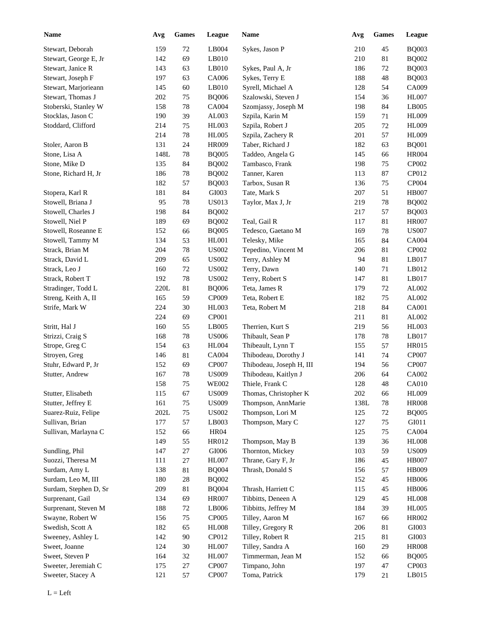| <b>Name</b>           | Avg    | <b>Games</b> | League           | Name                     | Avg  | Games | League       |
|-----------------------|--------|--------------|------------------|--------------------------|------|-------|--------------|
| Stewart, Deborah      | 159    | 72           | LB004            | Sykes, Jason P           | 210  | 45    | <b>BQ003</b> |
| Stewart, George E, Jr | 142    | 69           | LB010            |                          | 210  | 81    | <b>BQ002</b> |
| Stewart, Janice R     | 143    | 63           | LB010            | Sykes, Paul A, Jr        | 186  | 72    | <b>BQ003</b> |
| Stewart, Joseph F     | 197    | 63           | CA006            | Sykes, Terry E           | 188  | 48    | <b>BQ003</b> |
| Stewart, Marjorieann  | 145    | 60           | LB010            | Syrell, Michael A        | 128  | 54    | CA009        |
| Stewart, Thomas J     | 202    | $75\,$       | <b>BQ006</b>     | Szalowski, Steven J      | 154  | 36    | <b>HL007</b> |
| Stoberski, Stanley W  | 158    | 78           | <b>CA004</b>     | Szomjassy, Joseph M      | 198  | 84    | LB005        |
| Stocklas, Jason C     | 190    | 39           | AL003            | Szpila, Karin M          | 159  | 71    | <b>HL009</b> |
| Stoddard, Clifford    | 214    | $75\,$       | HL003            | Szpila, Robert J         | 205  | 72    | <b>HL009</b> |
|                       | 214    | 78           | <b>HL005</b>     | Szpila, Zachery R        | 201  | 57    | <b>HL009</b> |
| Stoler, Aaron B       | 131    | 24           | <b>HR009</b>     | Taber, Richard J         | 182  | 63    | <b>BQ001</b> |
| Stone, Lisa A         | 148L   | 78           | <b>BQ005</b>     | Taddeo, Angela G         | 145  | 66    | <b>HR004</b> |
| Stone, Mike D         | 135    | 84           | <b>BQ002</b>     | Tambasco, Frank          | 198  | 75    | CP002        |
| Stone, Richard H, Jr  | 186    | 78           | <b>BQ002</b>     | Tanner, Karen            | 113  | 87    | CP012        |
|                       | 182    | 57           | <b>BQ003</b>     | Tarbox, Susan R          | 136  | 75    | CP004        |
| Stopera, Karl R       | 181    | 84           | GI003            | Tate, Mark S             | 207  | 51    | <b>HB007</b> |
| Stowell, Briana J     | 95     | 78           | <b>US013</b>     | Taylor, Max J, Jr        | 219  | 78    | <b>BQ002</b> |
| Stowell, Charles J    | 198    | 84           | <b>BQ002</b>     |                          | 217  | 57    | <b>BQ003</b> |
| Stowell, Niel P       | 189    | 69           | <b>BQ002</b>     | Teal, Gail R             | 117  | 81    | <b>HR007</b> |
| Stowell, Roseanne E   | 152    | 66           | <b>BQ005</b>     | Tedesco, Gaetano M       | 169  | 78    | <b>US007</b> |
| Stowell, Tammy M      | 134    | 53           | HL001            | Telesky, Mike            | 165  | 84    | CA004        |
| Strack, Brian M       | 204    | 78           | <b>US002</b>     | Tepedino, Vincent M      | 206  | 81    | CP002        |
| Strack, David L       | 209    | 65           | <b>US002</b>     | Terry, Ashley M          | 94   | 81    | LB017        |
| Strack, Leo J         | 160    | 72           | <b>US002</b>     | Terry, Dawn              | 140  | 71    | LB012        |
| Strack, Robert T      | 192    | 78           | <b>US002</b>     | Terry, Robert S          | 147  | 81    | LB017        |
| Stradinger, Todd L    | 220L   | 81           | <b>BQ006</b>     | Teta, James R            | 179  | 72    | AL002        |
| Streng, Keith A, II   | 165    | 59           | CP009            | Teta, Robert E           | 182  | 75    | AL002        |
| Strife, Mark W        | 224    | 30           | <b>HL003</b>     | Teta, Robert M           | 218  | 84    | CA001        |
|                       | 224    | 69           | CP001            |                          | 211  | 81    | AL002        |
| Stritt, Hal J         | 160    | 55           | LB005            | Therrien, Kurt S         | 219  | 56    | HL003        |
| Strizzi, Craig S      | 168    | 78           | <b>US006</b>     | Thibault, Sean P         | 178  | 78    | LB017        |
| Strope, Greg C        | 154    | 63           | <b>HL004</b>     | Thibeault, Lynn T        | 155  | 57    | HR015        |
| Stroyen, Greg         | 146    | 81           | CA004            | Thibodeau, Dorothy J     | 141  | 74    | CP007        |
| Stuhr, Edward P, Jr   | 152    | 69           | CP007            | Thibodeau, Joseph H, III | 194  | 56    | CP007        |
| Stutter, Andrew       | 167    | 78           | <b>US009</b>     | Thibodeau, Kaitlyn J     | 206  | 64    | CA002        |
|                       | 158    | 75           | <b>WE002</b>     | Thiele, Frank C          | 128  | 48    | CA010        |
| Stutter, Elisabeth    | 115    | 67           | <b>US009</b>     | Thomas, Christopher K    | 202  | 66    | HL009        |
| Stutter, Jeffrey E    | 161    | 75           | <b>US009</b>     | Thompson, AnnMarie       | 138L | 78    | <b>HR008</b> |
| Suarez-Ruiz, Felipe   | $202L$ | 75           | <b>US002</b>     | Thompson, Lori M         | 125  | 72    | <b>BQ005</b> |
| Sullivan, Brian       | 177    | 57           | LB003            | Thompson, Mary C         | 127  | 75    | GI011        |
| Sullivan, Marlayna C  | 152    | 66           | <b>HR04</b>      |                          | 125  | 75    | CA004        |
|                       | 149    | 55           | HR012            | Thompson, May B          | 139  | 36    | <b>HL008</b> |
| Sundling, Phil        | 147    | 27           | GI006            | Thornton, Mickey         | 103  | 59    | <b>US009</b> |
| Suozzi, Theresa M     | 111    | 27           | HL007            | Thrane, Gary F, Jr       | 186  | 45    | <b>HB007</b> |
| Surdam, Amy L         | 138    | 81           | <b>BQ004</b>     | Thrash, Donald S         | 156  | 57    | HB009        |
| Surdam, Leo M, III    | 180    | $28\,$       | <b>BQ002</b>     |                          | 152  | 45    | <b>HB006</b> |
| Surdam, Stephen D, Sr | 209    | 81           | <b>BQ004</b>     | Thrash, Harriett C       | 115  | 45    | <b>HB006</b> |
| Surprenant, Gail      | 134    | 69           | <b>HR007</b>     | Tibbitts, Deneen A       | 129  | 45    | HL008        |
| Surprenant, Steven M  | 188    | $72\,$       | LB006            | Tibbitts, Jeffrey M      | 184  | 39    | <b>HL005</b> |
| Swayne, Robert W      | 156    | 75           | CP005            | Tilley, Aaron M          | 167  | 66    | HR002        |
| Swedish, Scott A      | 182    | 65           | <b>HL008</b>     | Tilley, Gregory R        | 206  | 81    | GI003        |
|                       |        |              |                  |                          |      |       | GI003        |
| Sweeney, Ashley L     | 142    | 90           | CP012            | Tilley, Robert R         | 215  | 81    |              |
| Sweet, Joanne         | 124    | $30\,$       | HL007            | Tilley, Sandra A         | 160  | 29    | <b>HR008</b> |
| Sweet, Steven P       | 164    | $32\,$       | HL007            | Timmerman, Jean M        | 152  | 66    | <b>BQ005</b> |
| Sweeter, Jeremiah C   | 175    | $27\,$       | $\mathbf{CPO07}$ | Timpano, John            | 197  | 47    | CP003        |
| Sweeter, Stacey A     | 121    | 57           | <b>CP007</b>     | Toma, Patrick            | 179  | 21    | LB015        |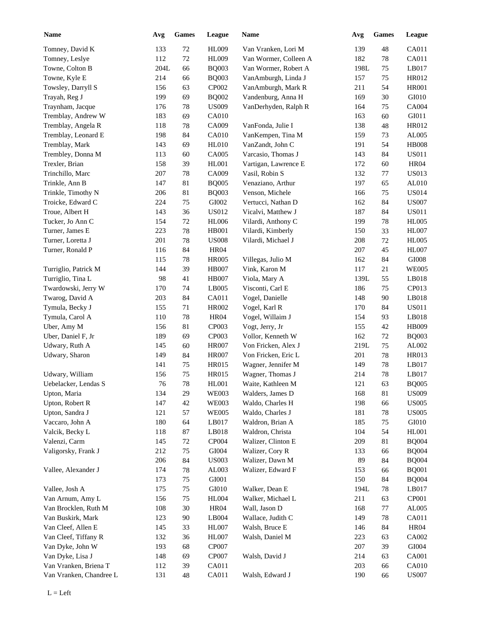| <b>Name</b>             | Avg    | <b>Games</b> | League        | Name                  | Avg  | Games   | <b>League</b> |
|-------------------------|--------|--------------|---------------|-----------------------|------|---------|---------------|
| Tomney, David K         | 133    | $72\,$       | <b>HL009</b>  | Van Vranken, Lori M   | 139  | 48      | CA011         |
| Tomney, Leslye          | 112    | $72\,$       | <b>HL009</b>  | Van Wormer, Colleen A | 182  | 78      | CA011         |
| Towne, Colton B         | 204L   | 66           | <b>BQ003</b>  | Van Wormer, Robert A  | 198L | 75      | LB017         |
| Towne, Kyle E           | 214    | 66           | <b>BQ003</b>  | VanAmburgh, Linda J   | 157  | 75      | HR012         |
| Towsley, Darryll S      | 156    | 63           | CP002         | VanAmburgh, Mark R    | 211  | 54      | <b>HR001</b>  |
| Trayah, Reg J           | 199    | 69           | <b>BQ002</b>  | Vandenburg, Anna H    | 169  | 30      | GI010         |
| Traynham, Jacque        | 176    | 78           | <b>US009</b>  | VanDerhyden, Ralph R  | 164  | 75      | <b>CA004</b>  |
| Tremblay, Andrew W      | 183    | 69           | CA010         |                       | 163  | 60      | GI011         |
| Tremblay, Angela R      | 118    | 78           | CA009         | VanFonda, Julie I     | 138  | 48      | HR012         |
| Tremblay, Leonard E     | 198    | 84           | CA010         | VanKempen, Tina M     | 159  | 73      | AL005         |
| Tremblay, Mark          | 143    | 69           | <b>HL010</b>  | VanZandt, John C      | 191  | 54      | <b>HB008</b>  |
| Trembley, Donna M       | 113    | 60           | CA005         | Varcasio, Thomas J    | 143  | 84      | <b>US011</b>  |
| Trexler, Brian          | 158    | 39           | HL001         | Vartigan, Lawrence E  | 172  | 60      | <b>HR04</b>   |
| Trinchillo, Marc        | 207    | 78           | CA009         | Vasil, Robin S        | 132  | 77      | <b>US013</b>  |
| Trinkle, Ann B          | 147    | 81           | <b>BQ005</b>  | Venaziano, Arthur     | 197  | 65      | AL010         |
|                         |        |              |               |                       |      |         |               |
| Trinkle, Timothy N      | 206    | 81           | <b>BQ003</b>  | Venson, Michele       | 166  | 75      | <b>US014</b>  |
| Troicke, Edward C       | 224    | 75           | GI002         | Vertucci, Nathan D    | 162  | 84      | <b>US007</b>  |
| Troue, Albert H         | 143    | 36           | US012         | Vicalvi, Matthew J    | 187  | 84      | <b>US011</b>  |
| Tucker, Jo Ann C        | 154    | 72           | <b>HL006</b>  | Vilardi, Anthony C    | 199  | 78      | <b>HL005</b>  |
| Turner, James E         | 223    | 78           | <b>HB001</b>  | Vilardi, Kimberly     | 150  | 33      | <b>HL007</b>  |
| Turner, Loretta J       | 201    | 78           | <b>US008</b>  | Vilardi, Michael J    | 208  | 72      | <b>HL005</b>  |
| Turner, Ronald P        | 116    | 84           | <b>HR04</b>   |                       | 207  | 45      | <b>HL007</b>  |
|                         | 115    | 78           | <b>HR005</b>  | Villegas, Julio M     | 162  | 84      | GI008         |
| Turriglio, Patrick M    | 144    | 39           | <b>HB007</b>  | Vink, Karon M         | 117  | 21      | <b>WE005</b>  |
| Turriglio, Tina L       | 98     | 41           | <b>HB007</b>  | Viola, Mary A         | 139L | 55      | LB018         |
| Twardowski, Jerry W     | 170    | 74           | LB005         | Visconti, Carl E      | 186  | 75      | CP013         |
| Twarog, David A         | 203    | 84           | CA011         | Vogel, Danielle       | 148  | 90      | LB018         |
| Tymula, Becky J         | 155    | 71           | HR002         | Vogel, Karl R         | 170  | 84      | <b>US011</b>  |
| Tymula, Carol A         | 110    | 78           | <b>HR04</b>   | Vogel, Willaim J      | 154  | 93      | LB018         |
| Uber, Amy M             | 156    | 81           | CP003         | Vogt, Jerry, Jr       | 155  | 42      | <b>HB009</b>  |
| Uber, Daniel F, Jr      | 189    | 69           | CP003         | Vollor, Kenneth W     | 162  | $72\,$  | <b>BQ003</b>  |
| Udwary, Ruth A          | 145    | 60           | <b>HR007</b>  | Von Fricken, Alex J   | 219L | $75\,$  | AL002         |
| Udwary, Sharon          | 149    | 84           | <b>HR007</b>  | Von Fricken, Eric L   | 201  | 78      | HR013         |
|                         | 141    | 75           | HR015         | Wagner, Jennifer M    | 149  | 78      | LB017         |
| Udwary, William         | 156    | 75           | <b>HR015</b>  | Wagner, Thomas J      | 214  | 78      | LB017         |
| Uebelacker, Lendas S    | $76\,$ | $78\,$       | $\rm{H}L001$  | Waite, Kathleen M     | 121  | 63      | <b>BQ005</b>  |
| Upton, Maria            | 134    | 29           | <b>WE003</b>  | Walders, James D      | 168  | 81      | <b>US009</b>  |
| Upton, Robert R         | 147    | $42\,$       | <b>WE003</b>  | Waldo, Charles H      | 198  | 66      | <b>US005</b>  |
| Upton, Sandra J         | 121    | 57           | <b>WE005</b>  | Waldo, Charles J      | 181  | 78      | <b>US005</b>  |
| Vaccaro, John A         | 180    | 64           | LB017         | Waldron, Brian A      | 185  | $75\,$  | GI010         |
|                         |        |              |               |                       |      |         |               |
| Valcik, Becky L         | 118    | $87\,$       | LB018         | Waldron, Christa      | 104  | 54      | <b>HL001</b>  |
| Valenzi, Carm           | 145    | $72\,$       | CP004         | Walizer, Clinton E    | 209  | 81      | <b>BQ004</b>  |
| Valigorsky, Frank J     | 212    | $75\,$       | GI004         | Walizer, Cory R       | 133  | 66      | <b>BQ004</b>  |
|                         | 206    | $84\,$       | <b>US003</b>  | Walizer, Dawn M       | 89   | 84      | <b>BQ004</b>  |
| Vallee, Alexander J     | 174    | $78\,$       | AL003         | Walizer, Edward F     | 153  | 66      | <b>BQ001</b>  |
|                         | 173    | $75\,$       | ${\rm GIO}01$ |                       | 150  | 84      | <b>BQ004</b>  |
| Vallee, Josh A          | 175    | $75\,$       | GI010         | Walker, Dean E        | 194L | 78      | LB017         |
| Van Arnum, Amy L        | 156    | $75\,$       | <b>HL004</b>  | Walker, Michael L     | 211  | 63      | CP001         |
| Van Brocklen, Ruth M    | 108    | $30\,$       | <b>HR04</b>   | Wall, Jason D         | 168  | $77 \,$ | AL005         |
| Van Buskirk, Mark       | 123    | 90           | LB004         | Wallace, Judith C     | 149  | 78      | CA011         |
| Van Cleef, Allen E      | 145    | 33           | HL007         | Walsh, Bruce E        | 146  | 84      | <b>HR04</b>   |
| Van Cleef, Tiffany R    | 132    | 36           | <b>HL007</b>  | Walsh, Daniel M       | 223  | 63      | CA002         |
| Van Dyke, John W        | 193    | 68           | CP007         |                       | 207  | 39      | ${\rm GIO}04$ |
| Van Dyke, Lisa J        | 148    | 69           | CP007         | Walsh, David J        | 214  | 63      | CA001         |
| Van Vranken, Briena T   | 112    | 39           | CA011         |                       | 203  | 66      | CA010         |
| Van Vranken, Chandree L | 131    | 48           | CA011         | Walsh, Edward J       | 190  | 66      | <b>US007</b>  |
|                         |        |              |               |                       |      |         |               |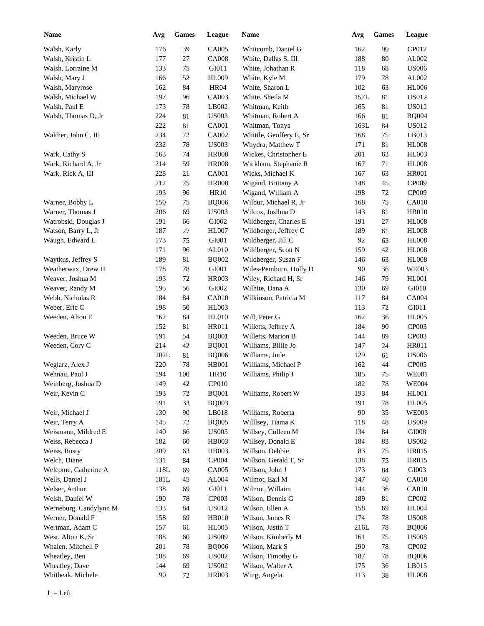| <b>Name</b>            | Avg        | ${\bf Games}$ | League       | <b>Name</b>                       | Avg        | <b>Games</b> | League                |
|------------------------|------------|---------------|--------------|-----------------------------------|------------|--------------|-----------------------|
| Walsh, Karly           | 176        | 39            | CA005        | Whitcomb, Daniel G                | 162        | 90           | CP012                 |
| Walsh, Kristin L       | 177        | $27\,$        | <b>CA008</b> | White, Dallas S, III              | 188        | 80           | AL002                 |
| Walsh, Lorraine M      | 133        | $75\,$        | GI011        | White, Johathan R                 | 118        | 68           | <b>US006</b>          |
| Walsh, Mary J          | 166        | $52\,$        | <b>HL009</b> | White, Kyle M                     | 179        | 78           | AL002                 |
| Walsh, Maryrose        | 162        | 84            | <b>HR04</b>  | White, Sharon L                   | 102        | 63           | <b>HL006</b>          |
| Walsh, Michael W       | 197        | 96            | CA003        | White, Sheila M                   | 157L       | 81           | <b>US012</b>          |
| Walsh, Paul E          | 173        | $78\,$        | LB002        | Whitman, Keith                    | 165        | 81           | <b>US012</b>          |
| Walsh, Thomas D, Jr    | 224        | $81\,$        | <b>US003</b> | Whitman, Robert A                 | 166        | 81           | <b>BQ004</b>          |
|                        | 222        | 81            | CA001        | Whitman, Tonya                    | 163L       | 84           | <b>US012</b>          |
| Walther, John C, III   | 234        | $72\,$        | CA002        | Whittle, Geoffery E, Sr           | 168        | 75           | LB013                 |
|                        | 232        | $78\,$        | <b>US003</b> | Whydra, Matthew T                 | 171        | 81           | <b>HL008</b>          |
| Wark, Cathy S          | 163        | 74            | <b>HR008</b> | Wickes, Christopher E             | 201        | 63           | <b>HL003</b>          |
| Wark, Richard A, Jr    | 214        | 59            | <b>HR008</b> | Wickham, Stephanie R              | 167        | 71           | $\rm{H}L008$          |
| Wark, Rick A, III      | 228        | 21            | CA001        | Wicks, Michael K                  | 167        | 63           | <b>HR001</b>          |
|                        | 212        | 75            | <b>HR008</b> | Wigand, Brittany A                | 148        | 45           | CP009                 |
|                        | 193        | 96            | <b>HR10</b>  | Wigand, William A                 | 198        | 72           | CP009                 |
| Warner, Bobby L        | 150        | $75\,$        | <b>BQ006</b> | Wilbur, Michael R, Jr             | 168        | 75           | CA010                 |
| Warner, Thomas J       | 206        | 69            | <b>US003</b> | Wilcox, Joslhua D                 | 143        | 81           | <b>HB010</b>          |
| Watrobski, Douglas J   | 191        | 66            | GI002        | Wildberger, Charles E             | 191        | 27           | <b>HL008</b>          |
| Watson, Barry L, Jr    | 187        | 27            | <b>HL007</b> | Wildberger, Jeffrey C             | 189        | 61           | <b>HL008</b>          |
| Waugh, Edward L        | 173        | 75            | GI001        | Wildberger, Jill C                | 92         | 63           | <b>HL008</b>          |
|                        | 171        | 96            | AL010        | Wildberger, Scott N               | 159        | 42           | <b>HL008</b>          |
| Waytkus, Jeffrey S     | 189        | $81\,$        | <b>BQ002</b> | Wildberger, Susan F               | 146        | 63           | <b>HL008</b>          |
| Weatherwax, Drew H     | 178        | 78            | GI001        | Wiles-Pemburn, Holly D            | 90         | 36           | <b>WE003</b>          |
| Weaver, Joshua M       | 193        | 72            | HR003        | Wiley, Richard H, Sr              | 146        | 79           | HL001                 |
| Weaver, Randy M        | 195        | 56            | GI002        | Wilhite, Dana A                   | 130        | 69           | GI010                 |
| Webb, Nicholas R       | 184        | 84            | CA010        | Wilkinson, Patricia M             | 117        | 84           | CA004                 |
| Weber, Eric C          | 198        | 50            | <b>HL003</b> |                                   | 113        | 72           | GI011                 |
| Weeden, Alton E        | 162        | 84            | HL010        | Will, Peter G                     | 162        | 36           | <b>HL005</b>          |
|                        | 152        | $81\,$        | HR011        | Willetts, Jeffrey A               | 184        | 90           | CP003                 |
| Weeden, Bruce W        | 191        | 54            | <b>BQ001</b> | Willetts, Marion B                | 144        | 89           | CP003                 |
| Weeden, Cory C         | 214        | 42            | <b>BQ001</b> | Williams, Billie Jo               | 147        | 24           | <b>HR011</b>          |
|                        | 202L       | $81\,$        | <b>BQ006</b> | Williams, Jude                    | 129        | 61           | <b>US006</b>          |
| Weglarz, Alex J        | $220\,$    | $78\,$        | HB001        | Williams, Michael P               | 162        | 44           | CP005                 |
| Wehnau, Paul J         | 194        | 100           | HR10         | Williams, Philip J                | 185        | 75           | <b>WE001</b>          |
| Weinberg, Joshua D     | 149        | 42            | CP010        |                                   | 182        | 78           | <b>WE004</b>          |
| Weir, Kevin C          | 193        | $72\,$        | <b>BQ001</b> | Williams, Robert W                | 193        | 84           | HL001                 |
|                        | 191        | 33            | <b>BQ003</b> |                                   | 191        | 78           | <b>HL005</b>          |
| Weir, Michael J        | 130        | $90\,$        | LBO18        | Williams, Roberta                 | $90\,$     | 35           | <b>WE003</b>          |
| Weir, Terry A          | 145        |               | <b>BQ005</b> | Willlsey, Tiama K                 |            |              | <b>US009</b>          |
| Weismann, Mildred E    |            | 72            | <b>US005</b> | Willsey, Colleen M                | 118        | 48           |                       |
| Weiss, Rebecca J       | 140<br>182 | 66<br>60      | HB003        | Willsey, Donald E                 | 134<br>184 | 84<br>83     | GI008<br><b>US002</b> |
| Weiss, Rusty           | 209        |               | HB003        | Willson, Debbie                   |            |              | HR015                 |
| Welch, Diane           | 131        | 63            | CP004        | Willson, Gerald T, Sr             | 83         | 75           | HR015                 |
|                        |            | 84            |              |                                   | 138        | 75           | GI003                 |
| Welcome, Catherine A   | 118L       | 69            | CA005        | Willson, John J<br>Wilmot, Earl M | 173        | 84           |                       |
| Wells, Daniel J        | 181L       | 45            | AL004        |                                   | 147        | 40           | <b>CA010</b>          |
| Welser, Arthur         | 138        | 69            | GI011        | Wilmot, Willaim                   | 144        | 36           | <b>CA010</b>          |
| Welsh, Daniel W        | 190        | 78            | CP003        | Wilson, Dennis G                  | 189        | 81           | CP002                 |
| Werneburg, Candylynn M | 133        | 84            | <b>US012</b> | Wilson, Ellen A                   | 158        | 69           | <b>HL004</b>          |
| Werner, Donald F       | 158        | 69            | <b>HB010</b> | Wilson, James R                   | 174        | 78           | <b>US008</b>          |
| Wertman, Adam C        | 157        | 61            | <b>HL005</b> | Wilson, Justin T                  | 216L       | 78           | <b>BQ006</b>          |
| West, Alton K, Sr      | 188        | 60            | <b>US009</b> | Wilson, Kimberly M                | 161        | $75\,$       | <b>US008</b>          |
| Whalen, Mitchell P     | 201        | 78            | <b>BQ006</b> | Wilson, Mark S                    | 190        | 78           | CP002                 |
| Wheatley, Ben          | 108        | 69            | <b>US002</b> | Wilson, Timothy G                 | 187        | 78           | <b>BQ006</b>          |
| Wheatley, Dave         | 144        | 69            | <b>US002</b> | Wilson, Walter A                  | 175        | 36           | LB015                 |
| Whitbeak, Michele      | 90         | 72            | HR003        | Wing, Angela                      | 113        | 38           | <b>HL008</b>          |